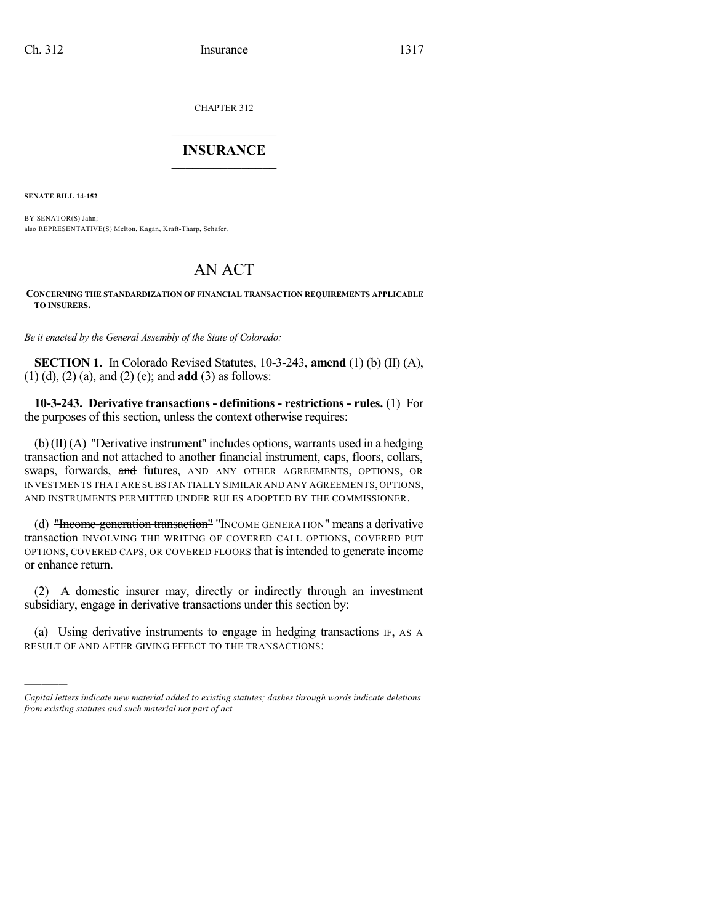CHAPTER 312

# $\mathcal{L}_\text{max}$  . The set of the set of the set of the set of the set of the set of the set of the set of the set of the set of the set of the set of the set of the set of the set of the set of the set of the set of the set **INSURANCE**  $\frac{1}{2}$  ,  $\frac{1}{2}$  ,  $\frac{1}{2}$  ,  $\frac{1}{2}$  ,  $\frac{1}{2}$  ,  $\frac{1}{2}$  ,  $\frac{1}{2}$

**SENATE BILL 14-152**

)))))

BY SENATOR(S) Jahn; also REPRESENTATIVE(S) Melton, Kagan, Kraft-Tharp, Schafer.

# AN ACT

#### **CONCERNING THE STANDARDIZATION OF FINANCIAL TRANSACTION REQUIREMENTS APPLICABLE TO INSURERS.**

*Be it enacted by the General Assembly of the State of Colorado:*

**SECTION 1.** In Colorado Revised Statutes, 10-3-243, **amend** (1) (b) (II) (A), (1) (d), (2) (a), and (2) (e); and **add** (3) as follows:

**10-3-243. Derivative transactions - definitions - restrictions - rules.** (1) For the purposes of this section, unless the context otherwise requires:

(b)(II) (A) "Derivative instrument" includes options, warrants used in a hedging transaction and not attached to another financial instrument, caps, floors, collars, swaps, forwards, and futures, AND ANY OTHER AGREEMENTS, OPTIONS, OR INVESTMENTS THAT ARE SUBSTANTIALLY SIMILAR AND ANY AGREEMENTS,OPTIONS, AND INSTRUMENTS PERMITTED UNDER RULES ADOPTED BY THE COMMISSIONER.

(d) "Income-generation transaction" "INCOME GENERATION" means a derivative transaction INVOLVING THE WRITING OF COVERED CALL OPTIONS, COVERED PUT OPTIONS, COVERED CAPS, OR COVERED FLOORS that is intended to generate income or enhance return.

(2) A domestic insurer may, directly or indirectly through an investment subsidiary, engage in derivative transactions under this section by:

(a) Using derivative instruments to engage in hedging transactions IF, AS A RESULT OF AND AFTER GIVING EFFECT TO THE TRANSACTIONS:

*Capital letters indicate new material added to existing statutes; dashes through words indicate deletions from existing statutes and such material not part of act.*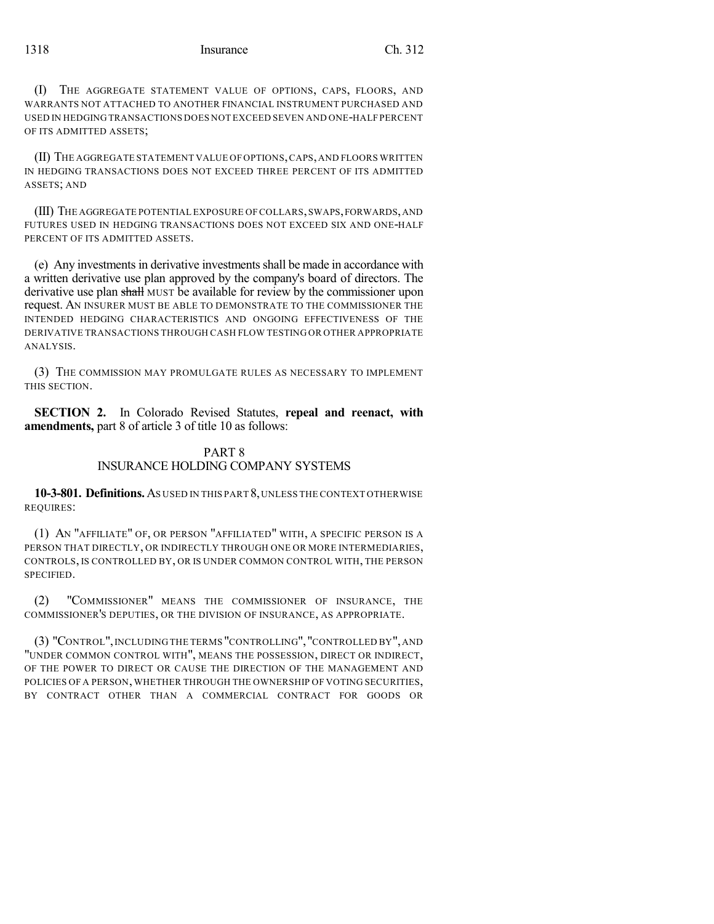(I) THE AGGREGATE STATEMENT VALUE OF OPTIONS, CAPS, FLOORS, AND WARRANTS NOT ATTACHED TO ANOTHER FINANCIAL INSTRUMENT PURCHASED AND USED IN HEDGING TRANSACTIONS DOES NOT EXCEED SEVEN AND ONE-HALF PERCENT OF ITS ADMITTED ASSETS;

(II) THE AGGREGATE STATEMENT VALUE OF OPTIONS,CAPS,AND FLOORS WRITTEN IN HEDGING TRANSACTIONS DOES NOT EXCEED THREE PERCENT OF ITS ADMITTED ASSETS; AND

(III) THE AGGREGATE POTENTIAL EXPOSURE OF COLLARS,SWAPS,FORWARDS,AND FUTURES USED IN HEDGING TRANSACTIONS DOES NOT EXCEED SIX AND ONE-HALF PERCENT OF ITS ADMITTED ASSETS.

(e) Any investments in derivative investmentsshall be made in accordance with a written derivative use plan approved by the company's board of directors. The derivative use plan shall MUST be available for review by the commissioner upon request. AN INSURER MUST BE ABLE TO DEMONSTRATE TO THE COMMISSIONER THE INTENDED HEDGING CHARACTERISTICS AND ONGOING EFFECTIVENESS OF THE DERIVATIVE TRANSACTIONS THROUGH CASH FLOW TESTING OR OTHER APPROPRIATE ANALYSIS.

(3) THE COMMISSION MAY PROMULGATE RULES AS NECESSARY TO IMPLEMENT THIS SECTION.

**SECTION 2.** In Colorado Revised Statutes, **repeal and reenact, with amendments,** part 8 of article 3 of title 10 as follows:

## PART 8 INSURANCE HOLDING COMPANY SYSTEMS

**10-3-801. Definitions.**AS USED IN THIS PART 8,UNLESS THE CONTEXT OTHERWISE REQUIRES:

(1) AN "AFFILIATE" OF, OR PERSON "AFFILIATED" WITH, A SPECIFIC PERSON IS A PERSON THAT DIRECTLY, OR INDIRECTLY THROUGH ONE OR MORE INTERMEDIARIES, CONTROLS, IS CONTROLLED BY, OR IS UNDER COMMON CONTROL WITH, THE PERSON **SPECIFIED.** 

(2) "COMMISSIONER" MEANS THE COMMISSIONER OF INSURANCE, THE COMMISSIONER'S DEPUTIES, OR THE DIVISION OF INSURANCE, AS APPROPRIATE.

(3) "CONTROL",INCLUDING THE TERMS "CONTROLLING","CONTROLLED BY",AND "UNDER COMMON CONTROL WITH", MEANS THE POSSESSION, DIRECT OR INDIRECT, OF THE POWER TO DIRECT OR CAUSE THE DIRECTION OF THE MANAGEMENT AND POLICIES OF A PERSON, WHETHER THROUGH THE OWNERSHIP OF VOTING SECURITIES, BY CONTRACT OTHER THAN A COMMERCIAL CONTRACT FOR GOODS OR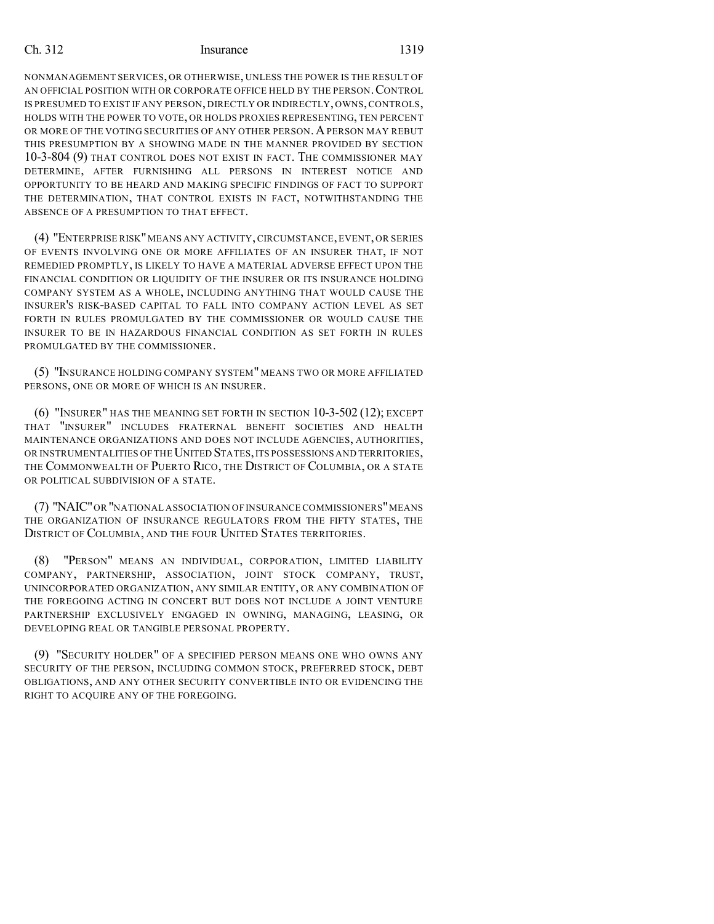NONMANAGEMENT SERVICES, OR OTHERWISE, UNLESS THE POWER IS THE RESULT OF AN OFFICIAL POSITION WITH OR CORPORATE OFFICE HELD BY THE PERSON. CONTROL IS PRESUMED TO EXIST IF ANY PERSON, DIRECTLY OR INDIRECTLY, OWNS,CONTROLS, HOLDS WITH THE POWER TO VOTE, OR HOLDS PROXIES REPRESENTING, TEN PERCENT OR MORE OF THE VOTING SECURITIES OF ANY OTHER PERSON. A PERSON MAY REBUT THIS PRESUMPTION BY A SHOWING MADE IN THE MANNER PROVIDED BY SECTION 10-3-804 (9) THAT CONTROL DOES NOT EXIST IN FACT. THE COMMISSIONER MAY DETERMINE, AFTER FURNISHING ALL PERSONS IN INTEREST NOTICE AND OPPORTUNITY TO BE HEARD AND MAKING SPECIFIC FINDINGS OF FACT TO SUPPORT THE DETERMINATION, THAT CONTROL EXISTS IN FACT, NOTWITHSTANDING THE ABSENCE OF A PRESUMPTION TO THAT EFFECT.

(4) "ENTERPRISE RISK"MEANS ANY ACTIVITY, CIRCUMSTANCE, EVENT, OR SERIES OF EVENTS INVOLVING ONE OR MORE AFFILIATES OF AN INSURER THAT, IF NOT REMEDIED PROMPTLY, IS LIKELY TO HAVE A MATERIAL ADVERSE EFFECT UPON THE FINANCIAL CONDITION OR LIQUIDITY OF THE INSURER OR ITS INSURANCE HOLDING COMPANY SYSTEM AS A WHOLE, INCLUDING ANYTHING THAT WOULD CAUSE THE INSURER'S RISK-BASED CAPITAL TO FALL INTO COMPANY ACTION LEVEL AS SET FORTH IN RULES PROMULGATED BY THE COMMISSIONER OR WOULD CAUSE THE INSURER TO BE IN HAZARDOUS FINANCIAL CONDITION AS SET FORTH IN RULES PROMULGATED BY THE COMMISSIONER.

(5) "INSURANCE HOLDING COMPANY SYSTEM" MEANS TWO OR MORE AFFILIATED PERSONS, ONE OR MORE OF WHICH IS AN INSURER.

(6) "INSURER" HAS THE MEANING SET FORTH IN SECTION 10-3-502 (12); EXCEPT THAT "INSURER" INCLUDES FRATERNAL BENEFIT SOCIETIES AND HEALTH MAINTENANCE ORGANIZATIONS AND DOES NOT INCLUDE AGENCIES, AUTHORITIES, OR INSTRUMENTALITIES OF THE UNITED STATES, ITS POSSESSIONS AND TERRITORIES, THE COMMONWEALTH OF PUERTO RICO, THE DISTRICT OF COLUMBIA, OR A STATE OR POLITICAL SUBDIVISION OF A STATE.

(7) "NAIC"OR "NATIONAL ASSOCIATION OF INSURANCE COMMISSIONERS"MEANS THE ORGANIZATION OF INSURANCE REGULATORS FROM THE FIFTY STATES, THE DISTRICT OF COLUMBIA, AND THE FOUR UNITED STATES TERRITORIES.

(8) "PERSON" MEANS AN INDIVIDUAL, CORPORATION, LIMITED LIABILITY COMPANY, PARTNERSHIP, ASSOCIATION, JOINT STOCK COMPANY, TRUST, UNINCORPORATED ORGANIZATION, ANY SIMILAR ENTITY, OR ANY COMBINATION OF THE FOREGOING ACTING IN CONCERT BUT DOES NOT INCLUDE A JOINT VENTURE PARTNERSHIP EXCLUSIVELY ENGAGED IN OWNING, MANAGING, LEASING, OR DEVELOPING REAL OR TANGIBLE PERSONAL PROPERTY.

(9) "SECURITY HOLDER" OF A SPECIFIED PERSON MEANS ONE WHO OWNS ANY SECURITY OF THE PERSON, INCLUDING COMMON STOCK, PREFERRED STOCK, DEBT OBLIGATIONS, AND ANY OTHER SECURITY CONVERTIBLE INTO OR EVIDENCING THE RIGHT TO ACQUIRE ANY OF THE FOREGOING.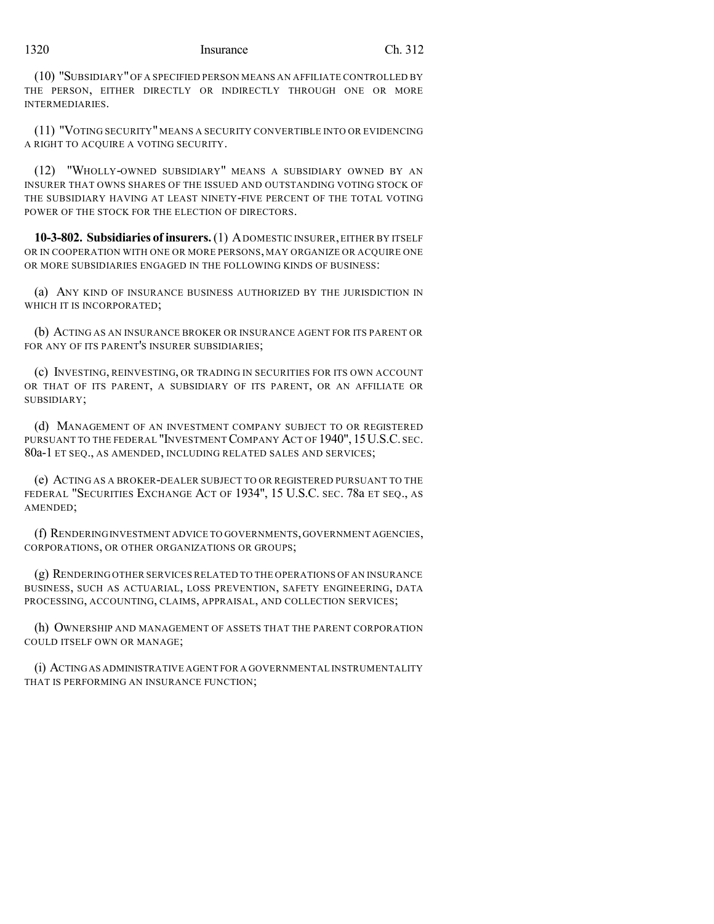#### 1320 Insurance Ch. 312

(10) "SUBSIDIARY"OF A SPECIFIED PERSON MEANS AN AFFILIATE CONTROLLED BY THE PERSON, EITHER DIRECTLY OR INDIRECTLY THROUGH ONE OR MORE INTERMEDIARIES.

(11) "VOTING SECURITY" MEANS A SECURITY CONVERTIBLE INTO OR EVIDENCING A RIGHT TO ACQUIRE A VOTING SECURITY.

(12) "WHOLLY-OWNED SUBSIDIARY" MEANS A SUBSIDIARY OWNED BY AN INSURER THAT OWNS SHARES OF THE ISSUED AND OUTSTANDING VOTING STOCK OF THE SUBSIDIARY HAVING AT LEAST NINETY-FIVE PERCENT OF THE TOTAL VOTING POWER OF THE STOCK FOR THE ELECTION OF DIRECTORS.

**10-3-802. Subsidiaries of insurers.**(1) ADOMESTIC INSURER,EITHER BY ITSELF OR IN COOPERATION WITH ONE OR MORE PERSONS, MAY ORGANIZE OR ACQUIRE ONE OR MORE SUBSIDIARIES ENGAGED IN THE FOLLOWING KINDS OF BUSINESS:

(a) ANY KIND OF INSURANCE BUSINESS AUTHORIZED BY THE JURISDICTION IN WHICH IT IS INCORPORATED:

(b) ACTING AS AN INSURANCE BROKER OR INSURANCE AGENT FOR ITS PARENT OR FOR ANY OF ITS PARENT'S INSURER SUBSIDIARIES;

(c) INVESTING, REINVESTING, OR TRADING IN SECURITIES FOR ITS OWN ACCOUNT OR THAT OF ITS PARENT, A SUBSIDIARY OF ITS PARENT, OR AN AFFILIATE OR SUBSIDIARY;

(d) MANAGEMENT OF AN INVESTMENT COMPANY SUBJECT TO OR REGISTERED PURSUANT TO THE FEDERAL "INVESTMENT COMPANY ACT OF 1940", 15 U.S.C. SEC. 80a-1 ET SEQ., AS AMENDED, INCLUDING RELATED SALES AND SERVICES;

(e) ACTING AS A BROKER-DEALER SUBJECT TO OR REGISTERED PURSUANT TO THE FEDERAL "SECURITIES EXCHANGE ACT OF 1934", 15 U.S.C. SEC. 78a ET SEQ., AS AMENDED;

(f) RENDERINGINVESTMENT ADVICE TO GOVERNMENTS,GOVERNMENT AGENCIES, CORPORATIONS, OR OTHER ORGANIZATIONS OR GROUPS;

(g) RENDERING OTHER SERVICES RELATED TO THE OPERATIONS OF AN INSURANCE BUSINESS, SUCH AS ACTUARIAL, LOSS PREVENTION, SAFETY ENGINEERING, DATA PROCESSING, ACCOUNTING, CLAIMS, APPRAISAL, AND COLLECTION SERVICES;

(h) OWNERSHIP AND MANAGEMENT OF ASSETS THAT THE PARENT CORPORATION COULD ITSELF OWN OR MANAGE;

(i) ACTINGAS ADMINISTRATIVE AGENT FOR A GOVERNMENTAL INSTRUMENTALITY THAT IS PERFORMING AN INSURANCE FUNCTION;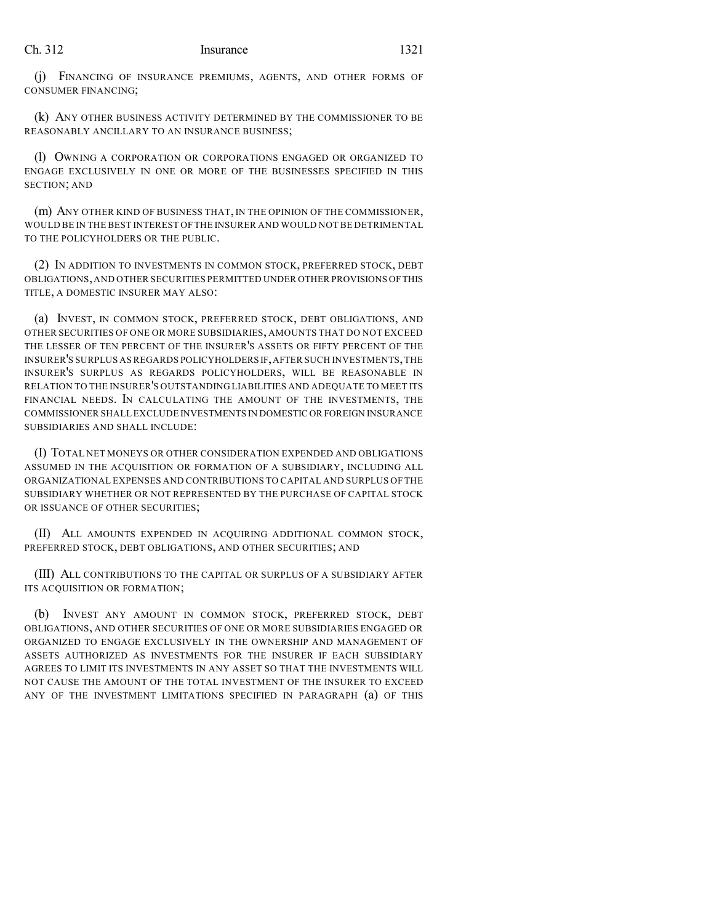(j) FINANCING OF INSURANCE PREMIUMS, AGENTS, AND OTHER FORMS OF CONSUMER FINANCING;

(k) ANY OTHER BUSINESS ACTIVITY DETERMINED BY THE COMMISSIONER TO BE REASONABLY ANCILLARY TO AN INSURANCE BUSINESS;

(l) OWNING A CORPORATION OR CORPORATIONS ENGAGED OR ORGANIZED TO ENGAGE EXCLUSIVELY IN ONE OR MORE OF THE BUSINESSES SPECIFIED IN THIS SECTION; AND

(m) ANY OTHER KIND OF BUSINESS THAT, IN THE OPINION OF THE COMMISSIONER, WOULD BE IN THE BEST INTEREST OF THE INSURER AND WOULD NOT BE DETRIMENTAL TO THE POLICYHOLDERS OR THE PUBLIC.

(2) IN ADDITION TO INVESTMENTS IN COMMON STOCK, PREFERRED STOCK, DEBT OBLIGATIONS,AND OTHER SECURITIES PERMITTED UNDER OTHER PROVISIONS OFTHIS TITLE, A DOMESTIC INSURER MAY ALSO:

(a) INVEST, IN COMMON STOCK, PREFERRED STOCK, DEBT OBLIGATIONS, AND OTHER SECURITIES OF ONE OR MORE SUBSIDIARIES, AMOUNTS THAT DO NOT EXCEED THE LESSER OF TEN PERCENT OF THE INSURER'S ASSETS OR FIFTY PERCENT OF THE INSURER'S SURPLUS AS REGARDS POLICYHOLDERS IF,AFTER SUCH INVESTMENTS,THE INSURER'S SURPLUS AS REGARDS POLICYHOLDERS, WILL BE REASONABLE IN RELATION TO THE INSURER'S OUTSTANDING LIABILITIES AND ADEQUATE TO MEET ITS FINANCIAL NEEDS. IN CALCULATING THE AMOUNT OF THE INVESTMENTS, THE COMMISSIONER SHALL EXCLUDE INVESTMENTS IN DOMESTIC OR FOREIGN INSURANCE SUBSIDIARIES AND SHALL INCLUDE:

(I) TOTAL NET MONEYS OR OTHER CONSIDERATION EXPENDED AND OBLIGATIONS ASSUMED IN THE ACQUISITION OR FORMATION OF A SUBSIDIARY, INCLUDING ALL ORGANIZATIONAL EXPENSES AND CONTRIBUTIONS TO CAPITAL AND SURPLUS OF THE SUBSIDIARY WHETHER OR NOT REPRESENTED BY THE PURCHASE OF CAPITAL STOCK OR ISSUANCE OF OTHER SECURITIES;

(II) ALL AMOUNTS EXPENDED IN ACQUIRING ADDITIONAL COMMON STOCK, PREFERRED STOCK, DEBT OBLIGATIONS, AND OTHER SECURITIES; AND

(III) ALL CONTRIBUTIONS TO THE CAPITAL OR SURPLUS OF A SUBSIDIARY AFTER ITS ACQUISITION OR FORMATION;

(b) INVEST ANY AMOUNT IN COMMON STOCK, PREFERRED STOCK, DEBT OBLIGATIONS, AND OTHER SECURITIES OF ONE OR MORE SUBSIDIARIES ENGAGED OR ORGANIZED TO ENGAGE EXCLUSIVELY IN THE OWNERSHIP AND MANAGEMENT OF ASSETS AUTHORIZED AS INVESTMENTS FOR THE INSURER IF EACH SUBSIDIARY AGREES TO LIMIT ITS INVESTMENTS IN ANY ASSET SO THAT THE INVESTMENTS WILL NOT CAUSE THE AMOUNT OF THE TOTAL INVESTMENT OF THE INSURER TO EXCEED ANY OF THE INVESTMENT LIMITATIONS SPECIFIED IN PARAGRAPH (a) OF THIS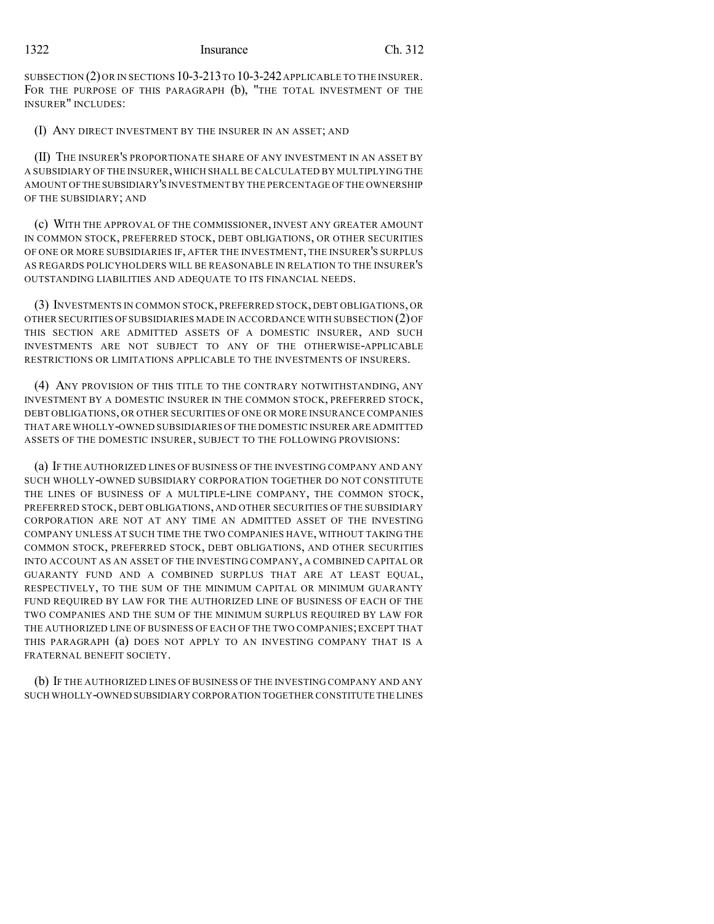SUBSECTION (2) OR IN SECTIONS 10-3-213 TO 10-3-242 APPLICABLE TO THE INSURER. FOR THE PURPOSE OF THIS PARAGRAPH (b), "THE TOTAL INVESTMENT OF THE INSURER" INCLUDES:

(I) ANY DIRECT INVESTMENT BY THE INSURER IN AN ASSET; AND

(II) THE INSURER'S PROPORTIONATE SHARE OF ANY INVESTMENT IN AN ASSET BY A SUBSIDIARY OF THE INSURER,WHICH SHALL BE CALCULATED BY MULTIPLYING THE AMOUNT OFTHE SUBSIDIARY'S INVESTMENTBY THE PERCENTAGE OFTHE OWNERSHIP OF THE SUBSIDIARY; AND

(c) WITH THE APPROVAL OF THE COMMISSIONER, INVEST ANY GREATER AMOUNT IN COMMON STOCK, PREFERRED STOCK, DEBT OBLIGATIONS, OR OTHER SECURITIES OF ONE OR MORE SUBSIDIARIES IF, AFTER THE INVESTMENT, THE INSURER'S SURPLUS AS REGARDS POLICYHOLDERS WILL BE REASONABLE IN RELATION TO THE INSURER'S OUTSTANDING LIABILITIES AND ADEQUATE TO ITS FINANCIAL NEEDS.

(3) INVESTMENTS IN COMMON STOCK, PREFERRED STOCK, DEBT OBLIGATIONS, OR OTHER SECURITIES OF SUBSIDIARIES MADE IN ACCORDANCE WITH SUBSECTION (2)OF THIS SECTION ARE ADMITTED ASSETS OF A DOMESTIC INSURER, AND SUCH INVESTMENTS ARE NOT SUBJECT TO ANY OF THE OTHERWISE-APPLICABLE RESTRICTIONS OR LIMITATIONS APPLICABLE TO THE INVESTMENTS OF INSURERS.

(4) ANY PROVISION OF THIS TITLE TO THE CONTRARY NOTWITHSTANDING, ANY INVESTMENT BY A DOMESTIC INSURER IN THE COMMON STOCK, PREFERRED STOCK, DEBT OBLIGATIONS, OR OTHER SECURITIES OF ONE OR MORE INSURANCE COMPANIES THAT ARE WHOLLY-OWNED SUBSIDIARIES OF THE DOMESTIC INSURER ARE ADMITTED ASSETS OF THE DOMESTIC INSURER, SUBJECT TO THE FOLLOWING PROVISIONS:

(a) IF THE AUTHORIZED LINES OF BUSINESS OF THE INVESTING COMPANY AND ANY SUCH WHOLLY-OWNED SUBSIDIARY CORPORATION TOGETHER DO NOT CONSTITUTE THE LINES OF BUSINESS OF A MULTIPLE-LINE COMPANY, THE COMMON STOCK, PREFERRED STOCK, DEBT OBLIGATIONS, AND OTHER SECURITIES OF THE SUBSIDIARY CORPORATION ARE NOT AT ANY TIME AN ADMITTED ASSET OF THE INVESTING COMPANY UNLESS AT SUCH TIME THE TWO COMPANIES HAVE, WITHOUT TAKING THE COMMON STOCK, PREFERRED STOCK, DEBT OBLIGATIONS, AND OTHER SECURITIES INTO ACCOUNT AS AN ASSET OF THE INVESTING COMPANY, A COMBINED CAPITAL OR GUARANTY FUND AND A COMBINED SURPLUS THAT ARE AT LEAST EQUAL, RESPECTIVELY, TO THE SUM OF THE MINIMUM CAPITAL OR MINIMUM GUARANTY FUND REQUIRED BY LAW FOR THE AUTHORIZED LINE OF BUSINESS OF EACH OF THE TWO COMPANIES AND THE SUM OF THE MINIMUM SURPLUS REQUIRED BY LAW FOR THE AUTHORIZED LINE OF BUSINESS OF EACH OF THE TWO COMPANIES; EXCEPT THAT THIS PARAGRAPH (a) DOES NOT APPLY TO AN INVESTING COMPANY THAT IS A FRATERNAL BENEFIT SOCIETY.

(b) IF THE AUTHORIZED LINES OF BUSINESS OF THE INVESTING COMPANY AND ANY SUCH WHOLLY-OWNED SUBSIDIARY CORPORATION TOGETHER CONSTITUTE THE LINES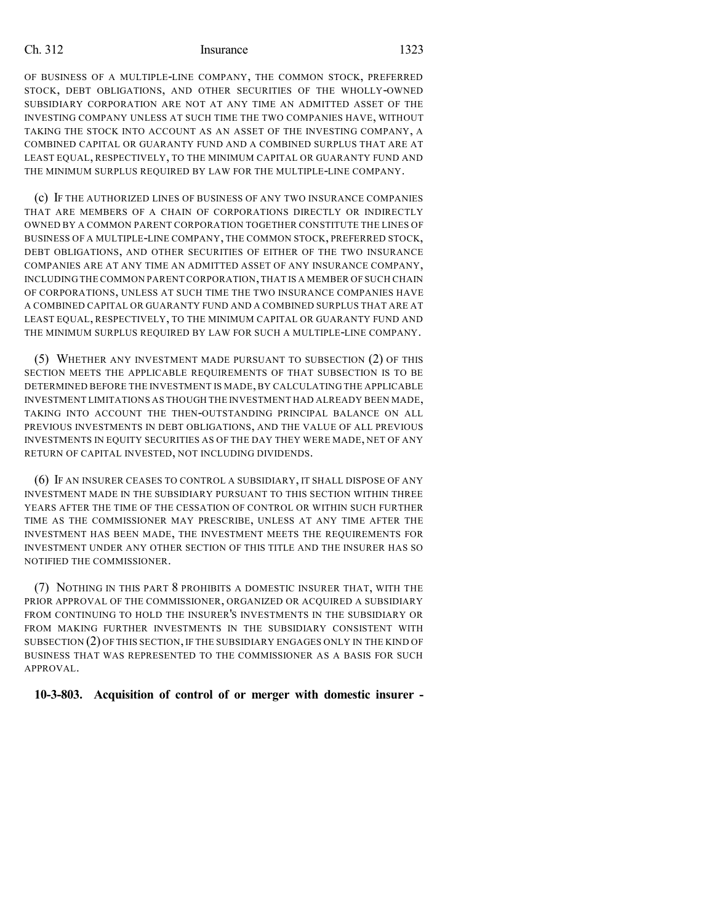OF BUSINESS OF A MULTIPLE-LINE COMPANY, THE COMMON STOCK, PREFERRED STOCK, DEBT OBLIGATIONS, AND OTHER SECURITIES OF THE WHOLLY-OWNED SUBSIDIARY CORPORATION ARE NOT AT ANY TIME AN ADMITTED ASSET OF THE INVESTING COMPANY UNLESS AT SUCH TIME THE TWO COMPANIES HAVE, WITHOUT TAKING THE STOCK INTO ACCOUNT AS AN ASSET OF THE INVESTING COMPANY, A COMBINED CAPITAL OR GUARANTY FUND AND A COMBINED SURPLUS THAT ARE AT LEAST EQUAL, RESPECTIVELY, TO THE MINIMUM CAPITAL OR GUARANTY FUND AND THE MINIMUM SURPLUS REQUIRED BY LAW FOR THE MULTIPLE-LINE COMPANY.

(c) IF THE AUTHORIZED LINES OF BUSINESS OF ANY TWO INSURANCE COMPANIES THAT ARE MEMBERS OF A CHAIN OF CORPORATIONS DIRECTLY OR INDIRECTLY OWNED BY A COMMON PARENT CORPORATION TOGETHER CONSTITUTE THE LINES OF BUSINESS OF A MULTIPLE-LINE COMPANY, THE COMMON STOCK, PREFERRED STOCK, DEBT OBLIGATIONS, AND OTHER SECURITIES OF EITHER OF THE TWO INSURANCE COMPANIES ARE AT ANY TIME AN ADMITTED ASSET OF ANY INSURANCE COMPANY, INCLUDING THE COMMON PARENT CORPORATION,THAT IS A MEMBER OF SUCH CHAIN OF CORPORATIONS, UNLESS AT SUCH TIME THE TWO INSURANCE COMPANIES HAVE A COMBINED CAPITAL OR GUARANTY FUND AND A COMBINED SURPLUS THAT ARE AT LEAST EQUAL, RESPECTIVELY, TO THE MINIMUM CAPITAL OR GUARANTY FUND AND THE MINIMUM SURPLUS REQUIRED BY LAW FOR SUCH A MULTIPLE-LINE COMPANY.

(5) WHETHER ANY INVESTMENT MADE PURSUANT TO SUBSECTION (2) OF THIS SECTION MEETS THE APPLICABLE REQUIREMENTS OF THAT SUBSECTION IS TO BE DETERMINED BEFORE THE INVESTMENT IS MADE, BY CALCULATING THE APPLICABLE INVESTMENT LIMITATIONS AS THOUGH THE INVESTMENT HAD ALREADY BEEN MADE, TAKING INTO ACCOUNT THE THEN-OUTSTANDING PRINCIPAL BALANCE ON ALL PREVIOUS INVESTMENTS IN DEBT OBLIGATIONS, AND THE VALUE OF ALL PREVIOUS INVESTMENTS IN EQUITY SECURITIES AS OF THE DAY THEY WERE MADE, NET OF ANY RETURN OF CAPITAL INVESTED, NOT INCLUDING DIVIDENDS.

(6) IF AN INSURER CEASES TO CONTROL A SUBSIDIARY, IT SHALL DISPOSE OF ANY INVESTMENT MADE IN THE SUBSIDIARY PURSUANT TO THIS SECTION WITHIN THREE YEARS AFTER THE TIME OF THE CESSATION OF CONTROL OR WITHIN SUCH FURTHER TIME AS THE COMMISSIONER MAY PRESCRIBE, UNLESS AT ANY TIME AFTER THE INVESTMENT HAS BEEN MADE, THE INVESTMENT MEETS THE REQUIREMENTS FOR INVESTMENT UNDER ANY OTHER SECTION OF THIS TITLE AND THE INSURER HAS SO NOTIFIED THE COMMISSIONER.

(7) NOTHING IN THIS PART 8 PROHIBITS A DOMESTIC INSURER THAT, WITH THE PRIOR APPROVAL OF THE COMMISSIONER, ORGANIZED OR ACQUIRED A SUBSIDIARY FROM CONTINUING TO HOLD THE INSURER'S INVESTMENTS IN THE SUBSIDIARY OR FROM MAKING FURTHER INVESTMENTS IN THE SUBSIDIARY CONSISTENT WITH SUBSECTION (2) OF THIS SECTION, IF THE SUBSIDIARY ENGAGES ONLY IN THE KIND OF BUSINESS THAT WAS REPRESENTED TO THE COMMISSIONER AS A BASIS FOR SUCH APPROVAL.

**10-3-803. Acquisition of control of or merger with domestic insurer -**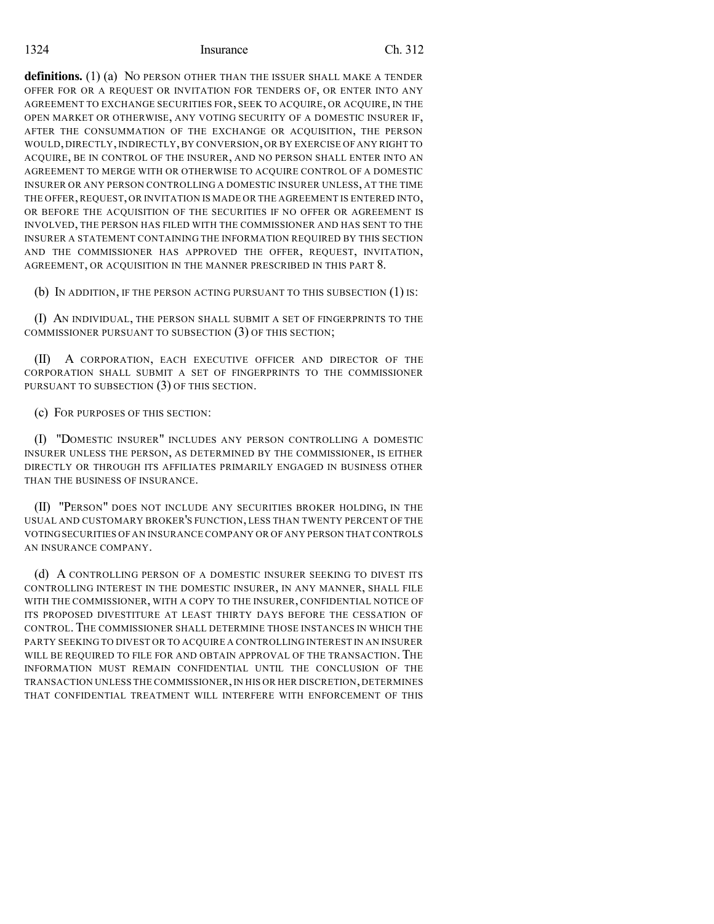**definitions.** (1) (a) No PERSON OTHER THAN THE ISSUER SHALL MAKE A TENDER OFFER FOR OR A REQUEST OR INVITATION FOR TENDERS OF, OR ENTER INTO ANY AGREEMENT TO EXCHANGE SECURITIES FOR, SEEK TO ACQUIRE, OR ACQUIRE, IN THE OPEN MARKET OR OTHERWISE, ANY VOTING SECURITY OF A DOMESTIC INSURER IF, AFTER THE CONSUMMATION OF THE EXCHANGE OR ACQUISITION, THE PERSON WOULD, DIRECTLY, INDIRECTLY, BY CONVERSION, OR BY EXERCISE OF ANY RIGHT TO ACQUIRE, BE IN CONTROL OF THE INSURER, AND NO PERSON SHALL ENTER INTO AN AGREEMENT TO MERGE WITH OR OTHERWISE TO ACQUIRE CONTROL OF A DOMESTIC INSURER OR ANY PERSON CONTROLLING A DOMESTIC INSURER UNLESS, AT THE TIME THE OFFER, REQUEST, OR INVITATION IS MADE OR THE AGREEMENT IS ENTERED INTO, OR BEFORE THE ACQUISITION OF THE SECURITIES IF NO OFFER OR AGREEMENT IS INVOLVED, THE PERSON HAS FILED WITH THE COMMISSIONER AND HAS SENT TO THE INSURER A STATEMENT CONTAINING THE INFORMATION REQUIRED BY THIS SECTION AND THE COMMISSIONER HAS APPROVED THE OFFER, REQUEST, INVITATION, AGREEMENT, OR ACQUISITION IN THE MANNER PRESCRIBED IN THIS PART 8.

(b) IN ADDITION, IF THE PERSON ACTING PURSUANT TO THIS SUBSECTION (1) IS:

(I) AN INDIVIDUAL, THE PERSON SHALL SUBMIT A SET OF FINGERPRINTS TO THE COMMISSIONER PURSUANT TO SUBSECTION (3) OF THIS SECTION;

(II) A CORPORATION, EACH EXECUTIVE OFFICER AND DIRECTOR OF THE CORPORATION SHALL SUBMIT A SET OF FINGERPRINTS TO THE COMMISSIONER PURSUANT TO SUBSECTION (3) OF THIS SECTION.

(c) FOR PURPOSES OF THIS SECTION:

(I) "DOMESTIC INSURER" INCLUDES ANY PERSON CONTROLLING A DOMESTIC INSURER UNLESS THE PERSON, AS DETERMINED BY THE COMMISSIONER, IS EITHER DIRECTLY OR THROUGH ITS AFFILIATES PRIMARILY ENGAGED IN BUSINESS OTHER THAN THE BUSINESS OF INSURANCE.

(II) "PERSON" DOES NOT INCLUDE ANY SECURITIES BROKER HOLDING, IN THE USUAL AND CUSTOMARY BROKER'S FUNCTION, LESS THAN TWENTY PERCENT OF THE VOTINGSECURITIES OFAN INSURANCE COMPANY OR OF ANY PERSON THAT CONTROLS AN INSURANCE COMPANY.

(d) A CONTROLLING PERSON OF A DOMESTIC INSURER SEEKING TO DIVEST ITS CONTROLLING INTEREST IN THE DOMESTIC INSURER, IN ANY MANNER, SHALL FILE WITH THE COMMISSIONER, WITH A COPY TO THE INSURER, CONFIDENTIAL NOTICE OF ITS PROPOSED DIVESTITURE AT LEAST THIRTY DAYS BEFORE THE CESSATION OF CONTROL. THE COMMISSIONER SHALL DETERMINE THOSE INSTANCES IN WHICH THE PARTY SEEKING TO DIVEST OR TO ACQUIRE A CONTROLLING INTEREST IN AN INSURER WILL BE REQUIRED TO FILE FOR AND OBTAIN APPROVAL OF THE TRANSACTION. THE INFORMATION MUST REMAIN CONFIDENTIAL UNTIL THE CONCLUSION OF THE TRANSACTION UNLESS THE COMMISSIONER,IN HIS OR HER DISCRETION, DETERMINES THAT CONFIDENTIAL TREATMENT WILL INTERFERE WITH ENFORCEMENT OF THIS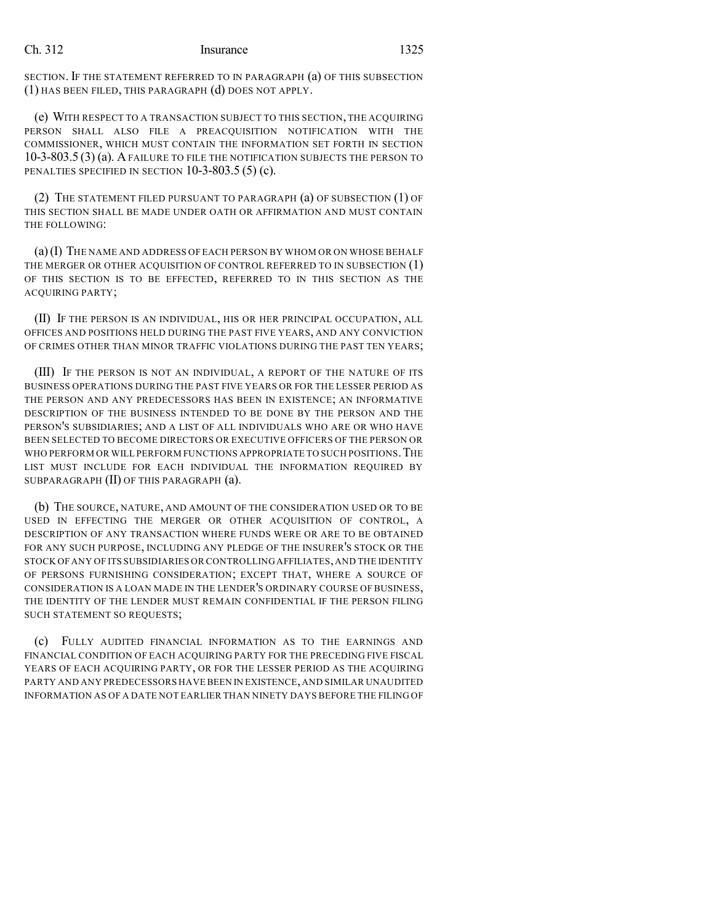SECTION. IF THE STATEMENT REFERRED TO IN PARAGRAPH (a) OF THIS SUBSECTION (1) HAS BEEN FILED, THIS PARAGRAPH (d) DOES NOT APPLY.

(e) WITH RESPECT TO A TRANSACTION SUBJECT TO THIS SECTION, THE ACQUIRING PERSON SHALL ALSO FILE A PREACQUISITION NOTIFICATION WITH THE COMMISSIONER, WHICH MUST CONTAIN THE INFORMATION SET FORTH IN SECTION 10-3-803.5 (3) (a). A FAILURE TO FILE THE NOTIFICATION SUBJECTS THE PERSON TO PENALTIES SPECIFIED IN SECTION 10-3-803.5 (5) (c).

(2) THE STATEMENT FILED PURSUANT TO PARAGRAPH (a) OF SUBSECTION (1) OF THIS SECTION SHALL BE MADE UNDER OATH OR AFFIRMATION AND MUST CONTAIN THE FOLLOWING:

(a)(I) THE NAME AND ADDRESS OF EACH PERSON BY WHOM OR ON WHOSE BEHALF THE MERGER OR OTHER ACQUISITION OF CONTROL REFERRED TO IN SUBSECTION (1) OF THIS SECTION IS TO BE EFFECTED, REFERRED TO IN THIS SECTION AS THE ACQUIRING PARTY;

(II) IF THE PERSON IS AN INDIVIDUAL, HIS OR HER PRINCIPAL OCCUPATION, ALL OFFICES AND POSITIONS HELD DURING THE PAST FIVE YEARS, AND ANY CONVICTION OF CRIMES OTHER THAN MINOR TRAFFIC VIOLATIONS DURING THE PAST TEN YEARS;

(III) IF THE PERSON IS NOT AN INDIVIDUAL, A REPORT OF THE NATURE OF ITS BUSINESS OPERATIONS DURING THE PAST FIVE YEARS OR FOR THE LESSER PERIOD AS THE PERSON AND ANY PREDECESSORS HAS BEEN IN EXISTENCE; AN INFORMATIVE DESCRIPTION OF THE BUSINESS INTENDED TO BE DONE BY THE PERSON AND THE PERSON'S SUBSIDIARIES; AND A LIST OF ALL INDIVIDUALS WHO ARE OR WHO HAVE BEEN SELECTED TO BECOME DIRECTORS OR EXECUTIVE OFFICERS OF THE PERSON OR WHO PERFORM OR WILL PERFORM FUNCTIONS APPROPRIATE TO SUCH POSITIONS. THE LIST MUST INCLUDE FOR EACH INDIVIDUAL THE INFORMATION REQUIRED BY SUBPARAGRAPH (II) OF THIS PARAGRAPH (a).

(b) THE SOURCE, NATURE, AND AMOUNT OF THE CONSIDERATION USED OR TO BE USED IN EFFECTING THE MERGER OR OTHER ACQUISITION OF CONTROL, A DESCRIPTION OF ANY TRANSACTION WHERE FUNDS WERE OR ARE TO BE OBTAINED FOR ANY SUCH PURPOSE, INCLUDING ANY PLEDGE OF THE INSURER'S STOCK OR THE STOCK OFANY OF ITS SUBSIDIARIES OR CONTROLLING AFFILIATES,AND THE IDENTITY OF PERSONS FURNISHING CONSIDERATION; EXCEPT THAT, WHERE A SOURCE OF CONSIDERATION IS A LOAN MADE IN THE LENDER'S ORDINARY COURSE OF BUSINESS, THE IDENTITY OF THE LENDER MUST REMAIN CONFIDENTIAL IF THE PERSON FILING SUCH STATEMENT SO REQUESTS;

(c) FULLY AUDITED FINANCIAL INFORMATION AS TO THE EARNINGS AND FINANCIAL CONDITION OF EACH ACQUIRING PARTY FOR THE PRECEDING FIVE FISCAL YEARS OF EACH ACQUIRING PARTY, OR FOR THE LESSER PERIOD AS THE ACQUIRING PARTY AND ANY PREDECESSORS HAVE BEEN IN EXISTENCE,AND SIMILAR UNAUDITED INFORMATION AS OF A DATE NOT EARLIER THAN NINETY DAYS BEFORE THE FILING OF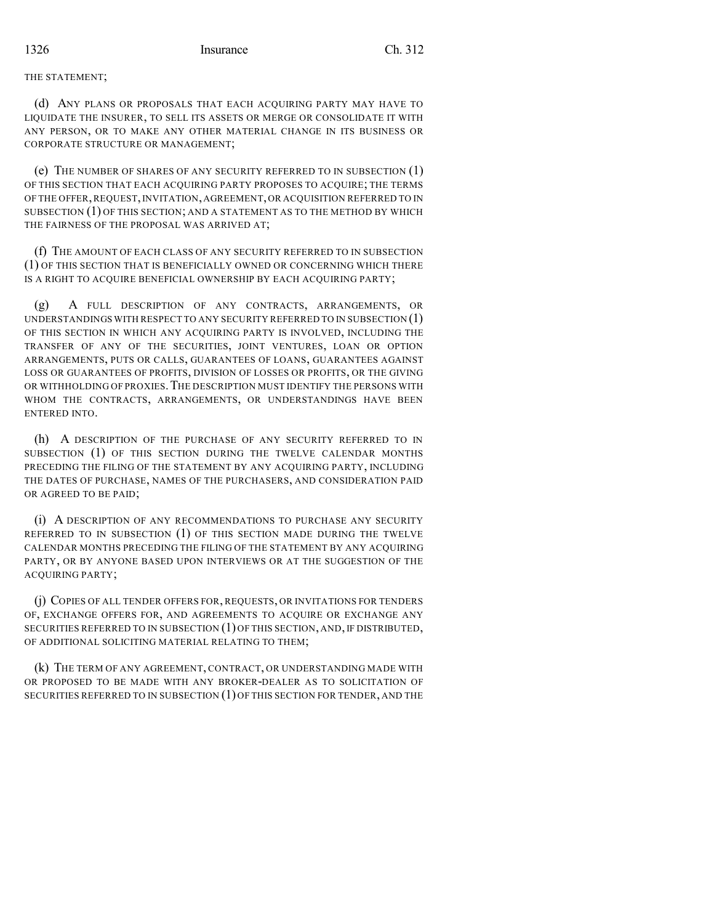#### THE STATEMENT;

(d) ANY PLANS OR PROPOSALS THAT EACH ACQUIRING PARTY MAY HAVE TO LIQUIDATE THE INSURER, TO SELL ITS ASSETS OR MERGE OR CONSOLIDATE IT WITH ANY PERSON, OR TO MAKE ANY OTHER MATERIAL CHANGE IN ITS BUSINESS OR CORPORATE STRUCTURE OR MANAGEMENT;

(e) THE NUMBER OF SHARES OF ANY SECURITY REFERRED TO IN SUBSECTION (1) OF THIS SECTION THAT EACH ACQUIRING PARTY PROPOSES TO ACQUIRE; THE TERMS OF THE OFFER, REQUEST, INVITATION, AGREEMENT, OR ACQUISITION REFERRED TO IN SUBSECTION (1) OF THIS SECTION; AND A STATEMENT AS TO THE METHOD BY WHICH THE FAIRNESS OF THE PROPOSAL WAS ARRIVED AT;

(f) THE AMOUNT OF EACH CLASS OF ANY SECURITY REFERRED TO IN SUBSECTION (1) OF THIS SECTION THAT IS BENEFICIALLY OWNED OR CONCERNING WHICH THERE IS A RIGHT TO ACQUIRE BENEFICIAL OWNERSHIP BY EACH ACQUIRING PARTY;

(g) A FULL DESCRIPTION OF ANY CONTRACTS, ARRANGEMENTS, OR UNDERSTANDINGS WITH RESPECT TO ANY SECURITY REFERRED TO IN SUBSECTION  $(1)$ OF THIS SECTION IN WHICH ANY ACQUIRING PARTY IS INVOLVED, INCLUDING THE TRANSFER OF ANY OF THE SECURITIES, JOINT VENTURES, LOAN OR OPTION ARRANGEMENTS, PUTS OR CALLS, GUARANTEES OF LOANS, GUARANTEES AGAINST LOSS OR GUARANTEES OF PROFITS, DIVISION OF LOSSES OR PROFITS, OR THE GIVING OR WITHHOLDING OF PROXIES. THE DESCRIPTION MUST IDENTIFY THE PERSONS WITH WHOM THE CONTRACTS, ARRANGEMENTS, OR UNDERSTANDINGS HAVE BEEN ENTERED INTO.

(h) A DESCRIPTION OF THE PURCHASE OF ANY SECURITY REFERRED TO IN SUBSECTION (1) OF THIS SECTION DURING THE TWELVE CALENDAR MONTHS PRECEDING THE FILING OF THE STATEMENT BY ANY ACQUIRING PARTY, INCLUDING THE DATES OF PURCHASE, NAMES OF THE PURCHASERS, AND CONSIDERATION PAID OR AGREED TO BE PAID;

(i) A DESCRIPTION OF ANY RECOMMENDATIONS TO PURCHASE ANY SECURITY REFERRED TO IN SUBSECTION (1) OF THIS SECTION MADE DURING THE TWELVE CALENDAR MONTHS PRECEDING THE FILING OF THE STATEMENT BY ANY ACQUIRING PARTY, OR BY ANYONE BASED UPON INTERVIEWS OR AT THE SUGGESTION OF THE ACQUIRING PARTY;

(j) COPIES OF ALL TENDER OFFERS FOR, REQUESTS, OR INVITATIONS FOR TENDERS OF, EXCHANGE OFFERS FOR, AND AGREEMENTS TO ACQUIRE OR EXCHANGE ANY SECURITIES REFERRED TO IN SUBSECTION (1) OF THIS SECTION, AND, IF DISTRIBUTED, OF ADDITIONAL SOLICITING MATERIAL RELATING TO THEM;

(k) THE TERM OF ANY AGREEMENT, CONTRACT, OR UNDERSTANDING MADE WITH OR PROPOSED TO BE MADE WITH ANY BROKER-DEALER AS TO SOLICITATION OF SECURITIES REFERRED TO IN SUBSECTION (1) OF THIS SECTION FOR TENDER, AND THE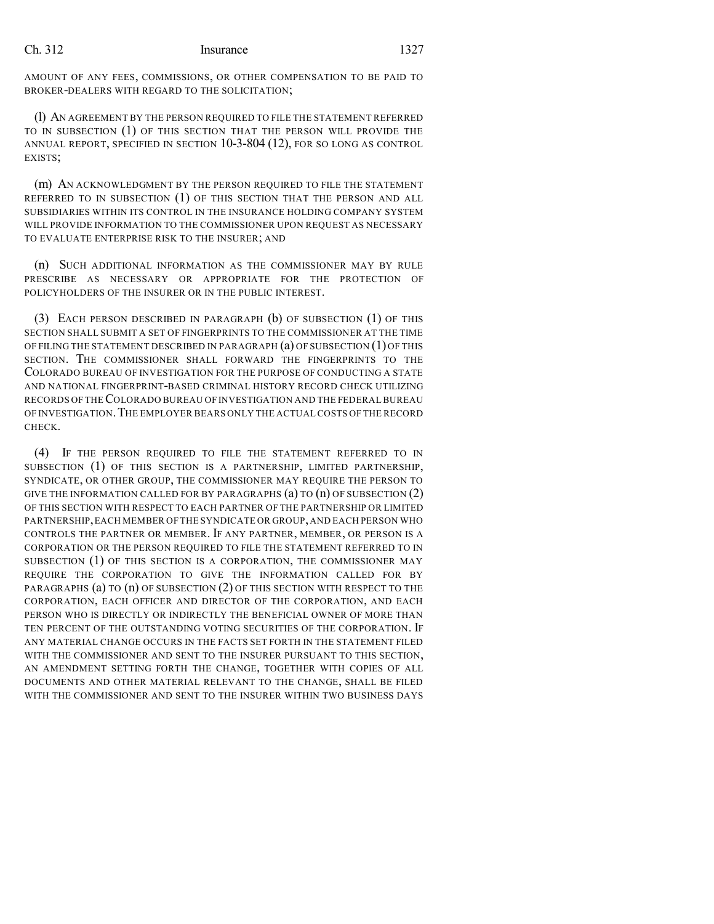AMOUNT OF ANY FEES, COMMISSIONS, OR OTHER COMPENSATION TO BE PAID TO BROKER-DEALERS WITH REGARD TO THE SOLICITATION;

(l) AN AGREEMENT BY THE PERSON REQUIRED TO FILE THE STATEMENT REFERRED TO IN SUBSECTION (1) OF THIS SECTION THAT THE PERSON WILL PROVIDE THE ANNUAL REPORT, SPECIFIED IN SECTION 10-3-804 (12), FOR SO LONG AS CONTROL EXISTS;

(m) AN ACKNOWLEDGMENT BY THE PERSON REQUIRED TO FILE THE STATEMENT REFERRED TO IN SUBSECTION (1) OF THIS SECTION THAT THE PERSON AND ALL SUBSIDIARIES WITHIN ITS CONTROL IN THE INSURANCE HOLDING COMPANY SYSTEM WILL PROVIDE INFORMATION TO THE COMMISSIONER UPON REQUEST AS NECESSARY TO EVALUATE ENTERPRISE RISK TO THE INSURER; AND

(n) SUCH ADDITIONAL INFORMATION AS THE COMMISSIONER MAY BY RULE PRESCRIBE AS NECESSARY OR APPROPRIATE FOR THE PROTECTION OF POLICYHOLDERS OF THE INSURER OR IN THE PUBLIC INTEREST.

(3) EACH PERSON DESCRIBED IN PARAGRAPH (b) OF SUBSECTION (1) OF THIS SECTION SHALL SUBMIT A SET OF FINGERPRINTS TO THE COMMISSIONER AT THE TIME OF FILING THE STATEMENT DESCRIBED IN PARAGRAPH (a) OF SUBSECTION (1) OF THIS SECTION. THE COMMISSIONER SHALL FORWARD THE FINGERPRINTS TO THE COLORADO BUREAU OF INVESTIGATION FOR THE PURPOSE OF CONDUCTING A STATE AND NATIONAL FINGERPRINT-BASED CRIMINAL HISTORY RECORD CHECK UTILIZING RECORDS OF THECOLORADO BUREAU OF INVESTIGATION AND THE FEDERAL BUREAU OF INVESTIGATION.THE EMPLOYER BEARS ONLY THE ACTUALCOSTS OF THE RECORD CHECK.

(4) IF THE PERSON REQUIRED TO FILE THE STATEMENT REFERRED TO IN SUBSECTION (1) OF THIS SECTION IS A PARTNERSHIP, LIMITED PARTNERSHIP, SYNDICATE, OR OTHER GROUP, THE COMMISSIONER MAY REQUIRE THE PERSON TO GIVE THE INFORMATION CALLED FOR BY PARAGRAPHS (a) TO (n) OF SUBSECTION (2) OF THIS SECTION WITH RESPECT TO EACH PARTNER OF THE PARTNERSHIP OR LIMITED PARTNERSHIP,EACH MEMBER OF THE SYNDICATE OR GROUP,AND EACH PERSON WHO CONTROLS THE PARTNER OR MEMBER. IF ANY PARTNER, MEMBER, OR PERSON IS A CORPORATION OR THE PERSON REQUIRED TO FILE THE STATEMENT REFERRED TO IN SUBSECTION (1) OF THIS SECTION IS A CORPORATION, THE COMMISSIONER MAY REQUIRE THE CORPORATION TO GIVE THE INFORMATION CALLED FOR BY PARAGRAPHS (a) TO (n) OF SUBSECTION (2) OF THIS SECTION WITH RESPECT TO THE CORPORATION, EACH OFFICER AND DIRECTOR OF THE CORPORATION, AND EACH PERSON WHO IS DIRECTLY OR INDIRECTLY THE BENEFICIAL OWNER OF MORE THAN TEN PERCENT OF THE OUTSTANDING VOTING SECURITIES OF THE CORPORATION. IF ANY MATERIAL CHANGE OCCURS IN THE FACTS SET FORTH IN THE STATEMENT FILED WITH THE COMMISSIONER AND SENT TO THE INSURER PURSUANT TO THIS SECTION, AN AMENDMENT SETTING FORTH THE CHANGE, TOGETHER WITH COPIES OF ALL DOCUMENTS AND OTHER MATERIAL RELEVANT TO THE CHANGE, SHALL BE FILED WITH THE COMMISSIONER AND SENT TO THE INSURER WITHIN TWO BUSINESS DAYS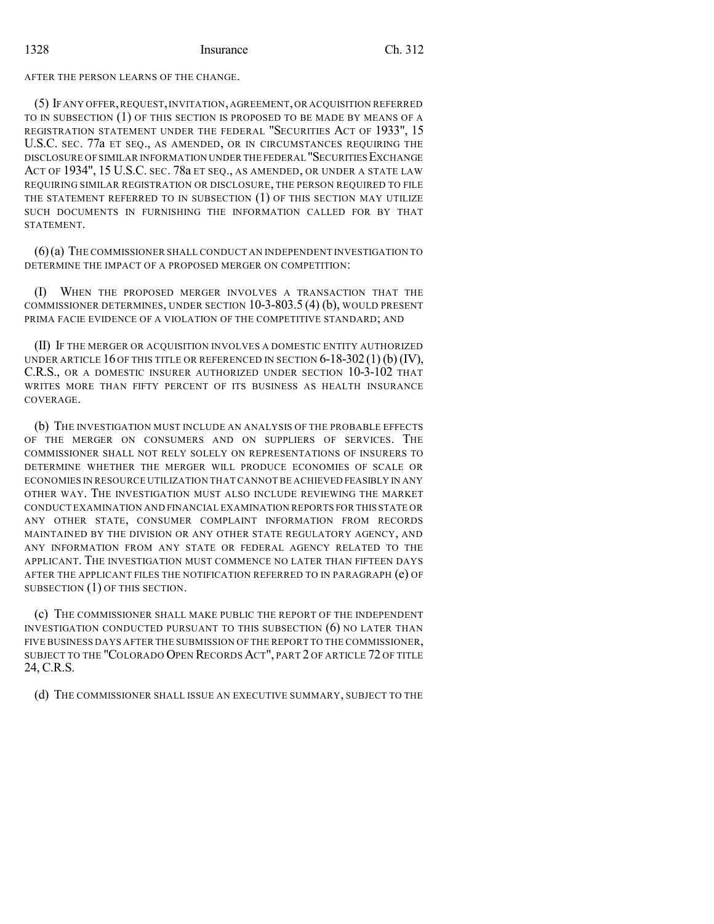### AFTER THE PERSON LEARNS OF THE CHANGE.

(5) IF ANY OFFER,REQUEST,INVITATION,AGREEMENT,OR ACQUISITION REFERRED TO IN SUBSECTION (1) OF THIS SECTION IS PROPOSED TO BE MADE BY MEANS OF A REGISTRATION STATEMENT UNDER THE FEDERAL "SECURITIES ACT OF 1933", 15 U.S.C. SEC. 77a ET SEQ., AS AMENDED, OR IN CIRCUMSTANCES REQUIRING THE DISCLOSURE OF SIMILAR INFORMATION UNDER THE FEDERAL "SECURITIESEXCHANGE ACT OF 1934", 15 U.S.C. SEC. 78a ET SEQ., AS AMENDED, OR UNDER A STATE LAW REQUIRING SIMILAR REGISTRATION OR DISCLOSURE, THE PERSON REQUIRED TO FILE THE STATEMENT REFERRED TO IN SUBSECTION (1) OF THIS SECTION MAY UTILIZE SUCH DOCUMENTS IN FURNISHING THE INFORMATION CALLED FOR BY THAT STATEMENT.

(6)(a) THE COMMISSIONER SHALL CONDUCT AN INDEPENDENT INVESTIGATION TO DETERMINE THE IMPACT OF A PROPOSED MERGER ON COMPETITION:

(I) WHEN THE PROPOSED MERGER INVOLVES A TRANSACTION THAT THE COMMISSIONER DETERMINES, UNDER SECTION 10-3-803.5 (4) (b), WOULD PRESENT PRIMA FACIE EVIDENCE OF A VIOLATION OF THE COMPETITIVE STANDARD; AND

(II) IF THE MERGER OR ACQUISITION INVOLVES A DOMESTIC ENTITY AUTHORIZED UNDER ARTICLE 16 OF THIS TITLE OR REFERENCED IN SECTION  $6-18-302(1)$  (b) (IV), C.R.S., OR A DOMESTIC INSURER AUTHORIZED UNDER SECTION 10-3-102 THAT WRITES MORE THAN FIFTY PERCENT OF ITS BUSINESS AS HEALTH INSURANCE COVERAGE.

(b) THE INVESTIGATION MUST INCLUDE AN ANALYSIS OF THE PROBABLE EFFECTS OF THE MERGER ON CONSUMERS AND ON SUPPLIERS OF SERVICES. THE COMMISSIONER SHALL NOT RELY SOLELY ON REPRESENTATIONS OF INSURERS TO DETERMINE WHETHER THE MERGER WILL PRODUCE ECONOMIES OF SCALE OR ECONOMIES IN RESOURCE UTILIZATION THATCANNOT BE ACHIEVED FEASIBLY IN ANY OTHER WAY. THE INVESTIGATION MUST ALSO INCLUDE REVIEWING THE MARKET CONDUCT EXAMINATION AND FINANCIAL EXAMINATION REPORTS FOR THIS STATE OR ANY OTHER STATE, CONSUMER COMPLAINT INFORMATION FROM RECORDS MAINTAINED BY THE DIVISION OR ANY OTHER STATE REGULATORY AGENCY, AND ANY INFORMATION FROM ANY STATE OR FEDERAL AGENCY RELATED TO THE APPLICANT. THE INVESTIGATION MUST COMMENCE NO LATER THAN FIFTEEN DAYS AFTER THE APPLICANT FILES THE NOTIFICATION REFERRED TO IN PARAGRAPH (e) OF SUBSECTION (1) OF THIS SECTION.

(c) THE COMMISSIONER SHALL MAKE PUBLIC THE REPORT OF THE INDEPENDENT INVESTIGATION CONDUCTED PURSUANT TO THIS SUBSECTION (6) NO LATER THAN FIVE BUSINESS DAYS AFTER THE SUBMISSION OF THE REPORT TO THE COMMISSIONER, SUBJECT TO THE "COLORADO OPEN RECORDS ACT", PART 2 OF ARTICLE 72 OF TITLE 24, C.R.S.

(d) THE COMMISSIONER SHALL ISSUE AN EXECUTIVE SUMMARY, SUBJECT TO THE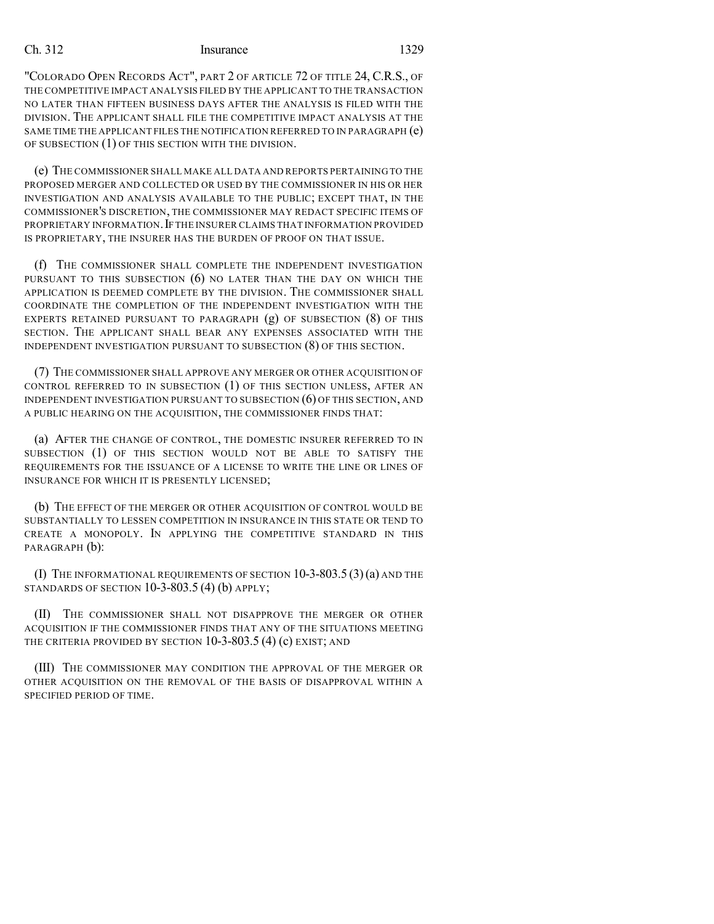"COLORADO OPEN RECORDS ACT", PART 2 OF ARTICLE 72 OF TITLE 24, C.R.S., OF THE COMPETITIVE IMPACT ANALYSIS FILED BY THE APPLICANT TO THE TRANSACTION NO LATER THAN FIFTEEN BUSINESS DAYS AFTER THE ANALYSIS IS FILED WITH THE DIVISION. THE APPLICANT SHALL FILE THE COMPETITIVE IMPACT ANALYSIS AT THE SAME TIME THE APPLICANT FILES THE NOTIFICATION REFERRED TO IN PARAGRAPH (e) OF SUBSECTION (1) OF THIS SECTION WITH THE DIVISION.

(e) THE COMMISSIONER SHALL MAKE ALL DATA AND REPORTS PERTAINING TO THE PROPOSED MERGER AND COLLECTED OR USED BY THE COMMISSIONER IN HIS OR HER INVESTIGATION AND ANALYSIS AVAILABLE TO THE PUBLIC; EXCEPT THAT, IN THE COMMISSIONER'S DISCRETION, THE COMMISSIONER MAY REDACT SPECIFIC ITEMS OF PROPRIETARY INFORMATION.IF THE INSURER CLAIMS THAT INFORMATION PROVIDED IS PROPRIETARY, THE INSURER HAS THE BURDEN OF PROOF ON THAT ISSUE.

(f) THE COMMISSIONER SHALL COMPLETE THE INDEPENDENT INVESTIGATION PURSUANT TO THIS SUBSECTION  $(6)$  NO LATER THAN THE DAY ON WHICH THE APPLICATION IS DEEMED COMPLETE BY THE DIVISION. THE COMMISSIONER SHALL COORDINATE THE COMPLETION OF THE INDEPENDENT INVESTIGATION WITH THE EXPERTS RETAINED PURSUANT TO PARAGRAPH (g) OF SUBSECTION (8) OF THIS SECTION. THE APPLICANT SHALL BEAR ANY EXPENSES ASSOCIATED WITH THE INDEPENDENT INVESTIGATION PURSUANT TO SUBSECTION (8) OF THIS SECTION.

(7) THE COMMISSIONER SHALL APPROVE ANY MERGER OR OTHER ACQUISITION OF CONTROL REFERRED TO IN SUBSECTION (1) OF THIS SECTION UNLESS, AFTER AN INDEPENDENT INVESTIGATION PURSUANT TO SUBSECTION (6) OF THIS SECTION, AND A PUBLIC HEARING ON THE ACQUISITION, THE COMMISSIONER FINDS THAT:

(a) AFTER THE CHANGE OF CONTROL, THE DOMESTIC INSURER REFERRED TO IN SUBSECTION (1) OF THIS SECTION WOULD NOT BE ABLE TO SATISFY THE REQUIREMENTS FOR THE ISSUANCE OF A LICENSE TO WRITE THE LINE OR LINES OF INSURANCE FOR WHICH IT IS PRESENTLY LICENSED;

(b) THE EFFECT OF THE MERGER OR OTHER ACQUISITION OF CONTROL WOULD BE SUBSTANTIALLY TO LESSEN COMPETITION IN INSURANCE IN THIS STATE OR TEND TO CREATE A MONOPOLY. IN APPLYING THE COMPETITIVE STANDARD IN THIS PARAGRAPH (b):

(I) THE INFORMATIONAL REQUIREMENTS OF SECTION 10-3-803.5 (3)(a) AND THE STANDARDS OF SECTION 10-3-803.5 (4) (b) APPLY;

(II) THE COMMISSIONER SHALL NOT DISAPPROVE THE MERGER OR OTHER ACQUISITION IF THE COMMISSIONER FINDS THAT ANY OF THE SITUATIONS MEETING THE CRITERIA PROVIDED BY SECTION 10-3-803.5 (4) (c) EXIST; AND

(III) THE COMMISSIONER MAY CONDITION THE APPROVAL OF THE MERGER OR OTHER ACQUISITION ON THE REMOVAL OF THE BASIS OF DISAPPROVAL WITHIN A SPECIFIED PERIOD OF TIME.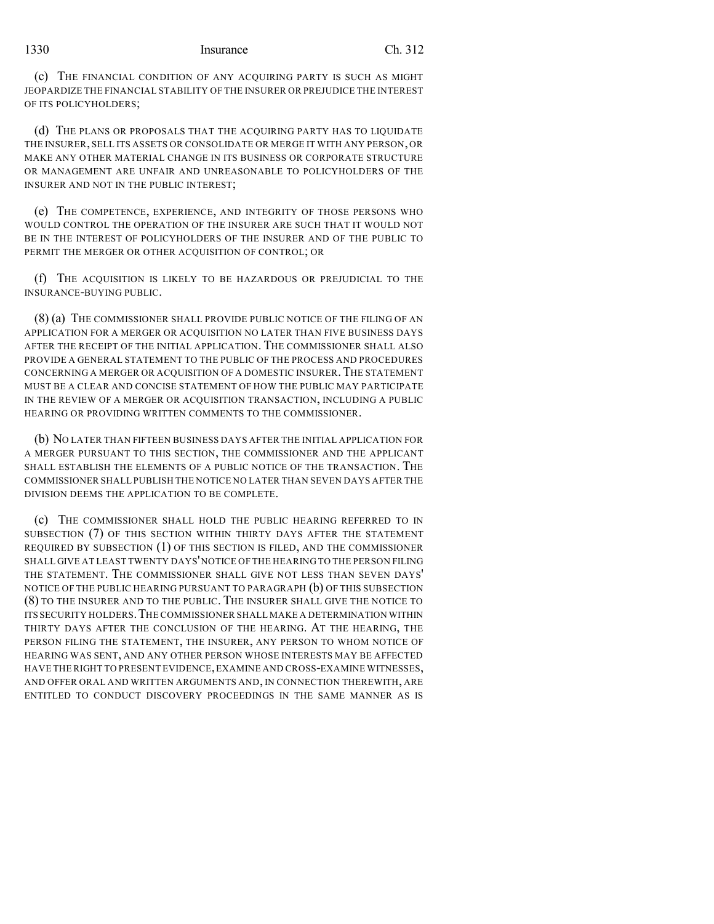#### 1330 **Insurance** Ch. 312

(c) THE FINANCIAL CONDITION OF ANY ACQUIRING PARTY IS SUCH AS MIGHT JEOPARDIZE THE FINANCIAL STABILITY OF THE INSURER OR PREJUDICE THE INTEREST OF ITS POLICYHOLDERS;

(d) THE PLANS OR PROPOSALS THAT THE ACQUIRING PARTY HAS TO LIQUIDATE THE INSURER, SELL ITS ASSETS OR CONSOLIDATE OR MERGE IT WITH ANY PERSON, OR MAKE ANY OTHER MATERIAL CHANGE IN ITS BUSINESS OR CORPORATE STRUCTURE OR MANAGEMENT ARE UNFAIR AND UNREASONABLE TO POLICYHOLDERS OF THE INSURER AND NOT IN THE PUBLIC INTEREST;

(e) THE COMPETENCE, EXPERIENCE, AND INTEGRITY OF THOSE PERSONS WHO WOULD CONTROL THE OPERATION OF THE INSURER ARE SUCH THAT IT WOULD NOT BE IN THE INTEREST OF POLICYHOLDERS OF THE INSURER AND OF THE PUBLIC TO PERMIT THE MERGER OR OTHER ACQUISITION OF CONTROL; OR

(f) THE ACQUISITION IS LIKELY TO BE HAZARDOUS OR PREJUDICIAL TO THE INSURANCE-BUYING PUBLIC.

(8) (a) THE COMMISSIONER SHALL PROVIDE PUBLIC NOTICE OF THE FILING OF AN APPLICATION FOR A MERGER OR ACQUISITION NO LATER THAN FIVE BUSINESS DAYS AFTER THE RECEIPT OF THE INITIAL APPLICATION. THE COMMISSIONER SHALL ALSO PROVIDE A GENERAL STATEMENT TO THE PUBLIC OF THE PROCESS AND PROCEDURES CONCERNING A MERGER OR ACQUISITION OF A DOMESTIC INSURER.THE STATEMENT MUST BE A CLEAR AND CONCISE STATEMENT OF HOW THE PUBLIC MAY PARTICIPATE IN THE REVIEW OF A MERGER OR ACQUISITION TRANSACTION, INCLUDING A PUBLIC HEARING OR PROVIDING WRITTEN COMMENTS TO THE COMMISSIONER.

(b) NO LATER THAN FIFTEEN BUSINESS DAYS AFTER THE INITIAL APPLICATION FOR A MERGER PURSUANT TO THIS SECTION, THE COMMISSIONER AND THE APPLICANT SHALL ESTABLISH THE ELEMENTS OF A PUBLIC NOTICE OF THE TRANSACTION. THE COMMISSIONER SHALL PUBLISH THE NOTICE NO LATER THAN SEVEN DAYS AFTER THE DIVISION DEEMS THE APPLICATION TO BE COMPLETE.

(c) THE COMMISSIONER SHALL HOLD THE PUBLIC HEARING REFERRED TO IN SUBSECTION (7) OF THIS SECTION WITHIN THIRTY DAYS AFTER THE STATEMENT REQUIRED BY SUBSECTION (1) OF THIS SECTION IS FILED, AND THE COMMISSIONER SHALL GIVE AT LEAST TWENTY DAYS'NOTICE OF THE HEARING TO THE PERSON FILING THE STATEMENT. THE COMMISSIONER SHALL GIVE NOT LESS THAN SEVEN DAYS' NOTICE OF THE PUBLIC HEARING PURSUANT TO PARAGRAPH (b) OF THIS SUBSECTION (8) TO THE INSURER AND TO THE PUBLIC. THE INSURER SHALL GIVE THE NOTICE TO ITS SECURITY HOLDERS.THE COMMISSIONER SHALL MAKE A DETERMINATION WITHIN THIRTY DAYS AFTER THE CONCLUSION OF THE HEARING. AT THE HEARING, THE PERSON FILING THE STATEMENT, THE INSURER, ANY PERSON TO WHOM NOTICE OF HEARING WAS SENT, AND ANY OTHER PERSON WHOSE INTERESTS MAY BE AFFECTED HAVE THE RIGHT TO PRESENT EVIDENCE,EXAMINE AND CROSS-EXAMINE WITNESSES, AND OFFER ORAL AND WRITTEN ARGUMENTS AND, IN CONNECTION THEREWITH, ARE ENTITLED TO CONDUCT DISCOVERY PROCEEDINGS IN THE SAME MANNER AS IS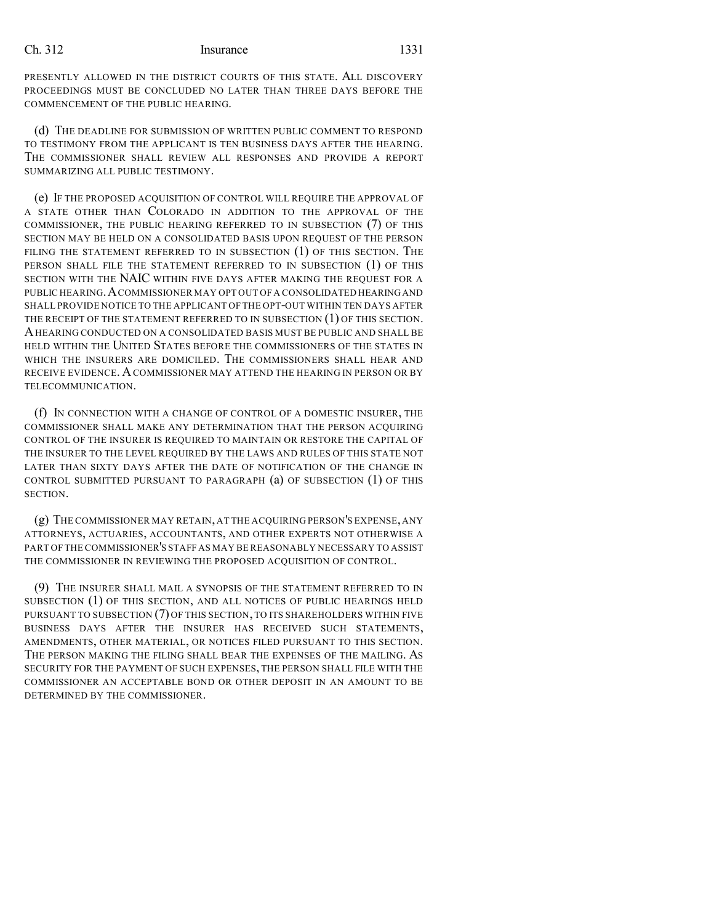PRESENTLY ALLOWED IN THE DISTRICT COURTS OF THIS STATE. ALL DISCOVERY PROCEEDINGS MUST BE CONCLUDED NO LATER THAN THREE DAYS BEFORE THE COMMENCEMENT OF THE PUBLIC HEARING.

(d) THE DEADLINE FOR SUBMISSION OF WRITTEN PUBLIC COMMENT TO RESPOND TO TESTIMONY FROM THE APPLICANT IS TEN BUSINESS DAYS AFTER THE HEARING. THE COMMISSIONER SHALL REVIEW ALL RESPONSES AND PROVIDE A REPORT SUMMARIZING ALL PUBLIC TESTIMONY.

(e) IF THE PROPOSED ACQUISITION OF CONTROL WILL REQUIRE THE APPROVAL OF A STATE OTHER THAN COLORADO IN ADDITION TO THE APPROVAL OF THE COMMISSIONER, THE PUBLIC HEARING REFERRED TO IN SUBSECTION (7) OF THIS SECTION MAY BE HELD ON A CONSOLIDATED BASIS UPON REQUEST OF THE PERSON FILING THE STATEMENT REFERRED TO IN SUBSECTION (1) OF THIS SECTION. THE PERSON SHALL FILE THE STATEMENT REFERRED TO IN SUBSECTION (1) OF THIS SECTION WITH THE NAIC WITHIN FIVE DAYS AFTER MAKING THE REQUEST FOR A PUBLIC HEARING.ACOMMISSIONER MAY OPT OUT OF A CONSOLIDATED HEARINGAND SHALL PROVIDE NOTICE TO THE APPLICANT OF THE OPT-OUT WITHIN TEN DAYS AFTER THE RECEIPT OF THE STATEMENT REFERRED TO IN SUBSECTION (1) OF THIS SECTION. AHEARING CONDUCTED ON A CONSOLIDATED BASIS MUST BE PUBLIC AND SHALL BE HELD WITHIN THE UNITED STATES BEFORE THE COMMISSIONERS OF THE STATES IN WHICH THE INSURERS ARE DOMICILED. THE COMMISSIONERS SHALL HEAR AND RECEIVE EVIDENCE. ACOMMISSIONER MAY ATTEND THE HEARING IN PERSON OR BY TELECOMMUNICATION.

(f) IN CONNECTION WITH A CHANGE OF CONTROL OF A DOMESTIC INSURER, THE COMMISSIONER SHALL MAKE ANY DETERMINATION THAT THE PERSON ACQUIRING CONTROL OF THE INSURER IS REQUIRED TO MAINTAIN OR RESTORE THE CAPITAL OF THE INSURER TO THE LEVEL REQUIRED BY THE LAWS AND RULES OF THIS STATE NOT LATER THAN SIXTY DAYS AFTER THE DATE OF NOTIFICATION OF THE CHANGE IN CONTROL SUBMITTED PURSUANT TO PARAGRAPH (a) OF SUBSECTION (1) OF THIS SECTION.

(g) THE COMMISSIONER MAY RETAIN, AT THE ACQUIRING PERSON'S EXPENSE, ANY ATTORNEYS, ACTUARIES, ACCOUNTANTS, AND OTHER EXPERTS NOT OTHERWISE A PART OF THE COMMISSIONER'S STAFF AS MAY BE REASONABLY NECESSARY TO ASSIST THE COMMISSIONER IN REVIEWING THE PROPOSED ACQUISITION OF CONTROL.

(9) THE INSURER SHALL MAIL A SYNOPSIS OF THE STATEMENT REFERRED TO IN SUBSECTION (1) OF THIS SECTION, AND ALL NOTICES OF PUBLIC HEARINGS HELD PURSUANT TO SUBSECTION (7) OF THIS SECTION, TO ITS SHAREHOLDERS WITHIN FIVE BUSINESS DAYS AFTER THE INSURER HAS RECEIVED SUCH STATEMENTS, AMENDMENTS, OTHER MATERIAL, OR NOTICES FILED PURSUANT TO THIS SECTION. THE PERSON MAKING THE FILING SHALL BEAR THE EXPENSES OF THE MAILING. AS SECURITY FOR THE PAYMENT OF SUCH EXPENSES, THE PERSON SHALL FILE WITH THE COMMISSIONER AN ACCEPTABLE BOND OR OTHER DEPOSIT IN AN AMOUNT TO BE DETERMINED BY THE COMMISSIONER.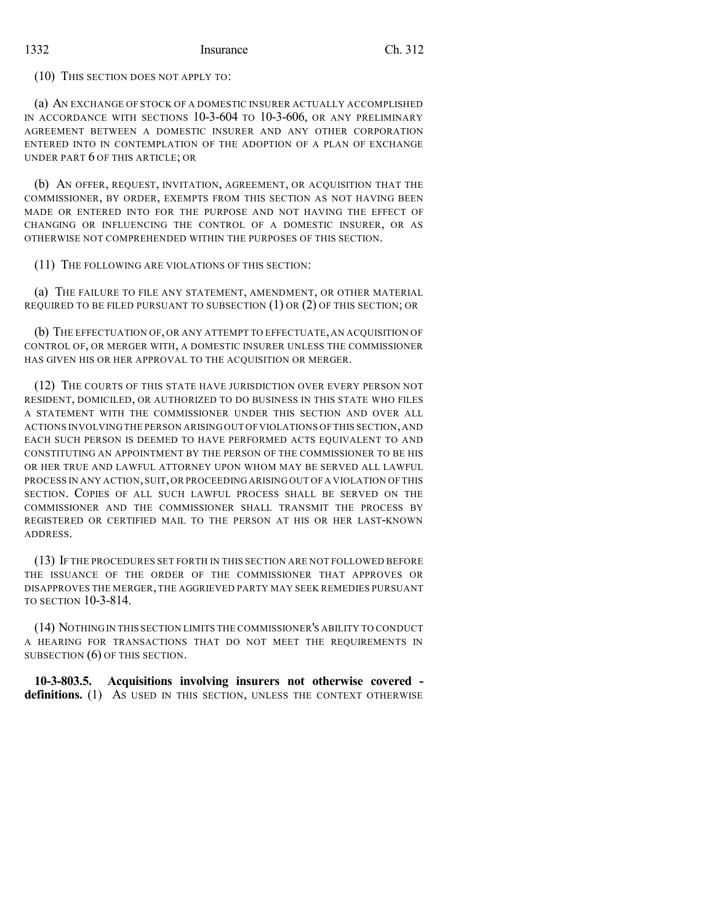(10) THIS SECTION DOES NOT APPLY TO:

(a) AN EXCHANGE OF STOCK OF A DOMESTIC INSURER ACTUALLY ACCOMPLISHED IN ACCORDANCE WITH SECTIONS 10-3-604 TO 10-3-606, OR ANY PRELIMINARY AGREEMENT BETWEEN A DOMESTIC INSURER AND ANY OTHER CORPORATION ENTERED INTO IN CONTEMPLATION OF THE ADOPTION OF A PLAN OF EXCHANGE UNDER PART 6 OF THIS ARTICLE; OR

(b) AN OFFER, REQUEST, INVITATION, AGREEMENT, OR ACQUISITION THAT THE COMMISSIONER, BY ORDER, EXEMPTS FROM THIS SECTION AS NOT HAVING BEEN MADE OR ENTERED INTO FOR THE PURPOSE AND NOT HAVING THE EFFECT OF CHANGING OR INFLUENCING THE CONTROL OF A DOMESTIC INSURER, OR AS OTHERWISE NOT COMPREHENDED WITHIN THE PURPOSES OF THIS SECTION.

(11) THE FOLLOWING ARE VIOLATIONS OF THIS SECTION:

(a) THE FAILURE TO FILE ANY STATEMENT, AMENDMENT, OR OTHER MATERIAL REQUIRED TO BE FILED PURSUANT TO SUBSECTION (1) OR (2) OF THIS SECTION; OR

(b) THE EFFECTUATION OF, OR ANY ATTEMPT TO EFFECTUATE, AN ACQUISITION OF CONTROL OF, OR MERGER WITH, A DOMESTIC INSURER UNLESS THE COMMISSIONER HAS GIVEN HIS OR HER APPROVAL TO THE ACQUISITION OR MERGER.

(12) THE COURTS OF THIS STATE HAVE JURISDICTION OVER EVERY PERSON NOT RESIDENT, DOMICILED, OR AUTHORIZED TO DO BUSINESS IN THIS STATE WHO FILES A STATEMENT WITH THE COMMISSIONER UNDER THIS SECTION AND OVER ALL ACTIONS INVOLVINGTHE PERSON ARISING OUT OFVIOLATIONS OF THIS SECTION, AND EACH SUCH PERSON IS DEEMED TO HAVE PERFORMED ACTS EQUIVALENT TO AND CONSTITUTING AN APPOINTMENT BY THE PERSON OF THE COMMISSIONER TO BE HIS OR HER TRUE AND LAWFUL ATTORNEY UPON WHOM MAY BE SERVED ALL LAWFUL PROCESS IN ANY ACTION,SUIT,OR PROCEEDING ARISING OUT OF A VIOLATION OF THIS SECTION. COPIES OF ALL SUCH LAWFUL PROCESS SHALL BE SERVED ON THE COMMISSIONER AND THE COMMISSIONER SHALL TRANSMIT THE PROCESS BY REGISTERED OR CERTIFIED MAIL TO THE PERSON AT HIS OR HER LAST-KNOWN ADDRESS.

(13) IF THE PROCEDURES SET FORTH IN THIS SECTION ARE NOT FOLLOWED BEFORE THE ISSUANCE OF THE ORDER OF THE COMMISSIONER THAT APPROVES OR DISAPPROVES THE MERGER, THE AGGRIEVED PARTY MAY SEEK REMEDIES PURSUANT TO SECTION 10-3-814.

(14) NOTHINGIN THIS SECTION LIMITS THE COMMISSIONER'S ABILITY TO CONDUCT A HEARING FOR TRANSACTIONS THAT DO NOT MEET THE REQUIREMENTS IN SUBSECTION  $(6)$  OF THIS SECTION.

**10-3-803.5. Acquisitions involving insurers not otherwise covered definitions.** (1) As USED IN THIS SECTION, UNLESS THE CONTEXT OTHERWISE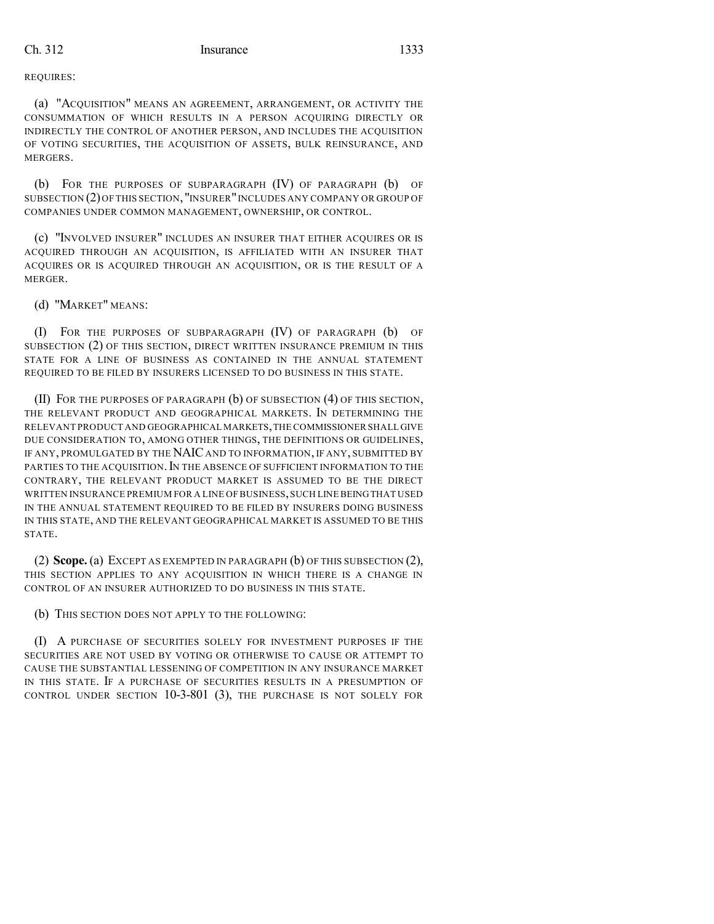REQUIRES:

(a) "ACQUISITION" MEANS AN AGREEMENT, ARRANGEMENT, OR ACTIVITY THE CONSUMMATION OF WHICH RESULTS IN A PERSON ACQUIRING DIRECTLY OR INDIRECTLY THE CONTROL OF ANOTHER PERSON, AND INCLUDES THE ACQUISITION OF VOTING SECURITIES, THE ACQUISITION OF ASSETS, BULK REINSURANCE, AND MERGERS.

(b) FOR THE PURPOSES OF SUBPARAGRAPH (IV) OF PARAGRAPH (b) OF SUBSECTION (2)OF THIS SECTION, "INSURER"INCLUDES ANY COMPANY OR GROUP OF COMPANIES UNDER COMMON MANAGEMENT, OWNERSHIP, OR CONTROL.

(c) "INVOLVED INSURER" INCLUDES AN INSURER THAT EITHER ACQUIRES OR IS ACQUIRED THROUGH AN ACQUISITION, IS AFFILIATED WITH AN INSURER THAT ACQUIRES OR IS ACQUIRED THROUGH AN ACQUISITION, OR IS THE RESULT OF A MERGER.

(d) "MARKET" MEANS:

(I) FOR THE PURPOSES OF SUBPARAGRAPH (IV) OF PARAGRAPH (b) OF SUBSECTION (2) OF THIS SECTION, DIRECT WRITTEN INSURANCE PREMIUM IN THIS STATE FOR A LINE OF BUSINESS AS CONTAINED IN THE ANNUAL STATEMENT REQUIRED TO BE FILED BY INSURERS LICENSED TO DO BUSINESS IN THIS STATE.

(II) FOR THE PURPOSES OF PARAGRAPH (b) OF SUBSECTION (4) OF THIS SECTION, THE RELEVANT PRODUCT AND GEOGRAPHICAL MARKETS. IN DETERMINING THE RELEVANT PRODUCT AND GEOGRAPHICAL MARKETS,THE COMMISSIONER SHALL GIVE DUE CONSIDERATION TO, AMONG OTHER THINGS, THE DEFINITIONS OR GUIDELINES, IF ANY, PROMULGATED BY THE NAIC AND TO INFORMATION, IF ANY, SUBMITTED BY PARTIES TO THE ACQUISITION. IN THE ABSENCE OF SUFFICIENT INFORMATION TO THE CONTRARY, THE RELEVANT PRODUCT MARKET IS ASSUMED TO BE THE DIRECT WRITTEN INSURANCE PREMIUM FOR A LINE OF BUSINESS,SUCH LINE BEINGTHAT USED IN THE ANNUAL STATEMENT REQUIRED TO BE FILED BY INSURERS DOING BUSINESS IN THIS STATE, AND THE RELEVANT GEOGRAPHICAL MARKET IS ASSUMED TO BE THIS STATE.

(2) **Scope.** (a) EXCEPT AS EXEMPTED IN PARAGRAPH (b) OF THIS SUBSECTION (2), THIS SECTION APPLIES TO ANY ACQUISITION IN WHICH THERE IS A CHANGE IN CONTROL OF AN INSURER AUTHORIZED TO DO BUSINESS IN THIS STATE.

(b) THIS SECTION DOES NOT APPLY TO THE FOLLOWING:

(I) A PURCHASE OF SECURITIES SOLELY FOR INVESTMENT PURPOSES IF THE SECURITIES ARE NOT USED BY VOTING OR OTHERWISE TO CAUSE OR ATTEMPT TO CAUSE THE SUBSTANTIAL LESSENING OF COMPETITION IN ANY INSURANCE MARKET IN THIS STATE. IF A PURCHASE OF SECURITIES RESULTS IN A PRESUMPTION OF CONTROL UNDER SECTION 10-3-801 (3), THE PURCHASE IS NOT SOLELY FOR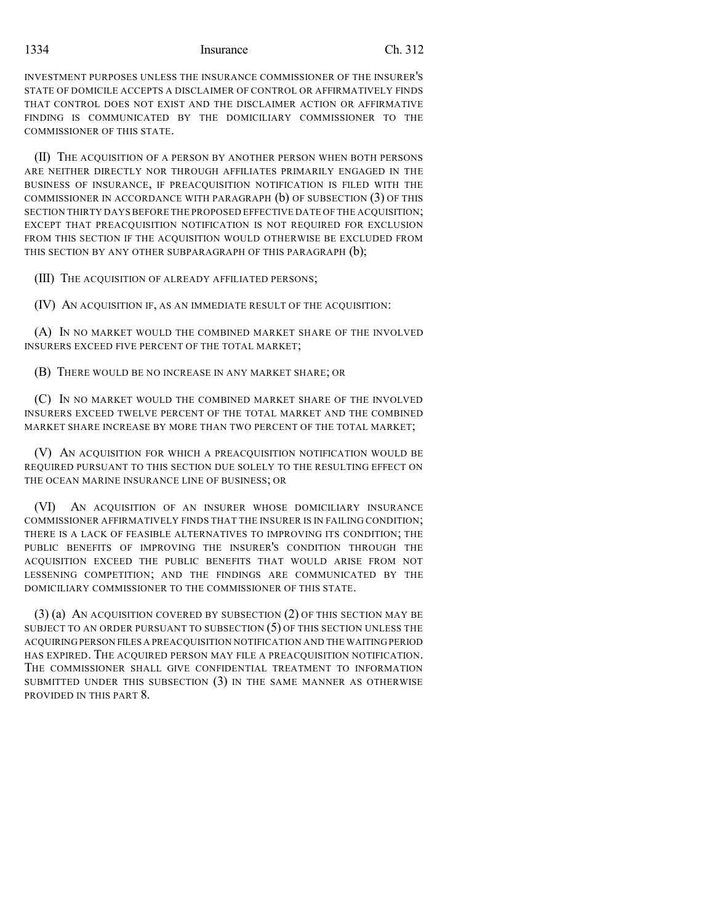1334 Insurance Ch. 312

INVESTMENT PURPOSES UNLESS THE INSURANCE COMMISSIONER OF THE INSURER'S STATE OF DOMICILE ACCEPTS A DISCLAIMER OF CONTROL OR AFFIRMATIVELY FINDS THAT CONTROL DOES NOT EXIST AND THE DISCLAIMER ACTION OR AFFIRMATIVE FINDING IS COMMUNICATED BY THE DOMICILIARY COMMISSIONER TO THE COMMISSIONER OF THIS STATE.

(II) THE ACQUISITION OF A PERSON BY ANOTHER PERSON WHEN BOTH PERSONS ARE NEITHER DIRECTLY NOR THROUGH AFFILIATES PRIMARILY ENGAGED IN THE BUSINESS OF INSURANCE, IF PREACQUISITION NOTIFICATION IS FILED WITH THE COMMISSIONER IN ACCORDANCE WITH PARAGRAPH (b) OF SUBSECTION (3) OF THIS SECTION THIRTY DAYS BEFORE THE PROPOSED EFFECTIVE DATE OF THE ACQUISITION; EXCEPT THAT PREACQUISITION NOTIFICATION IS NOT REQUIRED FOR EXCLUSION FROM THIS SECTION IF THE ACQUISITION WOULD OTHERWISE BE EXCLUDED FROM THIS SECTION BY ANY OTHER SUBPARAGRAPH OF THIS PARAGRAPH (b);

(III) THE ACQUISITION OF ALREADY AFFILIATED PERSONS;

(IV) AN ACQUISITION IF, AS AN IMMEDIATE RESULT OF THE ACQUISITION:

(A) IN NO MARKET WOULD THE COMBINED MARKET SHARE OF THE INVOLVED INSURERS EXCEED FIVE PERCENT OF THE TOTAL MARKET;

(B) THERE WOULD BE NO INCREASE IN ANY MARKET SHARE; OR

(C) IN NO MARKET WOULD THE COMBINED MARKET SHARE OF THE INVOLVED INSURERS EXCEED TWELVE PERCENT OF THE TOTAL MARKET AND THE COMBINED MARKET SHARE INCREASE BY MORE THAN TWO PERCENT OF THE TOTAL MARKET;

(V) AN ACQUISITION FOR WHICH A PREACQUISITION NOTIFICATION WOULD BE REQUIRED PURSUANT TO THIS SECTION DUE SOLELY TO THE RESULTING EFFECT ON THE OCEAN MARINE INSURANCE LINE OF BUSINESS; OR

(VI) AN ACQUISITION OF AN INSURER WHOSE DOMICILIARY INSURANCE COMMISSIONER AFFIRMATIVELY FINDS THAT THE INSURER IS IN FAILING CONDITION; THERE IS A LACK OF FEASIBLE ALTERNATIVES TO IMPROVING ITS CONDITION; THE PUBLIC BENEFITS OF IMPROVING THE INSURER'S CONDITION THROUGH THE ACQUISITION EXCEED THE PUBLIC BENEFITS THAT WOULD ARISE FROM NOT LESSENING COMPETITION; AND THE FINDINGS ARE COMMUNICATED BY THE DOMICILIARY COMMISSIONER TO THE COMMISSIONER OF THIS STATE.

(3) (a) AN ACQUISITION COVERED BY SUBSECTION (2) OF THIS SECTION MAY BE SUBJECT TO AN ORDER PURSUANT TO SUBSECTION (5) OF THIS SECTION UNLESS THE ACQUIRINGPERSON FILES A PREACQUISITION NOTIFICATION AND THE WAITINGPERIOD HAS EXPIRED. THE ACQUIRED PERSON MAY FILE A PREACQUISITION NOTIFICATION. THE COMMISSIONER SHALL GIVE CONFIDENTIAL TREATMENT TO INFORMATION SUBMITTED UNDER THIS SUBSECTION (3) IN THE SAME MANNER AS OTHERWISE PROVIDED IN THIS PART 8.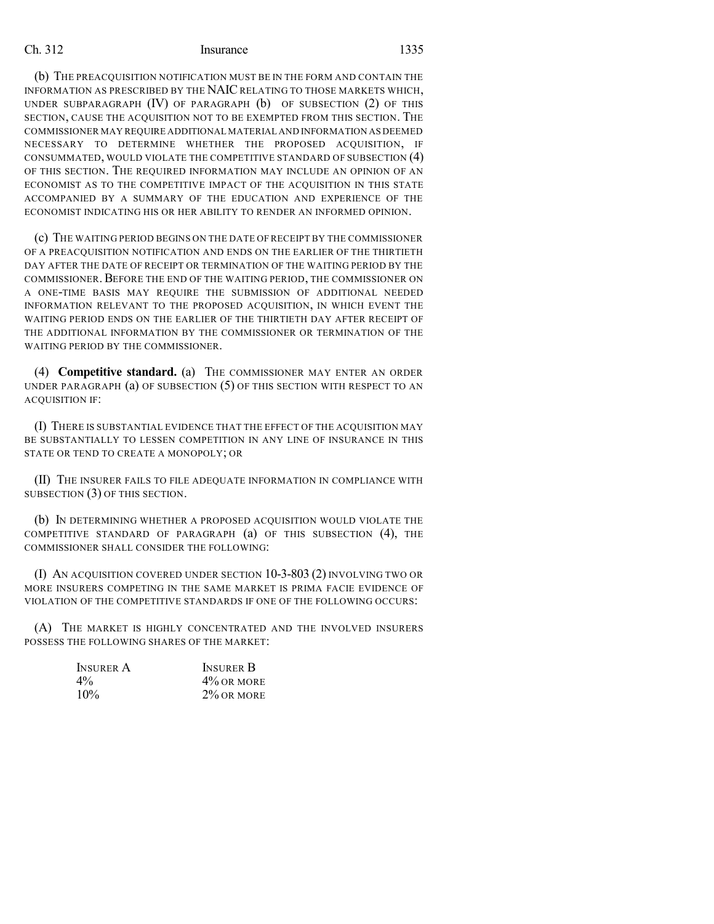(b) THE PREACQUISITION NOTIFICATION MUST BE IN THE FORM AND CONTAIN THE INFORMATION AS PRESCRIBED BY THE NAIC RELATING TO THOSE MARKETS WHICH, UNDER SUBPARAGRAPH (IV) OF PARAGRAPH (b) OF SUBSECTION (2) OF THIS SECTION, CAUSE THE ACQUISITION NOT TO BE EXEMPTED FROM THIS SECTION. THE COMMISSIONER MAY REQUIRE ADDITIONAL MATERIAL AND INFORMATION AS DEEMED NECESSARY TO DETERMINE WHETHER THE PROPOSED ACQUISITION, IF CONSUMMATED, WOULD VIOLATE THE COMPETITIVE STANDARD OF SUBSECTION (4) OF THIS SECTION. THE REQUIRED INFORMATION MAY INCLUDE AN OPINION OF AN ECONOMIST AS TO THE COMPETITIVE IMPACT OF THE ACQUISITION IN THIS STATE ACCOMPANIED BY A SUMMARY OF THE EDUCATION AND EXPERIENCE OF THE ECONOMIST INDICATING HIS OR HER ABILITY TO RENDER AN INFORMED OPINION.

(c) THE WAITING PERIOD BEGINS ON THE DATE OFRECEIPT BY THE COMMISSIONER OF A PREACQUISITION NOTIFICATION AND ENDS ON THE EARLIER OF THE THIRTIETH DAY AFTER THE DATE OF RECEIPT OR TERMINATION OF THE WAITING PERIOD BY THE COMMISSIONER.BEFORE THE END OF THE WAITING PERIOD, THE COMMISSIONER ON A ONE-TIME BASIS MAY REQUIRE THE SUBMISSION OF ADDITIONAL NEEDED INFORMATION RELEVANT TO THE PROPOSED ACQUISITION, IN WHICH EVENT THE WAITING PERIOD ENDS ON THE EARLIER OF THE THIRTIETH DAY AFTER RECEIPT OF THE ADDITIONAL INFORMATION BY THE COMMISSIONER OR TERMINATION OF THE WAITING PERIOD BY THE COMMISSIONER.

(4) **Competitive standard.** (a) THE COMMISSIONER MAY ENTER AN ORDER UNDER PARAGRAPH (a) OF SUBSECTION (5) OF THIS SECTION WITH RESPECT TO AN ACQUISITION IF:

(I) THERE IS SUBSTANTIAL EVIDENCE THAT THE EFFECT OF THE ACQUISITION MAY BE SUBSTANTIALLY TO LESSEN COMPETITION IN ANY LINE OF INSURANCE IN THIS STATE OR TEND TO CREATE A MONOPOLY; OR

(II) THE INSURER FAILS TO FILE ADEQUATE INFORMATION IN COMPLIANCE WITH SUBSECTION (3) OF THIS SECTION.

(b) IN DETERMINING WHETHER A PROPOSED ACQUISITION WOULD VIOLATE THE COMPETITIVE STANDARD OF PARAGRAPH (a) OF THIS SUBSECTION (4), THE COMMISSIONER SHALL CONSIDER THE FOLLOWING:

(I) AN ACQUISITION COVERED UNDER SECTION 10-3-803 (2) INVOLVING TWO OR MORE INSURERS COMPETING IN THE SAME MARKET IS PRIMA FACIE EVIDENCE OF VIOLATION OF THE COMPETITIVE STANDARDS IF ONE OF THE FOLLOWING OCCURS:

(A) THE MARKET IS HIGHLY CONCENTRATED AND THE INVOLVED INSURERS POSSESS THE FOLLOWING SHARES OF THE MARKET:

| <b>INSURER A</b> | <b>INSURER B</b> |
|------------------|------------------|
| $4\%$            | $4\%$ OR MORE    |
| $10\%$           | $2\%$ OR MORE    |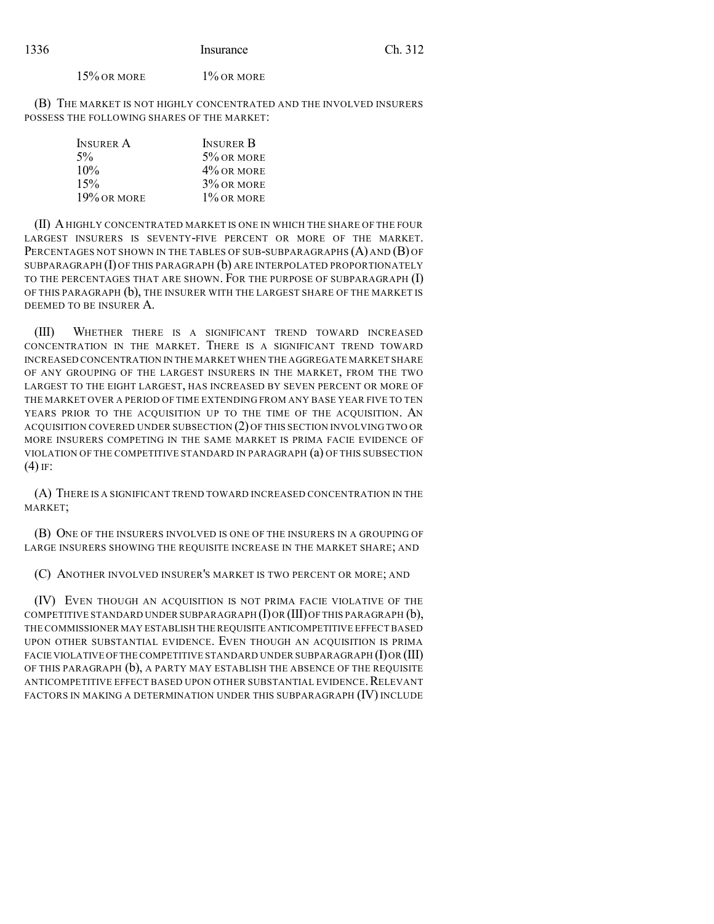15% OR MORE 1% OR MORE

(B) THE MARKET IS NOT HIGHLY CONCENTRATED AND THE INVOLVED INSURERS POSSESS THE FOLLOWING SHARES OF THE MARKET:

| <b>INSURER A</b> | <b>INSURER B</b> |
|------------------|------------------|
| $5\%$            | $5\%$ OR MORE    |
| 10%              | $4\%$ OR MORE    |
| 15%              | $3\%$ OR MORE    |
| $19\%$ or more   | $1\%$ OR MORE    |

(II) AHIGHLY CONCENTRATED MARKET IS ONE IN WHICH THE SHARE OF THE FOUR LARGEST INSURERS IS SEVENTY-FIVE PERCENT OR MORE OF THE MARKET. PERCENTAGES NOT SHOWN IN THE TABLES OF SUB-SUBPARAGRAPHS (A) AND (B) OF SUBPARAGRAPH  $(I)$  OF THIS PARAGRAPH  $(b)$  ARE INTERPOLATED PROPORTIONATELY TO THE PERCENTAGES THAT ARE SHOWN. FOR THE PURPOSE OF SUBPARAGRAPH (I) OF THIS PARAGRAPH (b), THE INSURER WITH THE LARGEST SHARE OF THE MARKET IS DEEMED TO BE INSURER A.

(III) WHETHER THERE IS A SIGNIFICANT TREND TOWARD INCREASED CONCENTRATION IN THE MARKET. THERE IS A SIGNIFICANT TREND TOWARD INCREASED CONCENTRATION IN THE MARKET WHEN THE AGGREGATE MARKET SHARE OF ANY GROUPING OF THE LARGEST INSURERS IN THE MARKET, FROM THE TWO LARGEST TO THE EIGHT LARGEST, HAS INCREASED BY SEVEN PERCENT OR MORE OF THE MARKET OVER A PERIOD OF TIME EXTENDING FROM ANY BASE YEAR FIVE TO TEN YEARS PRIOR TO THE ACOUISITION UP TO THE TIME OF THE ACOUISITION. AN ACQUISITION COVERED UNDER SUBSECTION (2) OF THIS SECTION INVOLVING TWO OR MORE INSURERS COMPETING IN THE SAME MARKET IS PRIMA FACIE EVIDENCE OF VIOLATION OF THE COMPETITIVE STANDARD IN PARAGRAPH (a) OF THIS SUBSECTION  $(4)$  IF:

(A) THERE IS A SIGNIFICANT TREND TOWARD INCREASED CONCENTRATION IN THE MARKET;

(B) ONE OF THE INSURERS INVOLVED IS ONE OF THE INSURERS IN A GROUPING OF LARGE INSURERS SHOWING THE REQUISITE INCREASE IN THE MARKET SHARE; AND

(C) ANOTHER INVOLVED INSURER'S MARKET IS TWO PERCENT OR MORE; AND

(IV) EVEN THOUGH AN ACQUISITION IS NOT PRIMA FACIE VIOLATIVE OF THE COMPETITIVE STANDARD UNDER SUBPARAGRAPH  $(I)$ OR  $(III)$ OF THIS PARAGRAPH  $(b)$ , THE COMMISSIONER MAY ESTABLISH THE REQUISITE ANTICOMPETITIVE EFFECT BASED UPON OTHER SUBSTANTIAL EVIDENCE. EVEN THOUGH AN ACQUISITION IS PRIMA FACIE VIOLATIVE OF THE COMPETITIVE STANDARD UNDER SUBPARAGRAPH  $(I)$ OR  $(III)$ OF THIS PARAGRAPH (b), A PARTY MAY ESTABLISH THE ABSENCE OF THE REQUISITE ANTICOMPETITIVE EFFECT BASED UPON OTHER SUBSTANTIAL EVIDENCE, RELEVANT FACTORS IN MAKING A DETERMINATION UNDER THIS SUBPARAGRAPH (IV) INCLUDE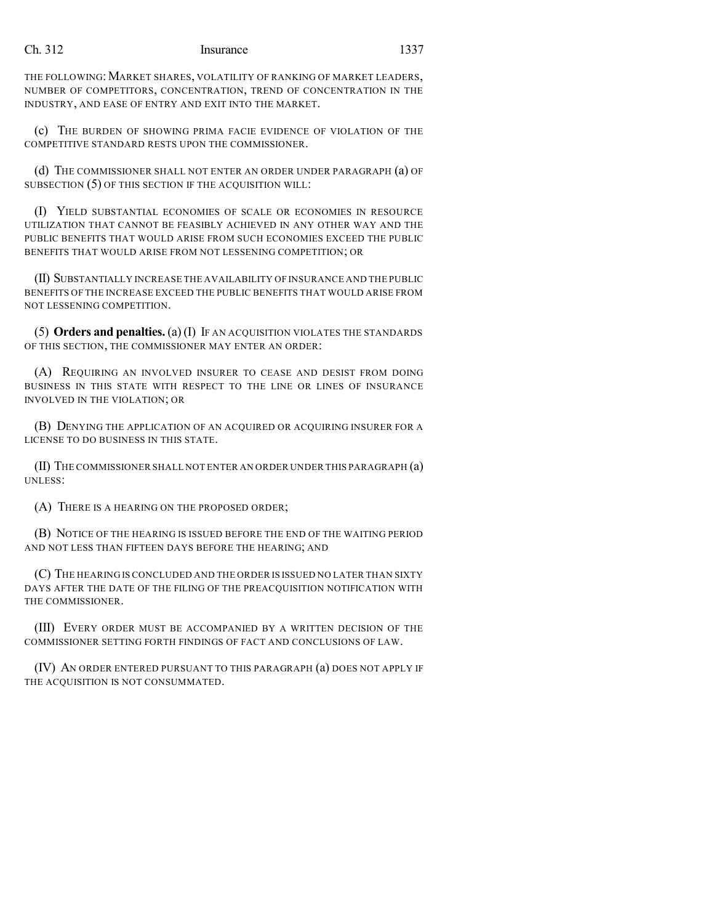THE FOLLOWING: MARKET SHARES, VOLATILITY OF RANKING OF MARKET LEADERS, NUMBER OF COMPETITORS, CONCENTRATION, TREND OF CONCENTRATION IN THE INDUSTRY, AND EASE OF ENTRY AND EXIT INTO THE MARKET.

(c) THE BURDEN OF SHOWING PRIMA FACIE EVIDENCE OF VIOLATION OF THE COMPETITIVE STANDARD RESTS UPON THE COMMISSIONER.

(d) THE COMMISSIONER SHALL NOT ENTER AN ORDER UNDER PARAGRAPH (a) OF SUBSECTION (5) OF THIS SECTION IF THE ACQUISITION WILL:

(I) YIELD SUBSTANTIAL ECONOMIES OF SCALE OR ECONOMIES IN RESOURCE UTILIZATION THAT CANNOT BE FEASIBLY ACHIEVED IN ANY OTHER WAY AND THE PUBLIC BENEFITS THAT WOULD ARISE FROM SUCH ECONOMIES EXCEED THE PUBLIC BENEFITS THAT WOULD ARISE FROM NOT LESSENING COMPETITION; OR

(II) SUBSTANTIALLY INCREASE THE AVAILABILITY OF INSURANCE AND THE PUBLIC BENEFITS OF THE INCREASE EXCEED THE PUBLIC BENEFITS THAT WOULD ARISE FROM NOT LESSENING COMPETITION.

(5) **Orders and penalties.** (a) (I) IF AN ACQUISITION VIOLATES THE STANDARDS OF THIS SECTION, THE COMMISSIONER MAY ENTER AN ORDER:

(A) REQUIRING AN INVOLVED INSURER TO CEASE AND DESIST FROM DOING BUSINESS IN THIS STATE WITH RESPECT TO THE LINE OR LINES OF INSURANCE INVOLVED IN THE VIOLATION; OR

(B) DENYING THE APPLICATION OF AN ACQUIRED OR ACQUIRING INSURER FOR A LICENSE TO DO BUSINESS IN THIS STATE.

(II) THE COMMISSIONER SHALL NOT ENTER AN ORDER UNDER THIS PARAGRAPH (a) UNLESS:

(A) THERE IS A HEARING ON THE PROPOSED ORDER;

(B) NOTICE OF THE HEARING IS ISSUED BEFORE THE END OF THE WAITING PERIOD AND NOT LESS THAN FIFTEEN DAYS BEFORE THE HEARING; AND

(C) THE HEARING IS CONCLUDED AND THE ORDER IS ISSUED NO LATER THAN SIXTY DAYS AFTER THE DATE OF THE FILING OF THE PREACQUISITION NOTIFICATION WITH THE COMMISSIONER.

(III) EVERY ORDER MUST BE ACCOMPANIED BY A WRITTEN DECISION OF THE COMMISSIONER SETTING FORTH FINDINGS OF FACT AND CONCLUSIONS OF LAW.

(IV) AN ORDER ENTERED PURSUANT TO THIS PARAGRAPH (a) DOES NOT APPLY IF THE ACQUISITION IS NOT CONSUMMATED.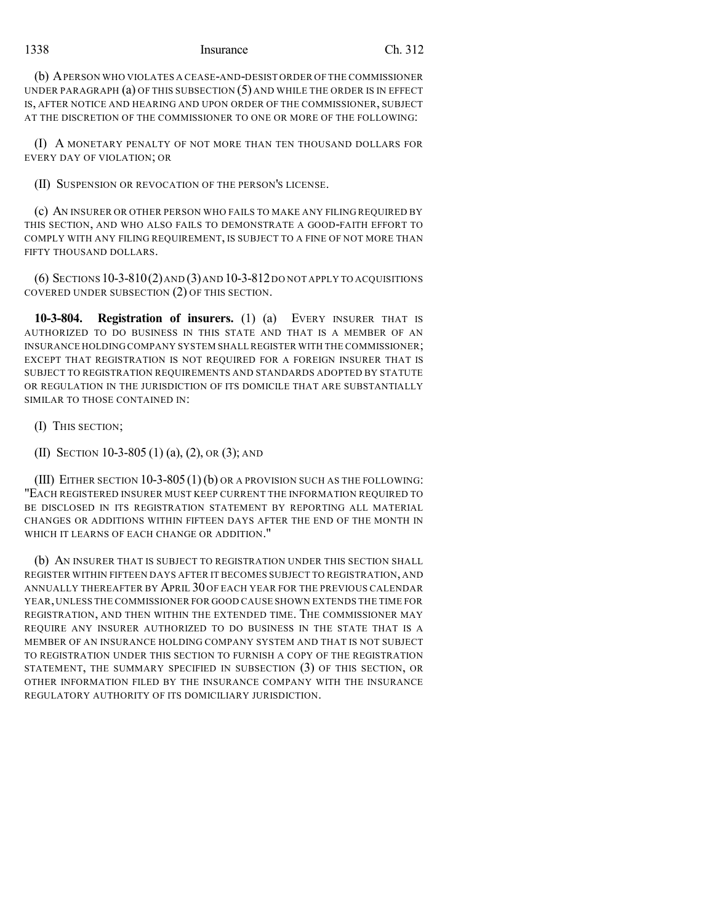## 1338 Insurance Ch. 312

(b) APERSON WHO VIOLATES A CEASE-AND-DESIST ORDER OF THE COMMISSIONER UNDER PARAGRAPH (a) OF THIS SUBSECTION (5) AND WHILE THE ORDER IS IN EFFECT IS, AFTER NOTICE AND HEARING AND UPON ORDER OF THE COMMISSIONER, SUBJECT AT THE DISCRETION OF THE COMMISSIONER TO ONE OR MORE OF THE FOLLOWING:

(I) A MONETARY PENALTY OF NOT MORE THAN TEN THOUSAND DOLLARS FOR EVERY DAY OF VIOLATION; OR

(II) SUSPENSION OR REVOCATION OF THE PERSON'S LICENSE.

(c) AN INSURER OR OTHER PERSON WHO FAILS TO MAKE ANY FILING REQUIRED BY THIS SECTION, AND WHO ALSO FAILS TO DEMONSTRATE A GOOD-FAITH EFFORT TO COMPLY WITH ANY FILING REQUIREMENT, IS SUBJECT TO A FINE OF NOT MORE THAN FIFTY THOUSAND DOLLARS.

(6) SECTIONS 10-3-810(2)AND (3)AND 10-3-812DO NOT APPLY TO ACQUISITIONS COVERED UNDER SUBSECTION (2) OF THIS SECTION.

**10-3-804. Registration of insurers.** (1) (a) EVERY INSURER THAT IS AUTHORIZED TO DO BUSINESS IN THIS STATE AND THAT IS A MEMBER OF AN INSURANCE HOLDING COMPANY SYSTEM SHALL REGISTER WITH THE COMMISSIONER; EXCEPT THAT REGISTRATION IS NOT REQUIRED FOR A FOREIGN INSURER THAT IS SUBJECT TO REGISTRATION REQUIREMENTS AND STANDARDS ADOPTED BY STATUTE OR REGULATION IN THE JURISDICTION OF ITS DOMICILE THAT ARE SUBSTANTIALLY SIMILAR TO THOSE CONTAINED IN:

- (I) THIS SECTION;
- (II) SECTION 10-3-805 (1) (a), (2), OR (3); AND

(III) EITHER SECTION 10-3-805(1)(b) OR A PROVISION SUCH AS THE FOLLOWING: "EACH REGISTERED INSURER MUST KEEP CURRENT THE INFORMATION REQUIRED TO BE DISCLOSED IN ITS REGISTRATION STATEMENT BY REPORTING ALL MATERIAL CHANGES OR ADDITIONS WITHIN FIFTEEN DAYS AFTER THE END OF THE MONTH IN WHICH IT LEARNS OF EACH CHANGE OR ADDITION."

(b) AN INSURER THAT IS SUBJECT TO REGISTRATION UNDER THIS SECTION SHALL REGISTER WITHIN FIFTEEN DAYS AFTER IT BECOMES SUBJECT TO REGISTRATION, AND ANNUALLY THEREAFTER BY APRIL 30 OF EACH YEAR FOR THE PREVIOUS CALENDAR YEAR, UNLESS THE COMMISSIONER FOR GOOD CAUSE SHOWN EXTENDS THE TIME FOR REGISTRATION, AND THEN WITHIN THE EXTENDED TIME. THE COMMISSIONER MAY REQUIRE ANY INSURER AUTHORIZED TO DO BUSINESS IN THE STATE THAT IS A MEMBER OF AN INSURANCE HOLDING COMPANY SYSTEM AND THAT IS NOT SUBJECT TO REGISTRATION UNDER THIS SECTION TO FURNISH A COPY OF THE REGISTRATION STATEMENT, THE SUMMARY SPECIFIED IN SUBSECTION (3) OF THIS SECTION, OR OTHER INFORMATION FILED BY THE INSURANCE COMPANY WITH THE INSURANCE REGULATORY AUTHORITY OF ITS DOMICILIARY JURISDICTION.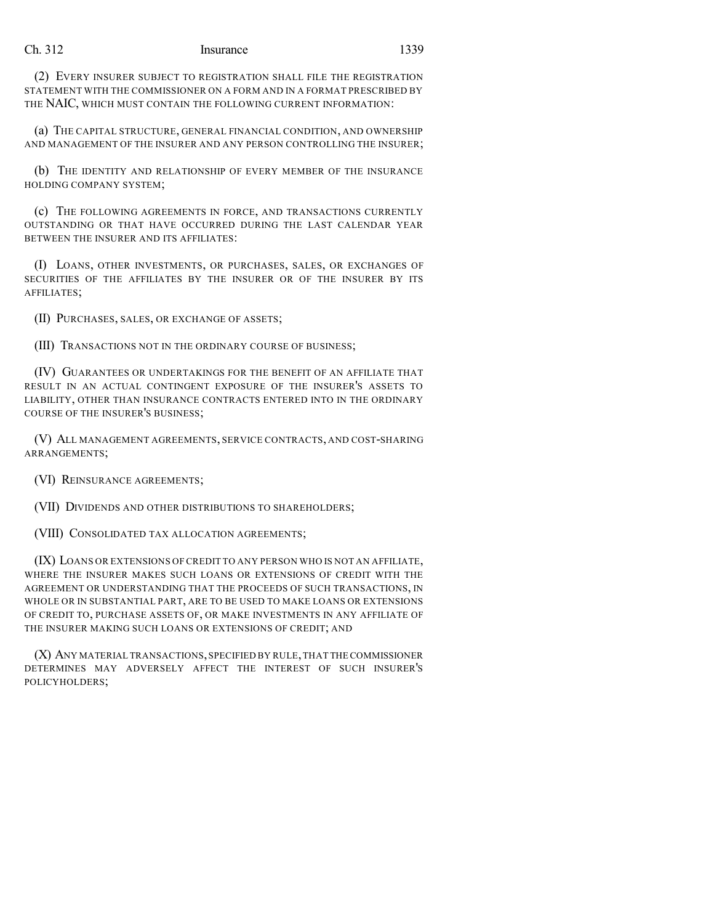(2) EVERY INSURER SUBJECT TO REGISTRATION SHALL FILE THE REGISTRATION STATEMENT WITH THE COMMISSIONER ON A FORM AND IN A FORMAT PRESCRIBED BY THE NAIC, WHICH MUST CONTAIN THE FOLLOWING CURRENT INFORMATION:

(a) THE CAPITAL STRUCTURE, GENERAL FINANCIAL CONDITION, AND OWNERSHIP AND MANAGEMENT OF THE INSURER AND ANY PERSON CONTROLLING THE INSURER;

(b) THE IDENTITY AND RELATIONSHIP OF EVERY MEMBER OF THE INSURANCE HOLDING COMPANY SYSTEM;

(c) THE FOLLOWING AGREEMENTS IN FORCE, AND TRANSACTIONS CURRENTLY OUTSTANDING OR THAT HAVE OCCURRED DURING THE LAST CALENDAR YEAR BETWEEN THE INSURER AND ITS AFFILIATES:

(I) LOANS, OTHER INVESTMENTS, OR PURCHASES, SALES, OR EXCHANGES OF SECURITIES OF THE AFFILIATES BY THE INSURER OR OF THE INSURER BY ITS AFFILIATES;

(II) PURCHASES, SALES, OR EXCHANGE OF ASSETS;

(III) TRANSACTIONS NOT IN THE ORDINARY COURSE OF BUSINESS;

(IV) GUARANTEES OR UNDERTAKINGS FOR THE BENEFIT OF AN AFFILIATE THAT RESULT IN AN ACTUAL CONTINGENT EXPOSURE OF THE INSURER'S ASSETS TO LIABILITY, OTHER THAN INSURANCE CONTRACTS ENTERED INTO IN THE ORDINARY COURSE OF THE INSURER'S BUSINESS;

(V) ALL MANAGEMENT AGREEMENTS, SERVICE CONTRACTS, AND COST-SHARING ARRANGEMENTS;

(VI) REINSURANCE AGREEMENTS;

(VII) DIVIDENDS AND OTHER DISTRIBUTIONS TO SHAREHOLDERS;

(VIII) CONSOLIDATED TAX ALLOCATION AGREEMENTS;

(IX) LOANS OR EXTENSIONS OF CREDIT TO ANY PERSON WHO IS NOT AN AFFILIATE, WHERE THE INSURER MAKES SUCH LOANS OR EXTENSIONS OF CREDIT WITH THE AGREEMENT OR UNDERSTANDING THAT THE PROCEEDS OF SUCH TRANSACTIONS, IN WHOLE OR IN SUBSTANTIAL PART, ARE TO BE USED TO MAKE LOANS OR EXTENSIONS OF CREDIT TO, PURCHASE ASSETS OF, OR MAKE INVESTMENTS IN ANY AFFILIATE OF THE INSURER MAKING SUCH LOANS OR EXTENSIONS OF CREDIT; AND

(X) ANY MATERIAL TRANSACTIONS,SPECIFIED BY RULE,THAT THECOMMISSIONER DETERMINES MAY ADVERSELY AFFECT THE INTEREST OF SUCH INSURER'S POLICYHOLDERS;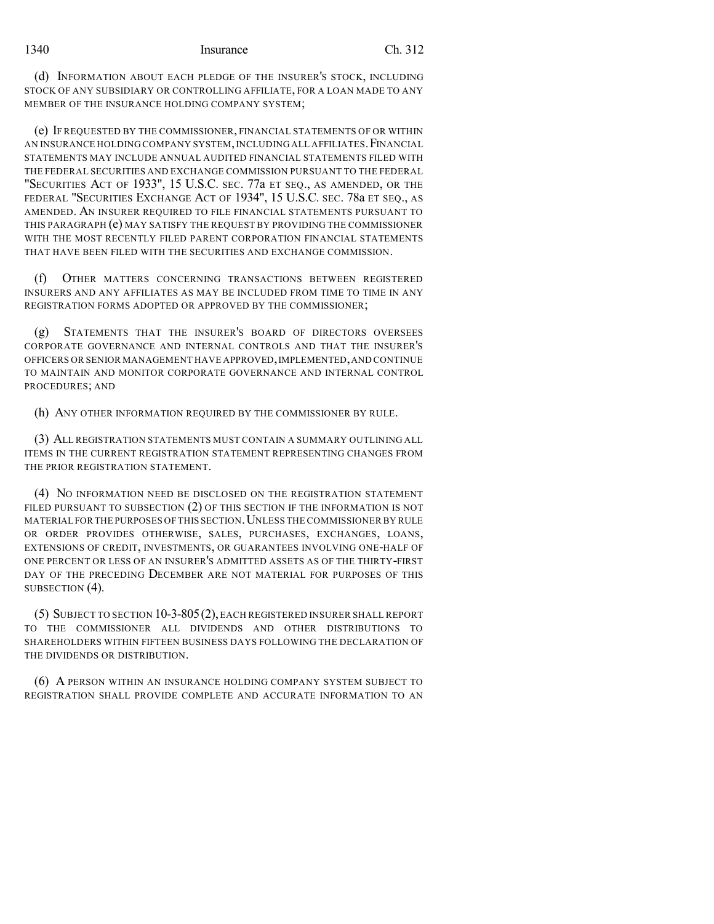(d) INFORMATION ABOUT EACH PLEDGE OF THE INSURER'S STOCK, INCLUDING STOCK OF ANY SUBSIDIARY OR CONTROLLING AFFILIATE, FOR A LOAN MADE TO ANY MEMBER OF THE INSURANCE HOLDING COMPANY SYSTEM;

(e) IF REQUESTED BY THE COMMISSIONER, FINANCIAL STATEMENTS OF OR WITHIN AN INSURANCE HOLDING COMPANY SYSTEM,INCLUDING ALL AFFILIATES.FINANCIAL STATEMENTS MAY INCLUDE ANNUAL AUDITED FINANCIAL STATEMENTS FILED WITH THE FEDERAL SECURITIES AND EXCHANGE COMMISSION PURSUANT TO THE FEDERAL "SECURITIES ACT OF 1933", 15 U.S.C. SEC. 77a ET SEQ., AS AMENDED, OR THE FEDERAL "SECURITIES EXCHANGE ACT OF 1934", 15 U.S.C. SEC. 78a ET SEQ., AS AMENDED. AN INSURER REQUIRED TO FILE FINANCIAL STATEMENTS PURSUANT TO THIS PARAGRAPH (e) MAY SATISFY THE REQUEST BY PROVIDING THE COMMISSIONER WITH THE MOST RECENTLY FILED PARENT CORPORATION FINANCIAL STATEMENTS THAT HAVE BEEN FILED WITH THE SECURITIES AND EXCHANGE COMMISSION.

(f) OTHER MATTERS CONCERNING TRANSACTIONS BETWEEN REGISTERED INSURERS AND ANY AFFILIATES AS MAY BE INCLUDED FROM TIME TO TIME IN ANY REGISTRATION FORMS ADOPTED OR APPROVED BY THE COMMISSIONER;

(g) STATEMENTS THAT THE INSURER'S BOARD OF DIRECTORS OVERSEES CORPORATE GOVERNANCE AND INTERNAL CONTROLS AND THAT THE INSURER'S OFFICERS OR SENIOR MANAGEMENT HAVE APPROVED,IMPLEMENTED,AND CONTINUE TO MAINTAIN AND MONITOR CORPORATE GOVERNANCE AND INTERNAL CONTROL PROCEDURES; AND

(h) ANY OTHER INFORMATION REQUIRED BY THE COMMISSIONER BY RULE.

(3) ALL REGISTRATION STATEMENTS MUST CONTAIN A SUMMARY OUTLINING ALL ITEMS IN THE CURRENT REGISTRATION STATEMENT REPRESENTING CHANGES FROM THE PRIOR REGISTRATION STATEMENT.

(4) NO INFORMATION NEED BE DISCLOSED ON THE REGISTRATION STATEMENT FILED PURSUANT TO SUBSECTION (2) OF THIS SECTION IF THE INFORMATION IS NOT MATERIAL FOR THE PURPOSES OF THIS SECTION. UNLESS THE COMMISSIONER BY RULE OR ORDER PROVIDES OTHERWISE, SALES, PURCHASES, EXCHANGES, LOANS, EXTENSIONS OF CREDIT, INVESTMENTS, OR GUARANTEES INVOLVING ONE-HALF OF ONE PERCENT OR LESS OF AN INSURER'S ADMITTED ASSETS AS OF THE THIRTY-FIRST DAY OF THE PRECEDING DECEMBER ARE NOT MATERIAL FOR PURPOSES OF THIS SUBSECTION (4).

(5) SUBJECT TO SECTION 10-3-805(2),EACH REGISTERED INSURER SHALL REPORT TO THE COMMISSIONER ALL DIVIDENDS AND OTHER DISTRIBUTIONS TO SHAREHOLDERS WITHIN FIFTEEN BUSINESS DAYS FOLLOWING THE DECLARATION OF THE DIVIDENDS OR DISTRIBUTION.

(6) A PERSON WITHIN AN INSURANCE HOLDING COMPANY SYSTEM SUBJECT TO REGISTRATION SHALL PROVIDE COMPLETE AND ACCURATE INFORMATION TO AN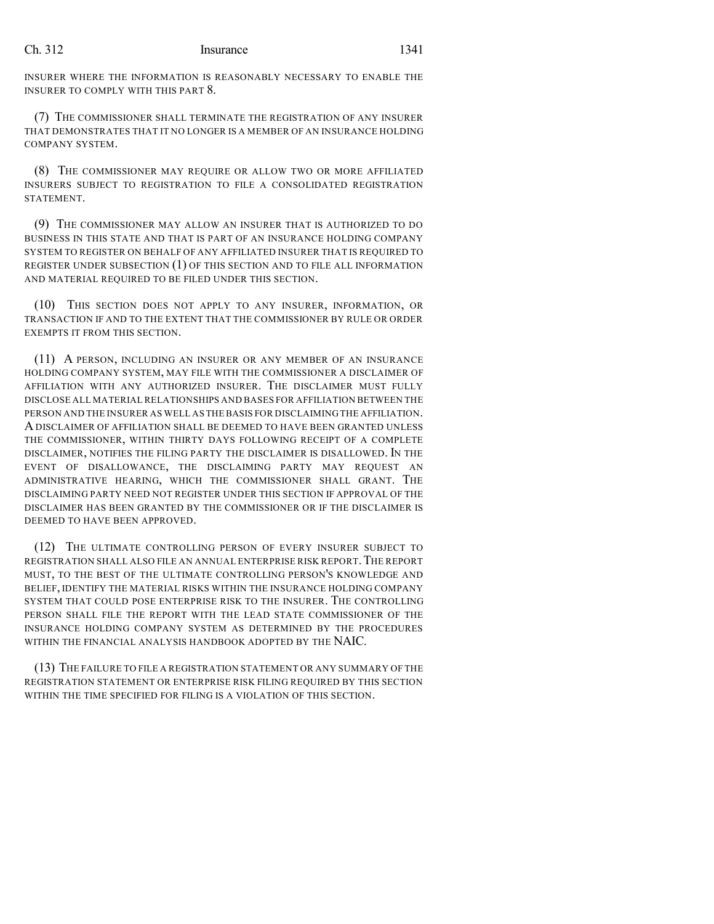INSURER WHERE THE INFORMATION IS REASONABLY NECESSARY TO ENABLE THE INSURER TO COMPLY WITH THIS PART 8.

(7) THE COMMISSIONER SHALL TERMINATE THE REGISTRATION OF ANY INSURER THAT DEMONSTRATES THAT IT NO LONGER IS A MEMBER OF AN INSURANCE HOLDING COMPANY SYSTEM.

(8) THE COMMISSIONER MAY REQUIRE OR ALLOW TWO OR MORE AFFILIATED INSURERS SUBJECT TO REGISTRATION TO FILE A CONSOLIDATED REGISTRATION STATEMENT.

(9) THE COMMISSIONER MAY ALLOW AN INSURER THAT IS AUTHORIZED TO DO BUSINESS IN THIS STATE AND THAT IS PART OF AN INSURANCE HOLDING COMPANY SYSTEM TO REGISTER ON BEHALF OF ANY AFFILIATED INSURER THAT IS REQUIRED TO REGISTER UNDER SUBSECTION (1) OF THIS SECTION AND TO FILE ALL INFORMATION AND MATERIAL REQUIRED TO BE FILED UNDER THIS SECTION.

(10) THIS SECTION DOES NOT APPLY TO ANY INSURER, INFORMATION, OR TRANSACTION IF AND TO THE EXTENT THAT THE COMMISSIONER BY RULE OR ORDER EXEMPTS IT FROM THIS SECTION.

(11) A PERSON, INCLUDING AN INSURER OR ANY MEMBER OF AN INSURANCE HOLDING COMPANY SYSTEM, MAY FILE WITH THE COMMISSIONER A DISCLAIMER OF AFFILIATION WITH ANY AUTHORIZED INSURER. THE DISCLAIMER MUST FULLY DISCLOSE ALL MATERIAL RELATIONSHIPS AND BASES FOR AFFILIATION BETWEEN THE PERSON AND THE INSURER AS WELL AS THE BASIS FOR DISCLAIMING THE AFFILIATION. A DISCLAIMER OF AFFILIATION SHALL BE DEEMED TO HAVE BEEN GRANTED UNLESS THE COMMISSIONER, WITHIN THIRTY DAYS FOLLOWING RECEIPT OF A COMPLETE DISCLAIMER, NOTIFIES THE FILING PARTY THE DISCLAIMER IS DISALLOWED. IN THE EVENT OF DISALLOWANCE, THE DISCLAIMING PARTY MAY REQUEST AN ADMINISTRATIVE HEARING, WHICH THE COMMISSIONER SHALL GRANT. THE DISCLAIMING PARTY NEED NOT REGISTER UNDER THIS SECTION IF APPROVAL OF THE DISCLAIMER HAS BEEN GRANTED BY THE COMMISSIONER OR IF THE DISCLAIMER IS DEEMED TO HAVE BEEN APPROVED.

(12) THE ULTIMATE CONTROLLING PERSON OF EVERY INSURER SUBJECT TO REGISTRATION SHALL ALSO FILE AN ANNUAL ENTERPRISE RISK REPORT.THE REPORT MUST, TO THE BEST OF THE ULTIMATE CONTROLLING PERSON'S KNOWLEDGE AND BELIEF, IDENTIFY THE MATERIAL RISKS WITHIN THE INSURANCE HOLDING COMPANY SYSTEM THAT COULD POSE ENTERPRISE RISK TO THE INSURER. THE CONTROLLING PERSON SHALL FILE THE REPORT WITH THE LEAD STATE COMMISSIONER OF THE INSURANCE HOLDING COMPANY SYSTEM AS DETERMINED BY THE PROCEDURES WITHIN THE FINANCIAL ANALYSIS HANDBOOK ADOPTED BY THE NAIC.

(13) THE FAILURE TO FILE A REGISTRATION STATEMENT OR ANY SUMMARY OF THE REGISTRATION STATEMENT OR ENTERPRISE RISK FILING REQUIRED BY THIS SECTION WITHIN THE TIME SPECIFIED FOR FILING IS A VIOLATION OF THIS SECTION.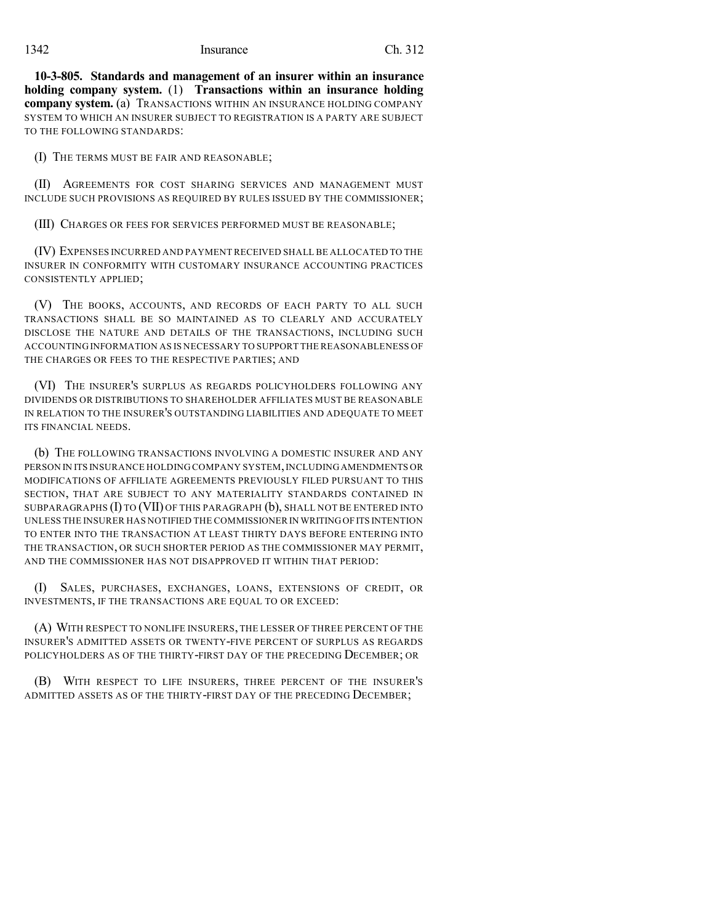**10-3-805. Standards and management of an insurer within an insurance holding company system.** (1) **Transactions within an insurance holding company system.** (a) TRANSACTIONS WITHIN AN INSURANCE HOLDING COMPANY SYSTEM TO WHICH AN INSURER SUBJECT TO REGISTRATION IS A PARTY ARE SUBJECT TO THE FOLLOWING STANDARDS:

(I) THE TERMS MUST BE FAIR AND REASONABLE;

(II) AGREEMENTS FOR COST SHARING SERVICES AND MANAGEMENT MUST INCLUDE SUCH PROVISIONS AS REQUIRED BY RULES ISSUED BY THE COMMISSIONER;

(III) CHARGES OR FEES FOR SERVICES PERFORMED MUST BE REASONABLE;

(IV) EXPENSES INCURRED AND PAYMENT RECEIVED SHALL BE ALLOCATED TO THE INSURER IN CONFORMITY WITH CUSTOMARY INSURANCE ACCOUNTING PRACTICES CONSISTENTLY APPLIED;

(V) THE BOOKS, ACCOUNTS, AND RECORDS OF EACH PARTY TO ALL SUCH TRANSACTIONS SHALL BE SO MAINTAINED AS TO CLEARLY AND ACCURATELY DISCLOSE THE NATURE AND DETAILS OF THE TRANSACTIONS, INCLUDING SUCH ACCOUNTING INFORMATION AS IS NECESSARY TO SUPPORT THE REASONABLENESS OF THE CHARGES OR FEES TO THE RESPECTIVE PARTIES; AND

(VI) THE INSURER'S SURPLUS AS REGARDS POLICYHOLDERS FOLLOWING ANY DIVIDENDS OR DISTRIBUTIONS TO SHAREHOLDER AFFILIATES MUST BE REASONABLE IN RELATION TO THE INSURER'S OUTSTANDING LIABILITIES AND ADEQUATE TO MEET ITS FINANCIAL NEEDS.

(b) THE FOLLOWING TRANSACTIONS INVOLVING A DOMESTIC INSURER AND ANY PERSON IN ITS INSURANCE HOLDING COMPANY SYSTEM,INCLUDINGAMENDMENTS OR MODIFICATIONS OF AFFILIATE AGREEMENTS PREVIOUSLY FILED PURSUANT TO THIS SECTION, THAT ARE SUBJECT TO ANY MATERIALITY STANDARDS CONTAINED IN SUBPARAGRAPHS (I) TO (VII) OF THIS PARAGRAPH (b), SHALL NOT BE ENTERED INTO UNLESS THE INSURER HAS NOTIFIED THE COMMISSIONER IN WRITINGOFITS INTENTION TO ENTER INTO THE TRANSACTION AT LEAST THIRTY DAYS BEFORE ENTERING INTO THE TRANSACTION, OR SUCH SHORTER PERIOD AS THE COMMISSIONER MAY PERMIT, AND THE COMMISSIONER HAS NOT DISAPPROVED IT WITHIN THAT PERIOD:

(I) SALES, PURCHASES, EXCHANGES, LOANS, EXTENSIONS OF CREDIT, OR INVESTMENTS, IF THE TRANSACTIONS ARE EQUAL TO OR EXCEED:

(A) WITH RESPECT TO NONLIFE INSURERS, THE LESSER OF THREE PERCENT OF THE INSURER'S ADMITTED ASSETS OR TWENTY-FIVE PERCENT OF SURPLUS AS REGARDS POLICYHOLDERS AS OF THE THIRTY-FIRST DAY OF THE PRECEDING DECEMBER; OR

(B) WITH RESPECT TO LIFE INSURERS, THREE PERCENT OF THE INSURER'S ADMITTED ASSETS AS OF THE THIRTY-FIRST DAY OF THE PRECEDING DECEMBER;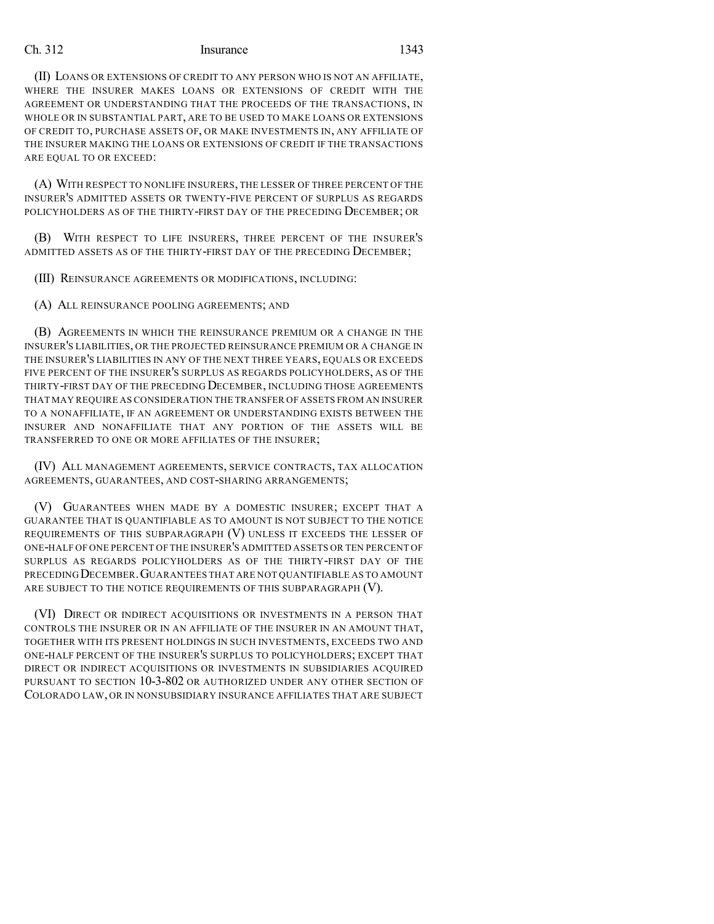(II) LOANS OR EXTENSIONS OF CREDIT TO ANY PERSON WHO IS NOT AN AFFILIATE, WHERE THE INSURER MAKES LOANS OR EXTENSIONS OF CREDIT WITH THE AGREEMENT OR UNDERSTANDING THAT THE PROCEEDS OF THE TRANSACTIONS, IN WHOLE OR IN SUBSTANTIAL PART, ARE TO BE USED TO MAKE LOANS OR EXTENSIONS OF CREDIT TO, PURCHASE ASSETS OF, OR MAKE INVESTMENTS IN, ANY AFFILIATE OF THE INSURER MAKING THE LOANS OR EXTENSIONS OF CREDIT IF THE TRANSACTIONS ARE EQUAL TO OR EXCEED:

(A) WITH RESPECT TO NONLIFE INSURERS, THE LESSER OF THREE PERCENT OF THE INSURER'S ADMITTED ASSETS OR TWENTY-FIVE PERCENT OF SURPLUS AS REGARDS POLICYHOLDERS AS OF THE THIRTY-FIRST DAY OF THE PRECEDING DECEMBER; OR

(B) WITH RESPECT TO LIFE INSURERS, THREE PERCENT OF THE INSURER'S ADMITTED ASSETS AS OF THE THIRTY-FIRST DAY OF THE PRECEDING DECEMBER;

(III) REINSURANCE AGREEMENTS OR MODIFICATIONS, INCLUDING:

(A) ALL REINSURANCE POOLING AGREEMENTS; AND

(B) AGREEMENTS IN WHICH THE REINSURANCE PREMIUM OR A CHANGE IN THE INSURER'S LIABILITIES, OR THE PROJECTED REINSURANCE PREMIUM OR A CHANGE IN THE INSURER'S LIABILITIES IN ANY OF THE NEXT THREE YEARS, EQUALS OR EXCEEDS FIVE PERCENT OF THE INSURER'S SURPLUS AS REGARDS POLICYHOLDERS, AS OF THE THIRTY-FIRST DAY OF THE PRECEDING DECEMBER, INCLUDING THOSE AGREEMENTS THAT MAY REQUIRE AS CONSIDERATION THE TRANSFER OF ASSETS FROM AN INSURER TO A NONAFFILIATE, IF AN AGREEMENT OR UNDERSTANDING EXISTS BETWEEN THE INSURER AND NONAFFILIATE THAT ANY PORTION OF THE ASSETS WILL BE TRANSFERRED TO ONE OR MORE AFFILIATES OF THE INSURER;

(IV) ALL MANAGEMENT AGREEMENTS, SERVICE CONTRACTS, TAX ALLOCATION AGREEMENTS, GUARANTEES, AND COST-SHARING ARRANGEMENTS;

(V) GUARANTEES WHEN MADE BY A DOMESTIC INSURER; EXCEPT THAT A GUARANTEE THAT IS QUANTIFIABLE AS TO AMOUNT IS NOT SUBJECT TO THE NOTICE REQUIREMENTS OF THIS SUBPARAGRAPH (V) UNLESS IT EXCEEDS THE LESSER OF ONE-HALF OF ONE PERCENT OF THE INSURER'S ADMITTED ASSETS OR TEN PERCENT OF SURPLUS AS REGARDS POLICYHOLDERS AS OF THE THIRTY-FIRST DAY OF THE PRECEDING DECEMBER.GUARANTEES THAT ARE NOT QUANTIFIABLE AS TO AMOUNT ARE SUBJECT TO THE NOTICE REQUIREMENTS OF THIS SUBPARAGRAPH (V).

(VI) DIRECT OR INDIRECT ACQUISITIONS OR INVESTMENTS IN A PERSON THAT CONTROLS THE INSURER OR IN AN AFFILIATE OF THE INSURER IN AN AMOUNT THAT, TOGETHER WITH ITS PRESENT HOLDINGS IN SUCH INVESTMENTS, EXCEEDS TWO AND ONE-HALF PERCENT OF THE INSURER'S SURPLUS TO POLICYHOLDERS; EXCEPT THAT DIRECT OR INDIRECT ACQUISITIONS OR INVESTMENTS IN SUBSIDIARIES ACQUIRED PURSUANT TO SECTION 10-3-802 OR AUTHORIZED UNDER ANY OTHER SECTION OF COLORADO LAW, OR IN NONSUBSIDIARY INSURANCE AFFILIATES THAT ARE SUBJECT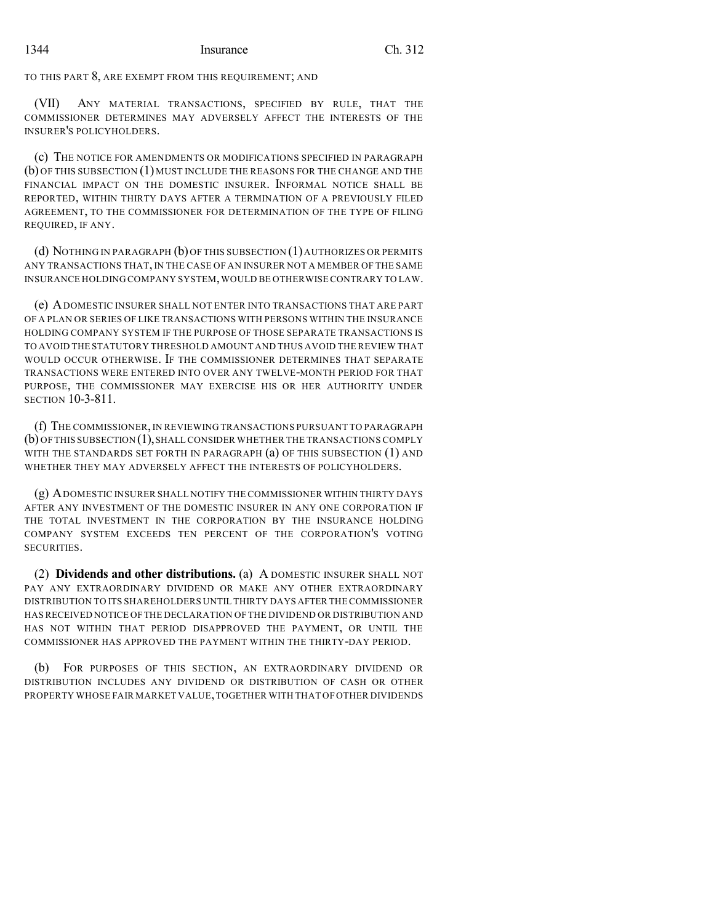TO THIS PART 8, ARE EXEMPT FROM THIS REQUIREMENT; AND

(VII) ANY MATERIAL TRANSACTIONS, SPECIFIED BY RULE, THAT THE COMMISSIONER DETERMINES MAY ADVERSELY AFFECT THE INTERESTS OF THE INSURER'S POLICYHOLDERS.

(c) THE NOTICE FOR AMENDMENTS OR MODIFICATIONS SPECIFIED IN PARAGRAPH (b) OF THIS SUBSECTION (1) MUST INCLUDE THE REASONS FOR THE CHANGE AND THE FINANCIAL IMPACT ON THE DOMESTIC INSURER. INFORMAL NOTICE SHALL BE REPORTED, WITHIN THIRTY DAYS AFTER A TERMINATION OF A PREVIOUSLY FILED AGREEMENT, TO THE COMMISSIONER FOR DETERMINATION OF THE TYPE OF FILING REQUIRED, IF ANY.

(d) NOTHING IN PARAGRAPH (b) OF THIS SUBSECTION (1)AUTHORIZES OR PERMITS ANY TRANSACTIONS THAT, IN THE CASE OF AN INSURER NOT A MEMBER OF THE SAME INSURANCE HOLDING COMPANY SYSTEM,WOULD BE OTHERWISE CONTRARY TO LAW.

(e) ADOMESTIC INSURER SHALL NOT ENTER INTO TRANSACTIONS THAT ARE PART OF A PLAN OR SERIES OF LIKE TRANSACTIONS WITH PERSONS WITHIN THE INSURANCE HOLDING COMPANY SYSTEM IF THE PURPOSE OF THOSE SEPARATE TRANSACTIONS IS TO AVOID THE STATUTORY THRESHOLD AMOUNT AND THUS AVOID THE REVIEW THAT WOULD OCCUR OTHERWISE. IF THE COMMISSIONER DETERMINES THAT SEPARATE TRANSACTIONS WERE ENTERED INTO OVER ANY TWELVE-MONTH PERIOD FOR THAT PURPOSE, THE COMMISSIONER MAY EXERCISE HIS OR HER AUTHORITY UNDER SECTION 10-3-811.

(f) THE COMMISSIONER,IN REVIEWING TRANSACTIONS PURSUANT TO PARAGRAPH (b) OF THIS SUBSECTION (1),SHALL CONSIDER WHETHER THE TRANSACTIONS COMPLY WITH THE STANDARDS SET FORTH IN PARAGRAPH (a) OF THIS SUBSECTION (1) AND WHETHER THEY MAY ADVERSELY AFFECT THE INTERESTS OF POLICYHOLDERS.

(g) ADOMESTIC INSURER SHALL NOTIFY THE COMMISSIONER WITHIN THIRTY DAYS AFTER ANY INVESTMENT OF THE DOMESTIC INSURER IN ANY ONE CORPORATION IF THE TOTAL INVESTMENT IN THE CORPORATION BY THE INSURANCE HOLDING COMPANY SYSTEM EXCEEDS TEN PERCENT OF THE CORPORATION'S VOTING SECURITIES.

(2) **Dividends and other distributions.** (a) A DOMESTIC INSURER SHALL NOT PAY ANY EXTRAORDINARY DIVIDEND OR MAKE ANY OTHER EXTRAORDINARY DISTRIBUTION TO ITS SHAREHOLDERS UNTIL THIRTY DAYS AFTER THE COMMISSIONER HASRECEIVED NOTICE OFTHE DECLARATION OFTHE DIVIDEND OR DISTRIBUTION AND HAS NOT WITHIN THAT PERIOD DISAPPROVED THE PAYMENT, OR UNTIL THE COMMISSIONER HAS APPROVED THE PAYMENT WITHIN THE THIRTY-DAY PERIOD.

(b) FOR PURPOSES OF THIS SECTION, AN EXTRAORDINARY DIVIDEND OR DISTRIBUTION INCLUDES ANY DIVIDEND OR DISTRIBUTION OF CASH OR OTHER PROPERTY WHOSE FAIR MARKET VALUE,TOGETHER WITH THAT OF OTHER DIVIDENDS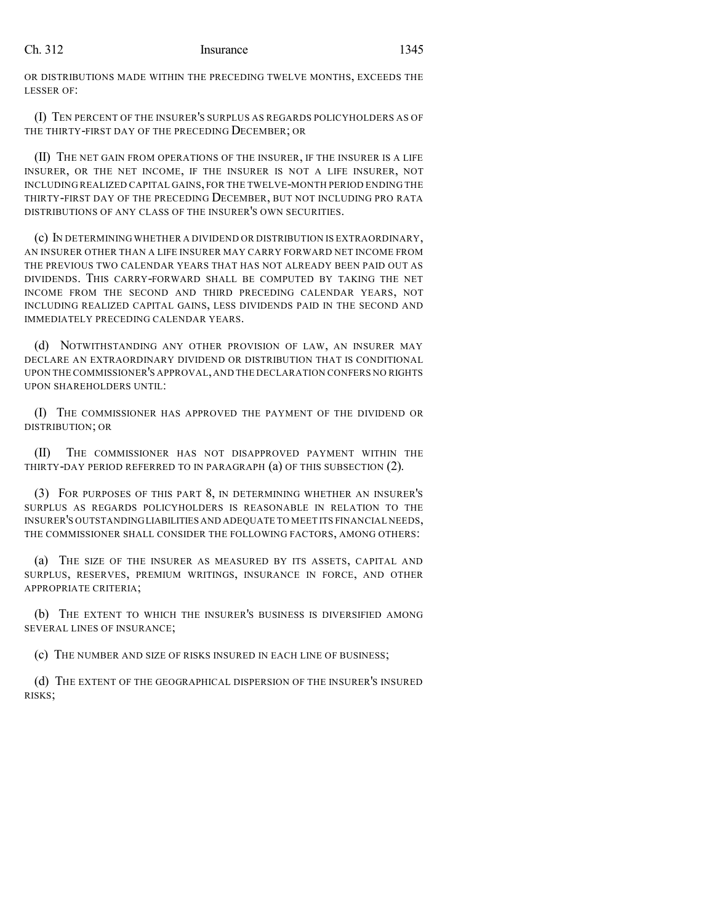OR DISTRIBUTIONS MADE WITHIN THE PRECEDING TWELVE MONTHS, EXCEEDS THE LESSER OF:

(I) TEN PERCENT OF THE INSURER'S SURPLUS AS REGARDS POLICYHOLDERS AS OF THE THIRTY-FIRST DAY OF THE PRECEDING DECEMBER; OR

(II) THE NET GAIN FROM OPERATIONS OF THE INSURER, IF THE INSURER IS A LIFE INSURER, OR THE NET INCOME, IF THE INSURER IS NOT A LIFE INSURER, NOT INCLUDING REALIZED CAPITAL GAINS, FOR THE TWELVE-MONTH PERIOD ENDING THE THIRTY-FIRST DAY OF THE PRECEDING DECEMBER, BUT NOT INCLUDING PRO RATA DISTRIBUTIONS OF ANY CLASS OF THE INSURER'S OWN SECURITIES.

(c) IN DETERMINING WHETHER A DIVIDEND OR DISTRIBUTION IS EXTRAORDINARY, AN INSURER OTHER THAN A LIFE INSURER MAY CARRY FORWARD NET INCOME FROM THE PREVIOUS TWO CALENDAR YEARS THAT HAS NOT ALREADY BEEN PAID OUT AS DIVIDENDS. THIS CARRY-FORWARD SHALL BE COMPUTED BY TAKING THE NET INCOME FROM THE SECOND AND THIRD PRECEDING CALENDAR YEARS, NOT INCLUDING REALIZED CAPITAL GAINS, LESS DIVIDENDS PAID IN THE SECOND AND IMMEDIATELY PRECEDING CALENDAR YEARS.

(d) NOTWITHSTANDING ANY OTHER PROVISION OF LAW, AN INSURER MAY DECLARE AN EXTRAORDINARY DIVIDEND OR DISTRIBUTION THAT IS CONDITIONAL UPON THE COMMISSIONER'S APPROVAL,AND THE DECLARATION CONFERS NO RIGHTS UPON SHAREHOLDERS UNTIL:

(I) THE COMMISSIONER HAS APPROVED THE PAYMENT OF THE DIVIDEND OR DISTRIBUTION; OR

(II) THE COMMISSIONER HAS NOT DISAPPROVED PAYMENT WITHIN THE THIRTY-DAY PERIOD REFERRED TO IN PARAGRAPH (a) OF THIS SUBSECTION (2).

(3) FOR PURPOSES OF THIS PART 8, IN DETERMINING WHETHER AN INSURER'S SURPLUS AS REGARDS POLICYHOLDERS IS REASONABLE IN RELATION TO THE INSURER'S OUTSTANDINGLIABILITIES AND ADEQUATE TO MEET ITS FINANCIAL NEEDS, THE COMMISSIONER SHALL CONSIDER THE FOLLOWING FACTORS, AMONG OTHERS:

(a) THE SIZE OF THE INSURER AS MEASURED BY ITS ASSETS, CAPITAL AND SURPLUS, RESERVES, PREMIUM WRITINGS, INSURANCE IN FORCE, AND OTHER APPROPRIATE CRITERIA;

(b) THE EXTENT TO WHICH THE INSURER'S BUSINESS IS DIVERSIFIED AMONG SEVERAL LINES OF INSURANCE;

(c) THE NUMBER AND SIZE OF RISKS INSURED IN EACH LINE OF BUSINESS;

(d) THE EXTENT OF THE GEOGRAPHICAL DISPERSION OF THE INSURER'S INSURED RISKS;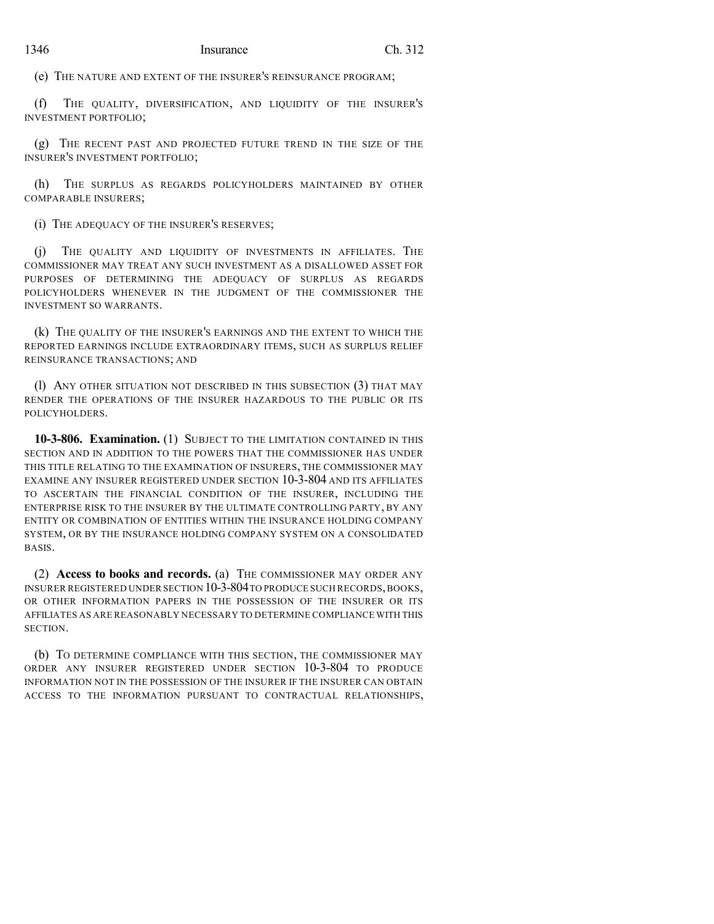(e) THE NATURE AND EXTENT OF THE INSURER'S REINSURANCE PROGRAM;

(f) THE QUALITY, DIVERSIFICATION, AND LIQUIDITY OF THE INSURER'S INVESTMENT PORTFOLIO;

(g) THE RECENT PAST AND PROJECTED FUTURE TREND IN THE SIZE OF THE INSURER'S INVESTMENT PORTFOLIO;

(h) THE SURPLUS AS REGARDS POLICYHOLDERS MAINTAINED BY OTHER COMPARABLE INSURERS;

(i) THE ADEQUACY OF THE INSURER'S RESERVES;

(j) THE QUALITY AND LIQUIDITY OF INVESTMENTS IN AFFILIATES. THE COMMISSIONER MAY TREAT ANY SUCH INVESTMENT AS A DISALLOWED ASSET FOR PURPOSES OF DETERMINING THE ADEQUACY OF SURPLUS AS REGARDS POLICYHOLDERS WHENEVER IN THE JUDGMENT OF THE COMMISSIONER THE INVESTMENT SO WARRANTS.

(k) THE QUALITY OF THE INSURER'S EARNINGS AND THE EXTENT TO WHICH THE REPORTED EARNINGS INCLUDE EXTRAORDINARY ITEMS, SUCH AS SURPLUS RELIEF REINSURANCE TRANSACTIONS; AND

(l) ANY OTHER SITUATION NOT DESCRIBED IN THIS SUBSECTION (3) THAT MAY RENDER THE OPERATIONS OF THE INSURER HAZARDOUS TO THE PUBLIC OR ITS POLICYHOLDERS.

**10-3-806. Examination.** (1) SUBJECT TO THE LIMITATION CONTAINED IN THIS SECTION AND IN ADDITION TO THE POWERS THAT THE COMMISSIONER HAS UNDER THIS TITLE RELATING TO THE EXAMINATION OF INSURERS, THE COMMISSIONER MAY EXAMINE ANY INSURER REGISTERED UNDER SECTION 10-3-804 AND ITS AFFILIATES TO ASCERTAIN THE FINANCIAL CONDITION OF THE INSURER, INCLUDING THE ENTERPRISE RISK TO THE INSURER BY THE ULTIMATE CONTROLLING PARTY, BY ANY ENTITY OR COMBINATION OF ENTITIES WITHIN THE INSURANCE HOLDING COMPANY SYSTEM, OR BY THE INSURANCE HOLDING COMPANY SYSTEM ON A CONSOLIDATED BASIS.

(2) **Access to books and records.** (a) THE COMMISSIONER MAY ORDER ANY INSURER REGISTERED UNDER SECTION 10-3-804TO PRODUCE SUCH RECORDS,BOOKS, OR OTHER INFORMATION PAPERS IN THE POSSESSION OF THE INSURER OR ITS AFFILIATES AS ARE REASONABLY NECESSARY TO DETERMINE COMPLIANCE WITH THIS SECTION.

(b) TO DETERMINE COMPLIANCE WITH THIS SECTION, THE COMMISSIONER MAY ORDER ANY INSURER REGISTERED UNDER SECTION 10-3-804 TO PRODUCE INFORMATION NOT IN THE POSSESSION OF THE INSURER IF THE INSURER CAN OBTAIN ACCESS TO THE INFORMATION PURSUANT TO CONTRACTUAL RELATIONSHIPS,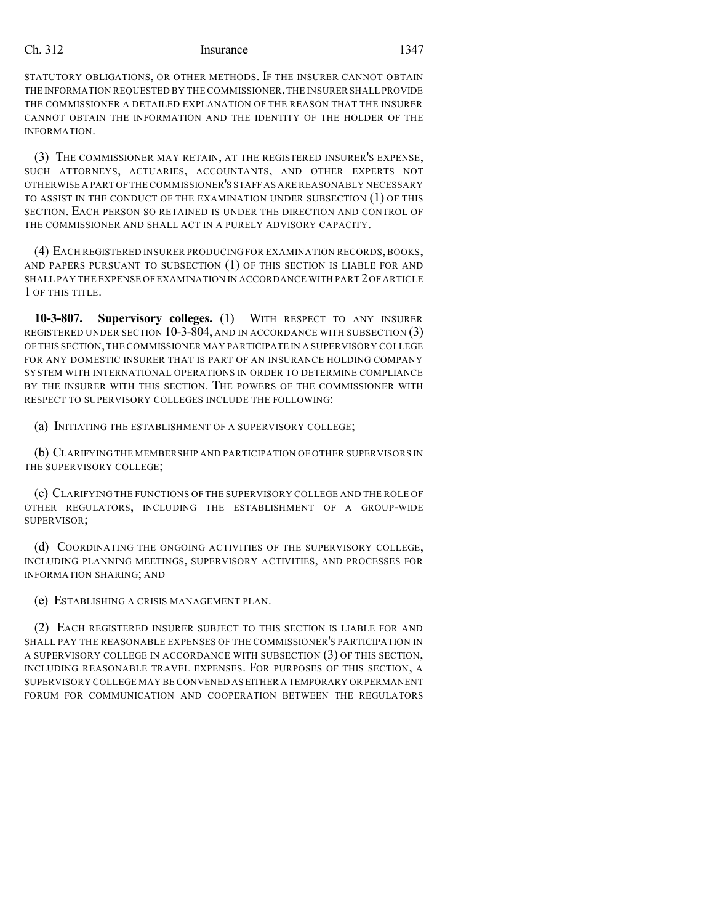STATUTORY OBLIGATIONS, OR OTHER METHODS. IF THE INSURER CANNOT OBTAIN THE INFORMATION REQUESTED BY THE COMMISSIONER,THE INSURER SHALL PROVIDE THE COMMISSIONER A DETAILED EXPLANATION OF THE REASON THAT THE INSURER CANNOT OBTAIN THE INFORMATION AND THE IDENTITY OF THE HOLDER OF THE INFORMATION.

(3) THE COMMISSIONER MAY RETAIN, AT THE REGISTERED INSURER'S EXPENSE, SUCH ATTORNEYS, ACTUARIES, ACCOUNTANTS, AND OTHER EXPERTS NOT OTHERWISE A PART OFTHE COMMISSIONER'S STAFF AS ARE REASONABLY NECESSARY TO ASSIST IN THE CONDUCT OF THE EXAMINATION UNDER SUBSECTION (1) OF THIS SECTION. EACH PERSON SO RETAINED IS UNDER THE DIRECTION AND CONTROL OF THE COMMISSIONER AND SHALL ACT IN A PURELY ADVISORY CAPACITY.

(4) EACH REGISTERED INSURER PRODUCING FOR EXAMINATION RECORDS, BOOKS, AND PAPERS PURSUANT TO SUBSECTION (1) OF THIS SECTION IS LIABLE FOR AND SHALL PAY THE EXPENSE OF EXAMINATION IN ACCORDANCE WITH PART 2OF ARTICLE 1 OF THIS TITLE.

**10-3-807. Supervisory colleges.** (1) WITH RESPECT TO ANY INSURER REGISTERED UNDER SECTION 10-3-804, AND IN ACCORDANCE WITH SUBSECTION (3) OF THIS SECTION,THE COMMISSIONER MAY PARTICIPATE IN A SUPERVISORY COLLEGE FOR ANY DOMESTIC INSURER THAT IS PART OF AN INSURANCE HOLDING COMPANY SYSTEM WITH INTERNATIONAL OPERATIONS IN ORDER TO DETERMINE COMPLIANCE BY THE INSURER WITH THIS SECTION. THE POWERS OF THE COMMISSIONER WITH RESPECT TO SUPERVISORY COLLEGES INCLUDE THE FOLLOWING:

(a) INITIATING THE ESTABLISHMENT OF A SUPERVISORY COLLEGE;

(b) CLARIFYING THE MEMBERSHIP AND PARTICIPATION OF OTHER SUPERVISORS IN THE SUPERVISORY COLLEGE;

(c) CLARIFYING THE FUNCTIONS OF THE SUPERVISORY COLLEGE AND THE ROLE OF OTHER REGULATORS, INCLUDING THE ESTABLISHMENT OF A GROUP-WIDE SUPERVISOR;

(d) COORDINATING THE ONGOING ACTIVITIES OF THE SUPERVISORY COLLEGE, INCLUDING PLANNING MEETINGS, SUPERVISORY ACTIVITIES, AND PROCESSES FOR INFORMATION SHARING; AND

(e) ESTABLISHING A CRISIS MANAGEMENT PLAN.

(2) EACH REGISTERED INSURER SUBJECT TO THIS SECTION IS LIABLE FOR AND SHALL PAY THE REASONABLE EXPENSES OF THE COMMISSIONER'S PARTICIPATION IN A SUPERVISORY COLLEGE IN ACCORDANCE WITH SUBSECTION (3) OF THIS SECTION, INCLUDING REASONABLE TRAVEL EXPENSES. FOR PURPOSES OF THIS SECTION, A SUPERVISORY COLLEGE MAY BE CONVENED AS EITHER A TEMPORARY OR PERMANENT FORUM FOR COMMUNICATION AND COOPERATION BETWEEN THE REGULATORS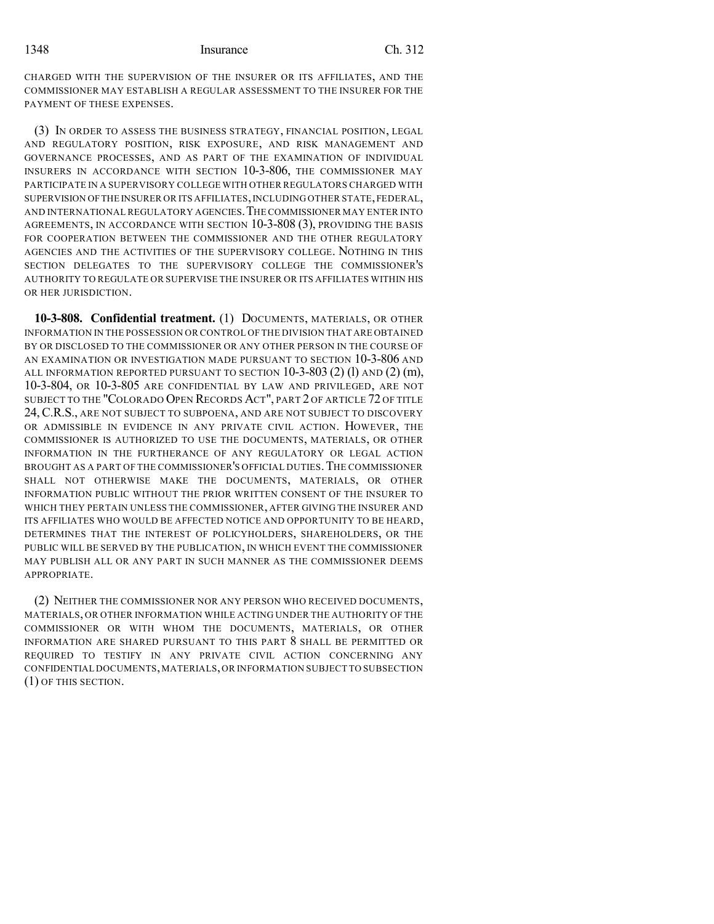1348 Insurance Ch. 312

CHARGED WITH THE SUPERVISION OF THE INSURER OR ITS AFFILIATES, AND THE COMMISSIONER MAY ESTABLISH A REGULAR ASSESSMENT TO THE INSURER FOR THE PAYMENT OF THESE EXPENSES.

(3) IN ORDER TO ASSESS THE BUSINESS STRATEGY, FINANCIAL POSITION, LEGAL AND REGULATORY POSITION, RISK EXPOSURE, AND RISK MANAGEMENT AND GOVERNANCE PROCESSES, AND AS PART OF THE EXAMINATION OF INDIVIDUAL INSURERS IN ACCORDANCE WITH SECTION 10-3-806, THE COMMISSIONER MAY PARTICIPATE IN A SUPERVISORY COLLEGE WITH OTHER REGULATORS CHARGED WITH SUPERVISION OFTHE INSURER OR ITS AFFILIATES,INCLUDING OTHER STATE,FEDERAL, AND INTERNATIONAL REGULATORY AGENCIES.THE COMMISSIONER MAY ENTER INTO AGREEMENTS, IN ACCORDANCE WITH SECTION 10-3-808 (3), PROVIDING THE BASIS FOR COOPERATION BETWEEN THE COMMISSIONER AND THE OTHER REGULATORY AGENCIES AND THE ACTIVITIES OF THE SUPERVISORY COLLEGE. NOTHING IN THIS SECTION DELEGATES TO THE SUPERVISORY COLLEGE THE COMMISSIONER'S AUTHORITY TO REGULATE OR SUPERVISE THE INSURER OR ITS AFFILIATES WITHIN HIS OR HER JURISDICTION.

**10-3-808. Confidential treatment.** (1) DOCUMENTS, MATERIALS, OR OTHER INFORMATION IN THE POSSESSION OR CONTROL OF THE DIVISION THAT ARE OBTAINED BY OR DISCLOSED TO THE COMMISSIONER OR ANY OTHER PERSON IN THE COURSE OF AN EXAMINATION OR INVESTIGATION MADE PURSUANT TO SECTION 10-3-806 AND ALL INFORMATION REPORTED PURSUANT TO SECTION  $10-3-803$  (2) (1) AND (2) (m), 10-3-804, OR 10-3-805 ARE CONFIDENTIAL BY LAW AND PRIVILEGED, ARE NOT SUBJECT TO THE "COLORADO OPEN RECORDS ACT", PART 2 OF ARTICLE 72 OF TITLE 24,C.R.S., ARE NOT SUBJECT TO SUBPOENA, AND ARE NOT SUBJECT TO DISCOVERY OR ADMISSIBLE IN EVIDENCE IN ANY PRIVATE CIVIL ACTION. HOWEVER, THE COMMISSIONER IS AUTHORIZED TO USE THE DOCUMENTS, MATERIALS, OR OTHER INFORMATION IN THE FURTHERANCE OF ANY REGULATORY OR LEGAL ACTION BROUGHT AS A PART OF THE COMMISSIONER'S OFFICIAL DUTIES.THE COMMISSIONER SHALL NOT OTHERWISE MAKE THE DOCUMENTS, MATERIALS, OR OTHER INFORMATION PUBLIC WITHOUT THE PRIOR WRITTEN CONSENT OF THE INSURER TO WHICH THEY PERTAIN UNLESS THE COMMISSIONER, AFTER GIVING THE INSURER AND ITS AFFILIATES WHO WOULD BE AFFECTED NOTICE AND OPPORTUNITY TO BE HEARD, DETERMINES THAT THE INTEREST OF POLICYHOLDERS, SHAREHOLDERS, OR THE PUBLIC WILL BE SERVED BY THE PUBLICATION, IN WHICH EVENT THE COMMISSIONER MAY PUBLISH ALL OR ANY PART IN SUCH MANNER AS THE COMMISSIONER DEEMS APPROPRIATE.

(2) NEITHER THE COMMISSIONER NOR ANY PERSON WHO RECEIVED DOCUMENTS, MATERIALS, OR OTHER INFORMATION WHILE ACTING UNDER THE AUTHORITY OF THE COMMISSIONER OR WITH WHOM THE DOCUMENTS, MATERIALS, OR OTHER INFORMATION ARE SHARED PURSUANT TO THIS PART 8 SHALL BE PERMITTED OR REQUIRED TO TESTIFY IN ANY PRIVATE CIVIL ACTION CONCERNING ANY CONFIDENTIAL DOCUMENTS,MATERIALS,OR INFORMATION SUBJECT TO SUBSECTION (1) OF THIS SECTION.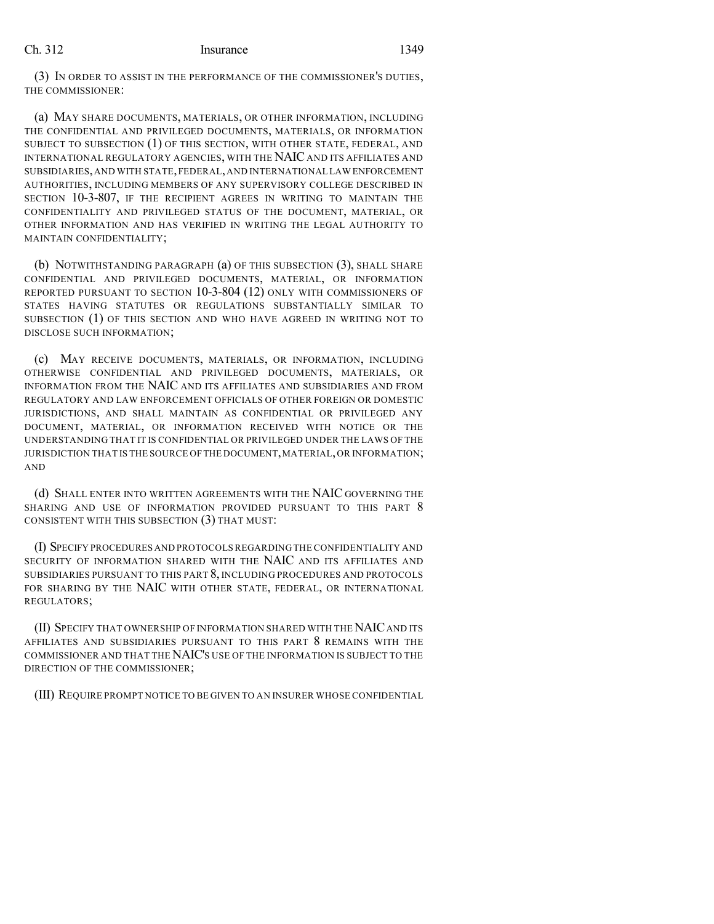(3) IN ORDER TO ASSIST IN THE PERFORMANCE OF THE COMMISSIONER'S DUTIES, THE COMMISSIONER:

(a) MAY SHARE DOCUMENTS, MATERIALS, OR OTHER INFORMATION, INCLUDING THE CONFIDENTIAL AND PRIVILEGED DOCUMENTS, MATERIALS, OR INFORMATION SUBJECT TO SUBSECTION (1) OF THIS SECTION, WITH OTHER STATE, FEDERAL, AND INTERNATIONAL REGULATORY AGENCIES, WITH THE NAIC AND ITS AFFILIATES AND SUBSIDIARIES,AND WITH STATE,FEDERAL,AND INTERNATIONAL LAW ENFORCEMENT AUTHORITIES, INCLUDING MEMBERS OF ANY SUPERVISORY COLLEGE DESCRIBED IN SECTION 10-3-807, IF THE RECIPIENT AGREES IN WRITING TO MAINTAIN THE CONFIDENTIALITY AND PRIVILEGED STATUS OF THE DOCUMENT, MATERIAL, OR OTHER INFORMATION AND HAS VERIFIED IN WRITING THE LEGAL AUTHORITY TO MAINTAIN CONFIDENTIALITY;

(b) NOTWITHSTANDING PARAGRAPH (a) OF THIS SUBSECTION (3), SHALL SHARE CONFIDENTIAL AND PRIVILEGED DOCUMENTS, MATERIAL, OR INFORMATION REPORTED PURSUANT TO SECTION 10-3-804 (12) ONLY WITH COMMISSIONERS OF STATES HAVING STATUTES OR REGULATIONS SUBSTANTIALLY SIMILAR TO SUBSECTION (1) OF THIS SECTION AND WHO HAVE AGREED IN WRITING NOT TO DISCLOSE SUCH INFORMATION;

(c) MAY RECEIVE DOCUMENTS, MATERIALS, OR INFORMATION, INCLUDING OTHERWISE CONFIDENTIAL AND PRIVILEGED DOCUMENTS, MATERIALS, OR INFORMATION FROM THE NAIC AND ITS AFFILIATES AND SUBSIDIARIES AND FROM REGULATORY AND LAW ENFORCEMENT OFFICIALS OF OTHER FOREIGN OR DOMESTIC JURISDICTIONS, AND SHALL MAINTAIN AS CONFIDENTIAL OR PRIVILEGED ANY DOCUMENT, MATERIAL, OR INFORMATION RECEIVED WITH NOTICE OR THE UNDERSTANDING THAT IT IS CONFIDENTIAL OR PRIVILEGED UNDER THE LAWS OF THE JURISDICTION THAT IS THE SOURCE OF THE DOCUMENT, MATERIAL, OR INFORMATION; AND

(d) SHALL ENTER INTO WRITTEN AGREEMENTS WITH THE NAIC GOVERNING THE SHARING AND USE OF INFORMATION PROVIDED PURSUANT TO THIS PART 8 CONSISTENT WITH THIS SUBSECTION (3) THAT MUST:

(I) SPECIFY PROCEDURES AND PROTOCOLS REGARDING THE CONFIDENTIALITY AND SECURITY OF INFORMATION SHARED WITH THE NAIC AND ITS AFFILIATES AND SUBSIDIARIES PURSUANT TO THIS PART 8, INCLUDING PROCEDURES AND PROTOCOLS FOR SHARING BY THE NAIC WITH OTHER STATE, FEDERAL, OR INTERNATIONAL REGULATORS;

(II) SPECIFY THAT OWNERSHIP OF INFORMATION SHARED WITH THE NAICAND ITS AFFILIATES AND SUBSIDIARIES PURSUANT TO THIS PART 8 REMAINS WITH THE COMMISSIONER AND THAT THE NAIC'S USE OF THE INFORMATION IS SUBJECT TO THE DIRECTION OF THE COMMISSIONER;

(III) REQUIRE PROMPT NOTICE TO BE GIVEN TO AN INSURER WHOSE CONFIDENTIAL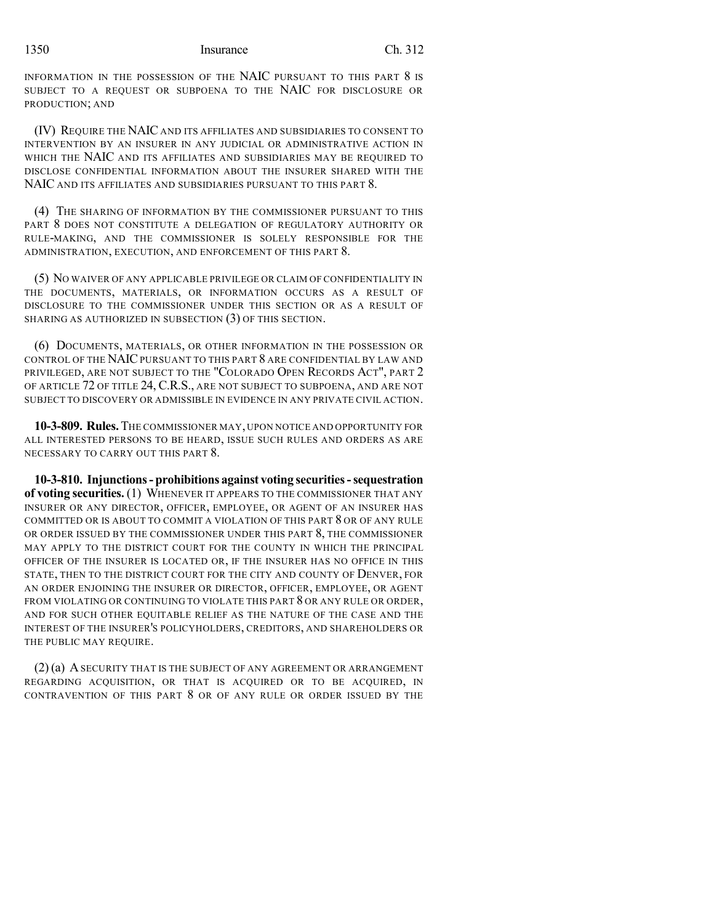INFORMATION IN THE POSSESSION OF THE NAIC PURSUANT TO THIS PART 8 IS SUBJECT TO A REQUEST OR SUBPOENA TO THE NAIC FOR DISCLOSURE OR PRODUCTION; AND

(IV) REQUIRE THE NAIC AND ITS AFFILIATES AND SUBSIDIARIES TO CONSENT TO INTERVENTION BY AN INSURER IN ANY JUDICIAL OR ADMINISTRATIVE ACTION IN WHICH THE NAIC AND ITS AFFILIATES AND SUBSIDIARIES MAY BE REQUIRED TO DISCLOSE CONFIDENTIAL INFORMATION ABOUT THE INSURER SHARED WITH THE NAIC AND ITS AFFILIATES AND SUBSIDIARIES PURSUANT TO THIS PART 8.

(4) THE SHARING OF INFORMATION BY THE COMMISSIONER PURSUANT TO THIS PART 8 DOES NOT CONSTITUTE A DELEGATION OF REGULATORY AUTHORITY OR RULE-MAKING, AND THE COMMISSIONER IS SOLELY RESPONSIBLE FOR THE ADMINISTRATION, EXECUTION, AND ENFORCEMENT OF THIS PART 8.

(5) NO WAIVER OF ANY APPLICABLE PRIVILEGE OR CLAIM OF CONFIDENTIALITY IN THE DOCUMENTS, MATERIALS, OR INFORMATION OCCURS AS A RESULT OF DISCLOSURE TO THE COMMISSIONER UNDER THIS SECTION OR AS A RESULT OF SHARING AS AUTHORIZED IN SUBSECTION (3) OF THIS SECTION.

(6) DOCUMENTS, MATERIALS, OR OTHER INFORMATION IN THE POSSESSION OR CONTROL OF THE NAIC PURSUANT TO THIS PART 8 ARE CONFIDENTIAL BY LAW AND PRIVILEGED, ARE NOT SUBJECT TO THE "COLORADO OPEN RECORDS ACT", PART 2 OF ARTICLE 72 OF TITLE 24, C.R.S., ARE NOT SUBJECT TO SUBPOENA, AND ARE NOT SUBJECT TO DISCOVERY OR ADMISSIBLE IN EVIDENCE IN ANY PRIVATE CIVIL ACTION.

**10-3-809. Rules.** THE COMMISSIONER MAY, UPON NOTICE AND OPPORTUNITY FOR ALL INTERESTED PERSONS TO BE HEARD, ISSUE SUCH RULES AND ORDERS AS ARE NECESSARY TO CARRY OUT THIS PART 8.

**10-3-810. Injunctions- prohibitions against voting securities-sequestration of voting securities.** (1) WHENEVER IT APPEARS TO THE COMMISSIONER THAT ANY INSURER OR ANY DIRECTOR, OFFICER, EMPLOYEE, OR AGENT OF AN INSURER HAS COMMITTED OR IS ABOUT TO COMMIT A VIOLATION OF THIS PART 8 OR OF ANY RULE OR ORDER ISSUED BY THE COMMISSIONER UNDER THIS PART 8, THE COMMISSIONER MAY APPLY TO THE DISTRICT COURT FOR THE COUNTY IN WHICH THE PRINCIPAL OFFICER OF THE INSURER IS LOCATED OR, IF THE INSURER HAS NO OFFICE IN THIS STATE, THEN TO THE DISTRICT COURT FOR THE CITY AND COUNTY OF DENVER, FOR AN ORDER ENJOINING THE INSURER OR DIRECTOR, OFFICER, EMPLOYEE, OR AGENT FROM VIOLATING OR CONTINUING TO VIOLATE THIS PART 8 OR ANY RULE OR ORDER, AND FOR SUCH OTHER EQUITABLE RELIEF AS THE NATURE OF THE CASE AND THE INTEREST OF THE INSURER'S POLICYHOLDERS, CREDITORS, AND SHAREHOLDERS OR THE PUBLIC MAY REQUIRE.

(2) (a) ASECURITY THAT IS THE SUBJECT OF ANY AGREEMENT OR ARRANGEMENT REGARDING ACQUISITION, OR THAT IS ACQUIRED OR TO BE ACQUIRED, IN CONTRAVENTION OF THIS PART 8 OR OF ANY RULE OR ORDER ISSUED BY THE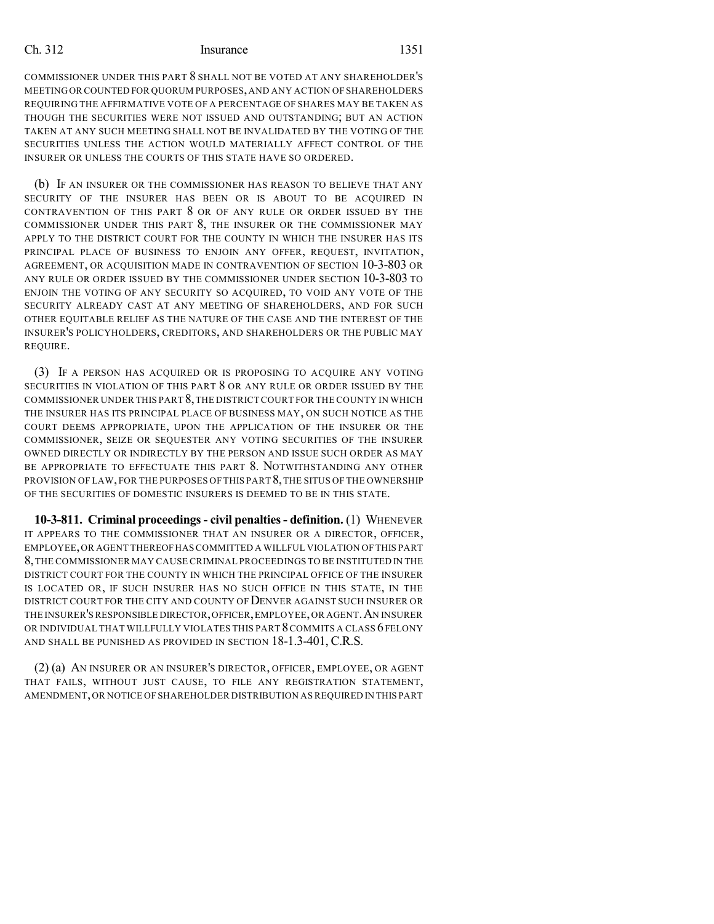COMMISSIONER UNDER THIS PART 8 SHALL NOT BE VOTED AT ANY SHAREHOLDER'S MEETINGOR COUNTED FOR QUORUM PURPOSES,AND ANY ACTION OF SHAREHOLDERS REQUIRING THE AFFIRMATIVE VOTE OF A PERCENTAGE OF SHARES MAY BE TAKEN AS THOUGH THE SECURITIES WERE NOT ISSUED AND OUTSTANDING; BUT AN ACTION TAKEN AT ANY SUCH MEETING SHALL NOT BE INVALIDATED BY THE VOTING OF THE SECURITIES UNLESS THE ACTION WOULD MATERIALLY AFFECT CONTROL OF THE INSURER OR UNLESS THE COURTS OF THIS STATE HAVE SO ORDERED.

(b) IF AN INSURER OR THE COMMISSIONER HAS REASON TO BELIEVE THAT ANY SECURITY OF THE INSURER HAS BEEN OR IS ABOUT TO BE ACQUIRED IN CONTRAVENTION OF THIS PART 8 OR OF ANY RULE OR ORDER ISSUED BY THE COMMISSIONER UNDER THIS PART 8, THE INSURER OR THE COMMISSIONER MAY APPLY TO THE DISTRICT COURT FOR THE COUNTY IN WHICH THE INSURER HAS ITS PRINCIPAL PLACE OF BUSINESS TO ENJOIN ANY OFFER, REQUEST, INVITATION, AGREEMENT, OR ACQUISITION MADE IN CONTRAVENTION OF SECTION 10-3-803 OR ANY RULE OR ORDER ISSUED BY THE COMMISSIONER UNDER SECTION 10-3-803 TO ENJOIN THE VOTING OF ANY SECURITY SO ACQUIRED, TO VOID ANY VOTE OF THE SECURITY ALREADY CAST AT ANY MEETING OF SHAREHOLDERS, AND FOR SUCH OTHER EQUITABLE RELIEF AS THE NATURE OF THE CASE AND THE INTEREST OF THE INSURER'S POLICYHOLDERS, CREDITORS, AND SHAREHOLDERS OR THE PUBLIC MAY REQUIRE.

(3) IF A PERSON HAS ACQUIRED OR IS PROPOSING TO ACQUIRE ANY VOTING SECURITIES IN VIOLATION OF THIS PART 8 OR ANY RULE OR ORDER ISSUED BY THE COMMISSIONER UNDER THIS PART 8,THE DISTRICTCOURT FOR THE COUNTY IN WHICH THE INSURER HAS ITS PRINCIPAL PLACE OF BUSINESS MAY, ON SUCH NOTICE AS THE COURT DEEMS APPROPRIATE, UPON THE APPLICATION OF THE INSURER OR THE COMMISSIONER, SEIZE OR SEQUESTER ANY VOTING SECURITIES OF THE INSURER OWNED DIRECTLY OR INDIRECTLY BY THE PERSON AND ISSUE SUCH ORDER AS MAY BE APPROPRIATE TO EFFECTUATE THIS PART 8. NOTWITHSTANDING ANY OTHER PROVISION OF LAW, FOR THE PURPOSES OF THIS PART 8,THE SITUS OF THE OWNERSHIP OF THE SECURITIES OF DOMESTIC INSURERS IS DEEMED TO BE IN THIS STATE.

**10-3-811. Criminal proceedings- civil penalties- definition.** (1) WHENEVER IT APPEARS TO THE COMMISSIONER THAT AN INSURER OR A DIRECTOR, OFFICER, EMPLOYEE,OR AGENT THEREOFHASCOMMITTED A WILLFUL VIOLATION OF THIS PART 8,THE COMMISSIONER MAY CAUSE CRIMINAL PROCEEDINGS TO BE INSTITUTED IN THE DISTRICT COURT FOR THE COUNTY IN WHICH THE PRINCIPAL OFFICE OF THE INSURER IS LOCATED OR, IF SUCH INSURER HAS NO SUCH OFFICE IN THIS STATE, IN THE DISTRICT COURT FOR THE CITY AND COUNTY OF DENVER AGAINST SUCH INSURER OR THE INSURER'S RESPONSIBLE DIRECTOR,OFFICER,EMPLOYEE,OR AGENT.AN INSURER OR INDIVIDUAL THAT WILLFULLY VIOLATES THIS PART 8COMMITS A CLASS 6 FELONY AND SHALL BE PUNISHED AS PROVIDED IN SECTION 18-1.3-401, C.R.S.

(2) (a) AN INSURER OR AN INSURER'S DIRECTOR, OFFICER, EMPLOYEE, OR AGENT THAT FAILS, WITHOUT JUST CAUSE, TO FILE ANY REGISTRATION STATEMENT, AMENDMENT,OR NOTICE OF SHAREHOLDER DISTRIBUTION AS REQUIRED IN THIS PART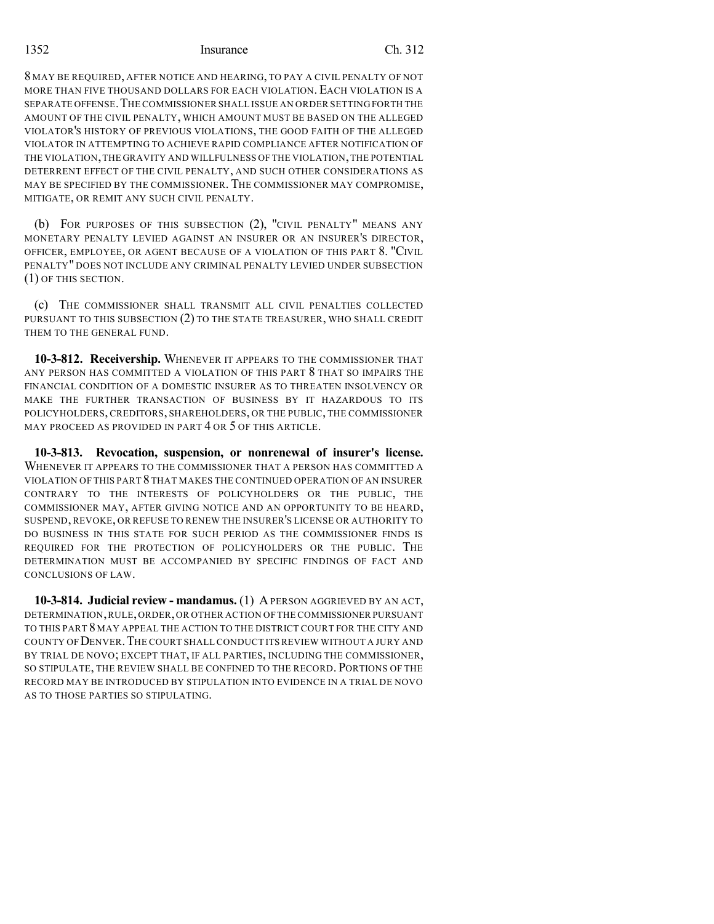#### 1352 Insurance Ch. 312

8 MAY BE REQUIRED, AFTER NOTICE AND HEARING, TO PAY A CIVIL PENALTY OF NOT MORE THAN FIVE THOUSAND DOLLARS FOR EACH VIOLATION. EACH VIOLATION IS A SEPARATE OFFENSE. THE COMMISSIONER SHALL ISSUE AN ORDER SETTING FORTH THE AMOUNT OF THE CIVIL PENALTY, WHICH AMOUNT MUST BE BASED ON THE ALLEGED VIOLATOR'S HISTORY OF PREVIOUS VIOLATIONS, THE GOOD FAITH OF THE ALLEGED VIOLATOR IN ATTEMPTING TO ACHIEVE RAPID COMPLIANCE AFTER NOTIFICATION OF THE VIOLATION,THE GRAVITY AND WILLFULNESS OF THE VIOLATION,THE POTENTIAL DETERRENT EFFECT OF THE CIVIL PENALTY, AND SUCH OTHER CONSIDERATIONS AS MAY BE SPECIFIED BY THE COMMISSIONER. THE COMMISSIONER MAY COMPROMISE, MITIGATE, OR REMIT ANY SUCH CIVIL PENALTY.

(b) FOR PURPOSES OF THIS SUBSECTION (2), "CIVIL PENALTY" MEANS ANY MONETARY PENALTY LEVIED AGAINST AN INSURER OR AN INSURER'S DIRECTOR, OFFICER, EMPLOYEE, OR AGENT BECAUSE OF A VIOLATION OF THIS PART 8. "CIVIL PENALTY" DOES NOT INCLUDE ANY CRIMINAL PENALTY LEVIED UNDER SUBSECTION (1) OF THIS SECTION.

(c) THE COMMISSIONER SHALL TRANSMIT ALL CIVIL PENALTIES COLLECTED PURSUANT TO THIS SUBSECTION (2) TO THE STATE TREASURER, WHO SHALL CREDIT THEM TO THE GENERAL FUND.

**10-3-812. Receivership.** WHENEVER IT APPEARS TO THE COMMISSIONER THAT ANY PERSON HAS COMMITTED A VIOLATION OF THIS PART 8 THAT SO IMPAIRS THE FINANCIAL CONDITION OF A DOMESTIC INSURER AS TO THREATEN INSOLVENCY OR MAKE THE FURTHER TRANSACTION OF BUSINESS BY IT HAZARDOUS TO ITS POLICYHOLDERS, CREDITORS, SHAREHOLDERS, OR THE PUBLIC, THE COMMISSIONER MAY PROCEED AS PROVIDED IN PART 4 OR 5 OF THIS ARTICLE.

**10-3-813. Revocation, suspension, or nonrenewal of insurer's license.** WHENEVER IT APPEARS TO THE COMMISSIONER THAT A PERSON HAS COMMITTED A VIOLATION OF THIS PART 8 THAT MAKES THE CONTINUED OPERATION OF AN INSURER CONTRARY TO THE INTERESTS OF POLICYHOLDERS OR THE PUBLIC, THE COMMISSIONER MAY, AFTER GIVING NOTICE AND AN OPPORTUNITY TO BE HEARD, SUSPEND, REVOKE, OR REFUSE TO RENEW THE INSURER'S LICENSE OR AUTHORITY TO DO BUSINESS IN THIS STATE FOR SUCH PERIOD AS THE COMMISSIONER FINDS IS REQUIRED FOR THE PROTECTION OF POLICYHOLDERS OR THE PUBLIC. THE DETERMINATION MUST BE ACCOMPANIED BY SPECIFIC FINDINGS OF FACT AND CONCLUSIONS OF LAW.

**10-3-814. Judicial review - mandamus.** (1) A PERSON AGGRIEVED BY AN ACT, DETERMINATION,RULE,ORDER,OR OTHER ACTION OF THE COMMISSIONER PURSUANT TO THIS PART 8 MAY APPEAL THE ACTION TO THE DISTRICT COURT FOR THE CITY AND COUNTY OF DENVER.THE COURT SHALL CONDUCT ITS REVIEW WITHOUT A JURY AND BY TRIAL DE NOVO; EXCEPT THAT, IF ALL PARTIES, INCLUDING THE COMMISSIONER, SO STIPULATE, THE REVIEW SHALL BE CONFINED TO THE RECORD. PORTIONS OF THE RECORD MAY BE INTRODUCED BY STIPULATION INTO EVIDENCE IN A TRIAL DE NOVO AS TO THOSE PARTIES SO STIPULATING.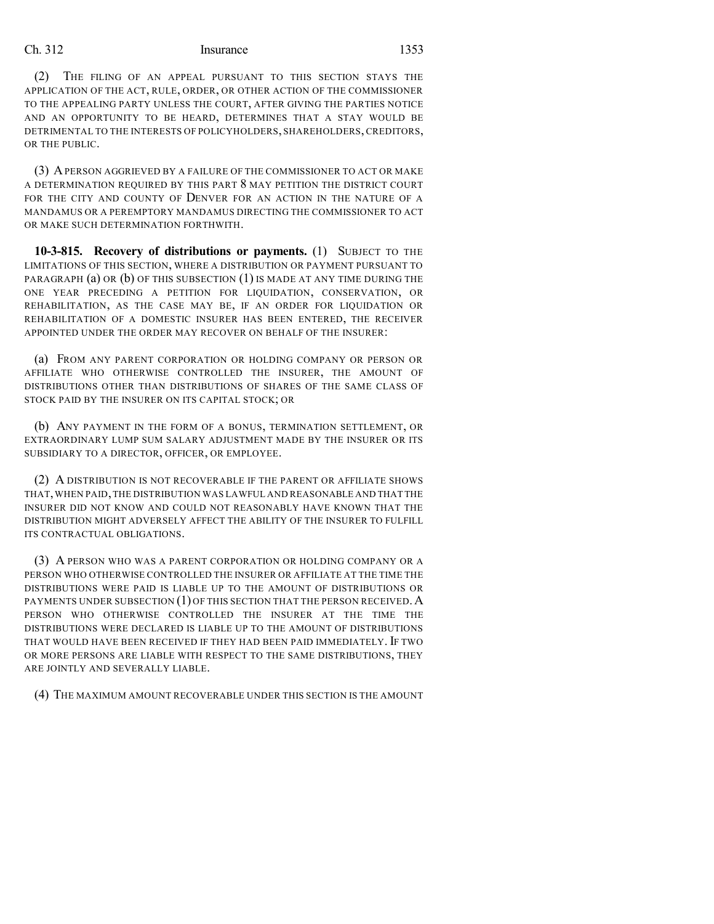(2) THE FILING OF AN APPEAL PURSUANT TO THIS SECTION STAYS THE APPLICATION OF THE ACT, RULE, ORDER, OR OTHER ACTION OF THE COMMISSIONER TO THE APPEALING PARTY UNLESS THE COURT, AFTER GIVING THE PARTIES NOTICE AND AN OPPORTUNITY TO BE HEARD, DETERMINES THAT A STAY WOULD BE DETRIMENTAL TO THE INTERESTS OF POLICYHOLDERS, SHAREHOLDERS, CREDITORS, OR THE PUBLIC.

(3) APERSON AGGRIEVED BY A FAILURE OF THE COMMISSIONER TO ACT OR MAKE A DETERMINATION REQUIRED BY THIS PART 8 MAY PETITION THE DISTRICT COURT FOR THE CITY AND COUNTY OF DENVER FOR AN ACTION IN THE NATURE OF A MANDAMUS OR A PEREMPTORY MANDAMUS DIRECTING THE COMMISSIONER TO ACT OR MAKE SUCH DETERMINATION FORTHWITH.

**10-3-815. Recovery of distributions or payments.** (1) SUBJECT TO THE LIMITATIONS OF THIS SECTION, WHERE A DISTRIBUTION OR PAYMENT PURSUANT TO PARAGRAPH  $(a)$  OR  $(b)$  OF THIS SUBSECTION  $(1)$  IS MADE AT ANY TIME DURING THE ONE YEAR PRECEDING A PETITION FOR LIQUIDATION, CONSERVATION, OR REHABILITATION, AS THE CASE MAY BE, IF AN ORDER FOR LIQUIDATION OR REHABILITATION OF A DOMESTIC INSURER HAS BEEN ENTERED, THE RECEIVER APPOINTED UNDER THE ORDER MAY RECOVER ON BEHALF OF THE INSURER:

(a) FROM ANY PARENT CORPORATION OR HOLDING COMPANY OR PERSON OR AFFILIATE WHO OTHERWISE CONTROLLED THE INSURER, THE AMOUNT OF DISTRIBUTIONS OTHER THAN DISTRIBUTIONS OF SHARES OF THE SAME CLASS OF STOCK PAID BY THE INSURER ON ITS CAPITAL STOCK; OR

(b) ANY PAYMENT IN THE FORM OF A BONUS, TERMINATION SETTLEMENT, OR EXTRAORDINARY LUMP SUM SALARY ADJUSTMENT MADE BY THE INSURER OR ITS SUBSIDIARY TO A DIRECTOR, OFFICER, OR EMPLOYEE.

(2) A DISTRIBUTION IS NOT RECOVERABLE IF THE PARENT OR AFFILIATE SHOWS THAT,WHEN PAID,THE DISTRIBUTION WAS LAWFUL AND REASONABLE AND THAT THE INSURER DID NOT KNOW AND COULD NOT REASONABLY HAVE KNOWN THAT THE DISTRIBUTION MIGHT ADVERSELY AFFECT THE ABILITY OF THE INSURER TO FULFILL ITS CONTRACTUAL OBLIGATIONS.

(3) A PERSON WHO WAS A PARENT CORPORATION OR HOLDING COMPANY OR A PERSON WHO OTHERWISE CONTROLLED THE INSURER OR AFFILIATE AT THE TIME THE DISTRIBUTIONS WERE PAID IS LIABLE UP TO THE AMOUNT OF DISTRIBUTIONS OR PAYMENTS UNDER SUBSECTION  $(1)$  OF THIS SECTION THAT THE PERSON RECEIVED. A PERSON WHO OTHERWISE CONTROLLED THE INSURER AT THE TIME THE DISTRIBUTIONS WERE DECLARED IS LIABLE UP TO THE AMOUNT OF DISTRIBUTIONS THAT WOULD HAVE BEEN RECEIVED IF THEY HAD BEEN PAID IMMEDIATELY. IF TWO OR MORE PERSONS ARE LIABLE WITH RESPECT TO THE SAME DISTRIBUTIONS, THEY ARE JOINTLY AND SEVERALLY LIABLE.

(4) THE MAXIMUM AMOUNT RECOVERABLE UNDER THIS SECTION IS THE AMOUNT